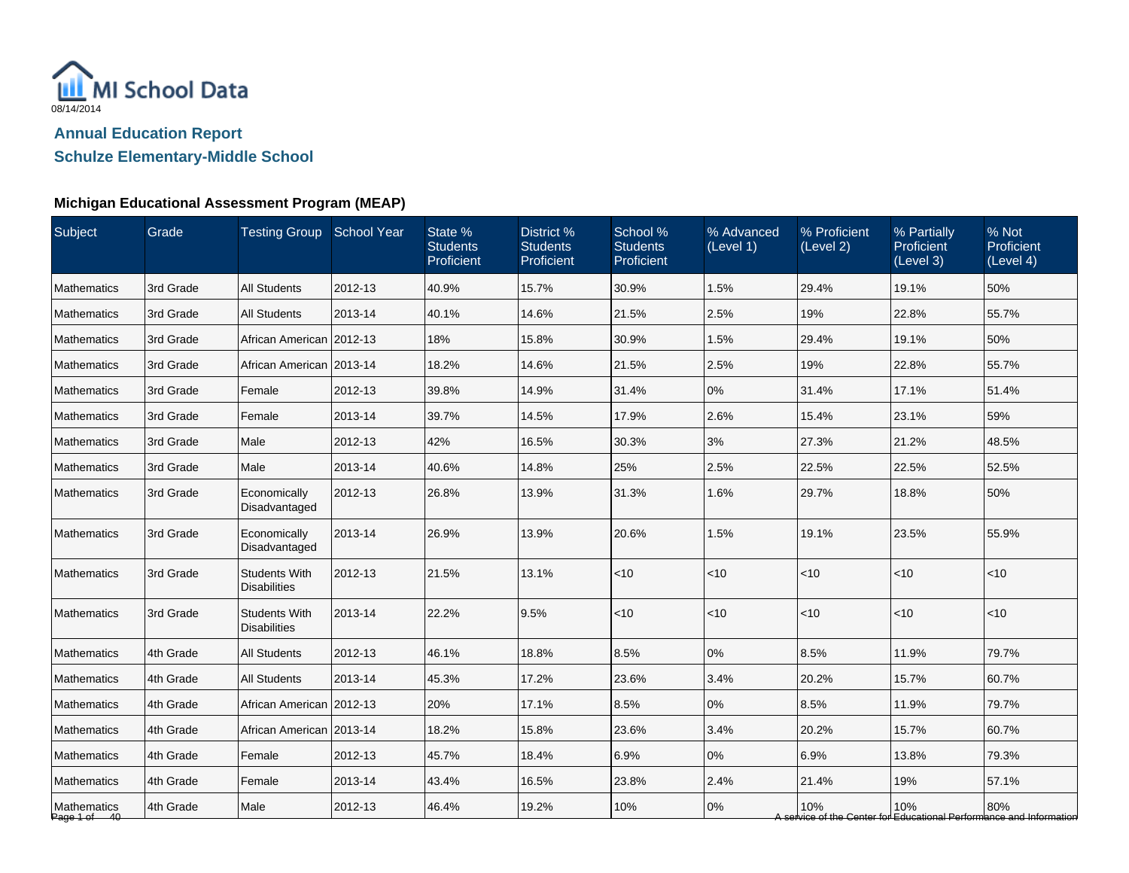

**Schulze Elementary-Middle School**

## **Michigan Educational Assessment Program (MEAP)**

| Subject                     | Grade     | Testing Group School Year                   |         | State %<br><b>Students</b><br>Proficient | District %<br><b>Students</b><br>Proficient | School %<br><b>Students</b><br>Proficient | % Advanced<br>(Level 1) | % Proficient<br>(Level 2) | % Partially<br><b>Proficient</b><br>(Level 3) | % Not<br>Proficient<br>(Level 4)                                           |
|-----------------------------|-----------|---------------------------------------------|---------|------------------------------------------|---------------------------------------------|-------------------------------------------|-------------------------|---------------------------|-----------------------------------------------|----------------------------------------------------------------------------|
| Mathematics                 | 3rd Grade | <b>All Students</b>                         | 2012-13 | 40.9%                                    | 15.7%                                       | 30.9%                                     | 1.5%                    | 29.4%                     | 19.1%                                         | 50%                                                                        |
| <b>Mathematics</b>          | 3rd Grade | <b>All Students</b>                         | 2013-14 | 40.1%                                    | 14.6%                                       | 21.5%                                     | 2.5%                    | 19%                       | 22.8%                                         | 55.7%                                                                      |
| <b>Mathematics</b>          | 3rd Grade | African American 2012-13                    |         | 18%                                      | 15.8%                                       | 30.9%                                     | 1.5%                    | 29.4%                     | 19.1%                                         | 50%                                                                        |
| <b>Mathematics</b>          | 3rd Grade | African American 2013-14                    |         | 18.2%                                    | 14.6%                                       | 21.5%                                     | 2.5%                    | 19%                       | 22.8%                                         | 55.7%                                                                      |
| <b>Mathematics</b>          | 3rd Grade | Female                                      | 2012-13 | 39.8%                                    | 14.9%                                       | 31.4%                                     | 0%                      | 31.4%                     | 17.1%                                         | 51.4%                                                                      |
| <b>Mathematics</b>          | 3rd Grade | Female                                      | 2013-14 | 39.7%                                    | 14.5%                                       | 17.9%                                     | 2.6%                    | 15.4%                     | 23.1%                                         | 59%                                                                        |
| Mathematics                 | 3rd Grade | Male                                        | 2012-13 | 42%                                      | 16.5%                                       | 30.3%                                     | 3%                      | 27.3%                     | 21.2%                                         | 48.5%                                                                      |
| <b>Mathematics</b>          | 3rd Grade | Male                                        | 2013-14 | 40.6%                                    | 14.8%                                       | 25%                                       | 2.5%                    | 22.5%                     | 22.5%                                         | 52.5%                                                                      |
| <b>Mathematics</b>          | 3rd Grade | Economically<br>Disadvantaged               | 2012-13 | 26.8%                                    | 13.9%                                       | 31.3%                                     | 1.6%                    | 29.7%                     | 18.8%                                         | 50%                                                                        |
| <b>Mathematics</b>          | 3rd Grade | Economically<br>Disadvantaged               | 2013-14 | 26.9%                                    | 13.9%                                       | 20.6%                                     | 1.5%                    | 19.1%                     | 23.5%                                         | 55.9%                                                                      |
| <b>Mathematics</b>          | 3rd Grade | <b>Students With</b><br><b>Disabilities</b> | 2012-13 | 21.5%                                    | 13.1%                                       | < 10                                      | < 10                    | < 10                      | $<$ 10                                        | $<$ 10                                                                     |
| Mathematics                 | 3rd Grade | <b>Students With</b><br><b>Disabilities</b> | 2013-14 | 22.2%                                    | 9.5%                                        | ~10                                       | < 10                    | $<$ 10                    | $<$ 10                                        | < 10                                                                       |
| Mathematics                 | 4th Grade | <b>All Students</b>                         | 2012-13 | 46.1%                                    | 18.8%                                       | 8.5%                                      | $0\%$                   | 8.5%                      | 11.9%                                         | 79.7%                                                                      |
| <b>Mathematics</b>          | 4th Grade | <b>All Students</b>                         | 2013-14 | 45.3%                                    | 17.2%                                       | 23.6%                                     | 3.4%                    | 20.2%                     | 15.7%                                         | 60.7%                                                                      |
| <b>Mathematics</b>          | 4th Grade | African American 2012-13                    |         | 20%                                      | 17.1%                                       | 8.5%                                      | 0%                      | 8.5%                      | 11.9%                                         | 79.7%                                                                      |
| <b>Mathematics</b>          | 4th Grade | African American   2013-14                  |         | 18.2%                                    | 15.8%                                       | 23.6%                                     | 3.4%                    | 20.2%                     | 15.7%                                         | 60.7%                                                                      |
| <b>Mathematics</b>          | 4th Grade | Female                                      | 2012-13 | 45.7%                                    | 18.4%                                       | 6.9%                                      | $0\%$                   | 6.9%                      | 13.8%                                         | 79.3%                                                                      |
| Mathematics                 | 4th Grade | Female                                      | 2013-14 | 43.4%                                    | 16.5%                                       | 23.8%                                     | 2.4%                    | 21.4%                     | 19%                                           | 57.1%                                                                      |
| Mathematics<br>Page 1 of 40 | 4th Grade | Male                                        | 2012-13 | 46.4%                                    | 19.2%                                       | 10%                                       | 0%                      | 10%                       | 10%                                           | 80%<br>A service of the Center for Educational Performance and Information |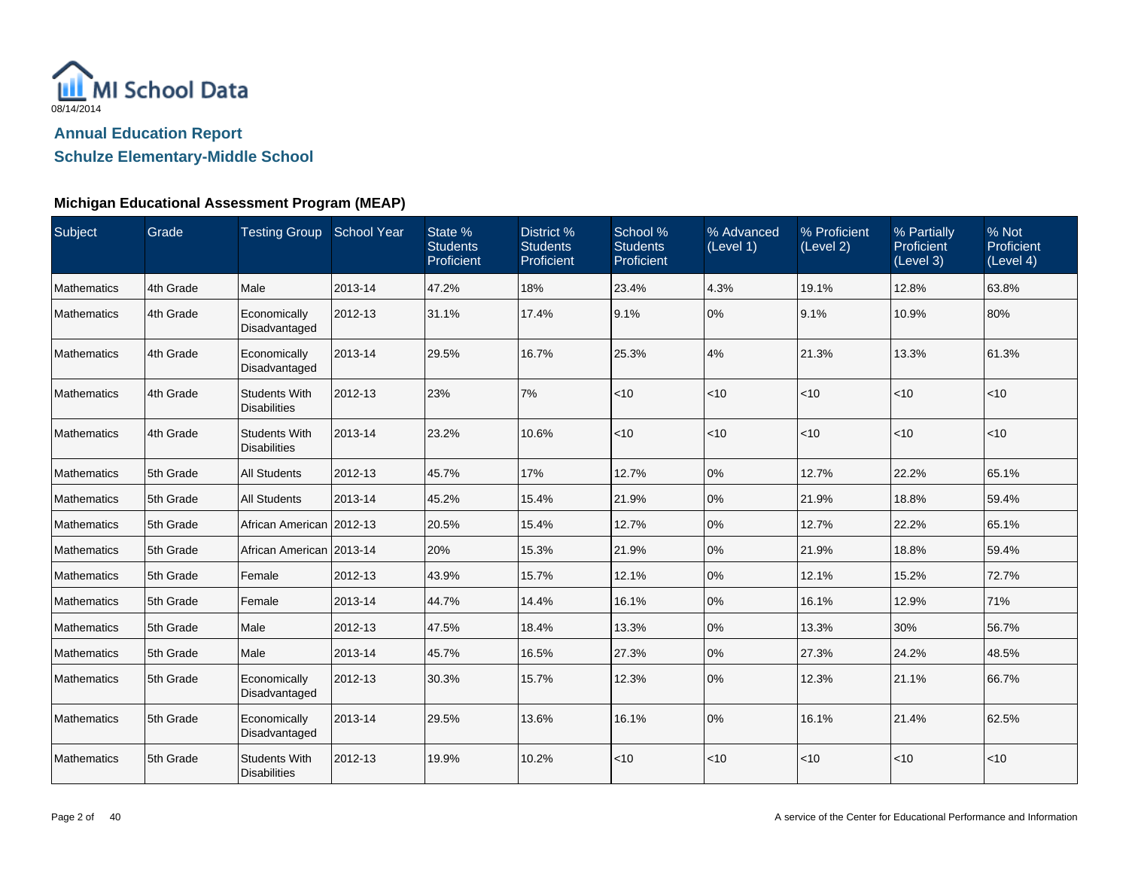

## **Schulze Elementary-Middle School**

### **Michigan Educational Assessment Program (MEAP)**

| Subject            | Grade     | Testing Group School Year                   |         | State %<br><b>Students</b><br>Proficient | District %<br><b>Students</b><br>Proficient | School %<br><b>Students</b><br>Proficient | % Advanced<br>(Level 1) | % Proficient<br>(Level 2) | % Partially<br>Proficient<br>(Level 3) | % Not<br>Proficient<br>(Level 4) |
|--------------------|-----------|---------------------------------------------|---------|------------------------------------------|---------------------------------------------|-------------------------------------------|-------------------------|---------------------------|----------------------------------------|----------------------------------|
| Mathematics        | 4th Grade | Male                                        | 2013-14 | 47.2%                                    | 18%                                         | 23.4%                                     | 4.3%                    | 19.1%                     | 12.8%                                  | 63.8%                            |
| Mathematics        | 4th Grade | Economically<br>Disadvantaged               | 2012-13 | 31.1%                                    | 17.4%                                       | 9.1%                                      | 0%                      | 9.1%                      | 10.9%                                  | 80%                              |
| Mathematics        | 4th Grade | Economically<br>Disadvantaged               | 2013-14 | 29.5%                                    | 16.7%                                       | 25.3%                                     | 4%                      | 21.3%                     | 13.3%                                  | 61.3%                            |
| Mathematics        | 4th Grade | <b>Students With</b><br><b>Disabilities</b> | 2012-13 | 23%                                      | 7%                                          | < 10                                      | < 10                    | $ $ < 10                  | < 10                                   | $<$ 10                           |
| Mathematics        | 4th Grade | <b>Students With</b><br><b>Disabilities</b> | 2013-14 | 23.2%                                    | 10.6%                                       | < 10                                      | < 10                    | $ $ < 10                  | $<$ 10                                 | $<$ 10                           |
| Mathematics        | 5th Grade | <b>All Students</b>                         | 2012-13 | 45.7%                                    | 17%                                         | 12.7%                                     | 0%                      | 12.7%                     | 22.2%                                  | 65.1%                            |
| Mathematics        | 5th Grade | <b>All Students</b>                         | 2013-14 | 45.2%                                    | 15.4%                                       | 21.9%                                     | 0%                      | 21.9%                     | 18.8%                                  | 59.4%                            |
| Mathematics        | 5th Grade | African American 2012-13                    |         | 20.5%                                    | 15.4%                                       | 12.7%                                     | 0%                      | 12.7%                     | 22.2%                                  | 65.1%                            |
| Mathematics        | 5th Grade | African American 2013-14                    |         | 20%                                      | 15.3%                                       | 21.9%                                     | 0%                      | 21.9%                     | 18.8%                                  | 59.4%                            |
| <b>Mathematics</b> | 5th Grade | Female                                      | 2012-13 | 43.9%                                    | 15.7%                                       | 12.1%                                     | 0%                      | 12.1%                     | 15.2%                                  | 72.7%                            |
| Mathematics        | 5th Grade | Female                                      | 2013-14 | 44.7%                                    | 14.4%                                       | 16.1%                                     | 0%                      | 16.1%                     | 12.9%                                  | 71%                              |
| <b>Mathematics</b> | 5th Grade | Male                                        | 2012-13 | 47.5%                                    | 18.4%                                       | 13.3%                                     | 0%                      | 13.3%                     | 30%                                    | 56.7%                            |
| Mathematics        | 5th Grade | Male                                        | 2013-14 | 45.7%                                    | 16.5%                                       | 27.3%                                     | 0%                      | 27.3%                     | 24.2%                                  | 48.5%                            |
| Mathematics        | 5th Grade | Economically<br>Disadvantaged               | 2012-13 | 30.3%                                    | 15.7%                                       | 12.3%                                     | 0%                      | 12.3%                     | 21.1%                                  | 66.7%                            |
| Mathematics        | 5th Grade | Economically<br>Disadvantaged               | 2013-14 | 29.5%                                    | 13.6%                                       | 16.1%                                     | 0%                      | 16.1%                     | 21.4%                                  | 62.5%                            |
| Mathematics        | 5th Grade | <b>Students With</b><br><b>Disabilities</b> | 2012-13 | 19.9%                                    | 10.2%                                       | ~10                                       | < 10                    | < 10                      | < 10                                   | < 10                             |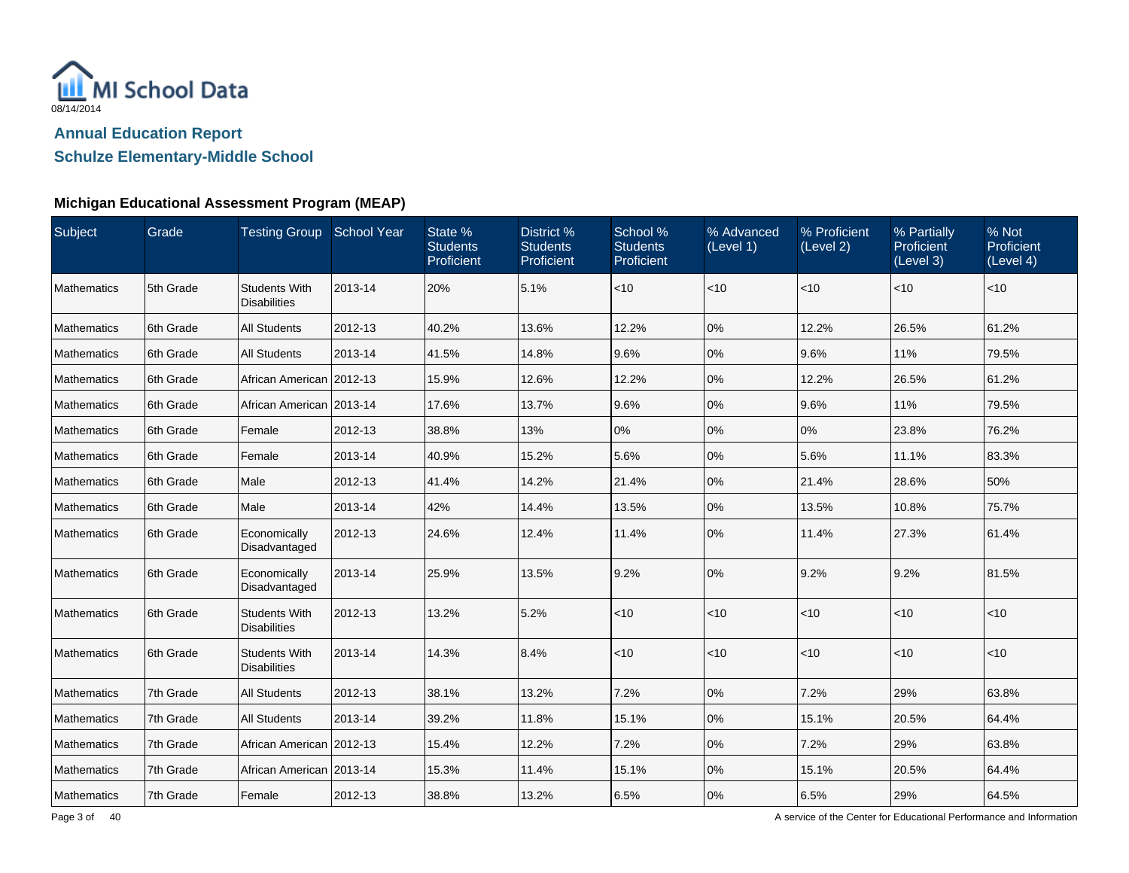

**Schulze Elementary-Middle School**

## **Michigan Educational Assessment Program (MEAP)**

| Subject            | Grade      | Testing Group School Year                   |         | State %<br><b>Students</b><br>Proficient | District %<br><b>Students</b><br>Proficient | School %<br><b>Students</b><br>Proficient | % Advanced<br>(Level 1) | % Proficient<br>(Level 2) | % Partially<br><b>Proficient</b><br>(Level 3) | % Not<br>Proficient<br>(Level 4) |
|--------------------|------------|---------------------------------------------|---------|------------------------------------------|---------------------------------------------|-------------------------------------------|-------------------------|---------------------------|-----------------------------------------------|----------------------------------|
| <b>Mathematics</b> | 5th Grade  | <b>Students With</b><br><b>Disabilities</b> | 2013-14 | 20%                                      | 5.1%                                        | $<10$                                     | <10                     | <10                       | < 10                                          | $<$ 10                           |
| Mathematics        | 6th Grade  | <b>All Students</b>                         | 2012-13 | 40.2%                                    | 13.6%                                       | 12.2%                                     | 0%                      | 12.2%                     | 26.5%                                         | 61.2%                            |
| <b>Mathematics</b> | 6th Grade  | <b>All Students</b>                         | 2013-14 | 41.5%                                    | 14.8%                                       | 9.6%                                      | 0%                      | 9.6%                      | 11%                                           | 79.5%                            |
| <b>Mathematics</b> | 6th Grade  | African American 2012-13                    |         | 15.9%                                    | 12.6%                                       | 12.2%                                     | 0%                      | 12.2%                     | 26.5%                                         | 61.2%                            |
| Mathematics        | 6th Grade  | African American 2013-14                    |         | 17.6%                                    | 13.7%                                       | 9.6%                                      | 0%                      | 9.6%                      | 11%                                           | 79.5%                            |
| <b>Mathematics</b> | 16th Grade | Female                                      | 2012-13 | 38.8%                                    | 13%                                         | 0%                                        | 0%                      | 0%                        | 23.8%                                         | 76.2%                            |
| <b>Mathematics</b> | 6th Grade  | Female                                      | 2013-14 | 40.9%                                    | 15.2%                                       | 5.6%                                      | 0%                      | 5.6%                      | 11.1%                                         | 83.3%                            |
| Mathematics        | 6th Grade  | Male                                        | 2012-13 | 41.4%                                    | 14.2%                                       | 21.4%                                     | 0%                      | 21.4%                     | 28.6%                                         | 50%                              |
| <b>Mathematics</b> | 6th Grade  | Male                                        | 2013-14 | 42%                                      | 14.4%                                       | 13.5%                                     | 0%                      | 13.5%                     | 10.8%                                         | 75.7%                            |
| Mathematics        | 6th Grade  | Economically<br>Disadvantaged               | 2012-13 | 24.6%                                    | 12.4%                                       | 11.4%                                     | 0%                      | 11.4%                     | 27.3%                                         | 61.4%                            |
| <b>Mathematics</b> | 6th Grade  | Economically<br>Disadvantaged               | 2013-14 | 25.9%                                    | 13.5%                                       | 9.2%                                      | 0%                      | 9.2%                      | 9.2%                                          | 81.5%                            |
| <b>Mathematics</b> | 6th Grade  | <b>Students With</b><br><b>Disabilities</b> | 2012-13 | 13.2%                                    | 5.2%                                        | < 10                                      | < 10                    | $ $ < 10                  | $<$ 10                                        | $<$ 10                           |
| Mathematics        | 6th Grade  | <b>Students With</b><br><b>Disabilities</b> | 2013-14 | 14.3%                                    | 8.4%                                        | $<10$                                     | <10                     | $<$ 10                    | < 10                                          | $<$ 10                           |
| <b>Mathematics</b> | 7th Grade  | <b>All Students</b>                         | 2012-13 | 38.1%                                    | 13.2%                                       | 7.2%                                      | 0%                      | 7.2%                      | 29%                                           | 63.8%                            |
| Mathematics        | 7th Grade  | <b>All Students</b>                         | 2013-14 | 39.2%                                    | 11.8%                                       | 15.1%                                     | 0%                      | 15.1%                     | 20.5%                                         | 64.4%                            |
| Mathematics        | 7th Grade  | African American 2012-13                    |         | 15.4%                                    | 12.2%                                       | 7.2%                                      | 0%                      | 7.2%                      | 29%                                           | 63.8%                            |
| Mathematics        | 7th Grade  | African American   2013-14                  |         | 15.3%                                    | 11.4%                                       | 15.1%                                     | 0%                      | 15.1%                     | 20.5%                                         | 64.4%                            |
| Mathematics        | 7th Grade  | Female                                      | 2012-13 | 38.8%                                    | 13.2%                                       | 6.5%                                      | 0%                      | 6.5%                      | 29%                                           | 64.5%                            |

A service of the Center for Educational Performance and Information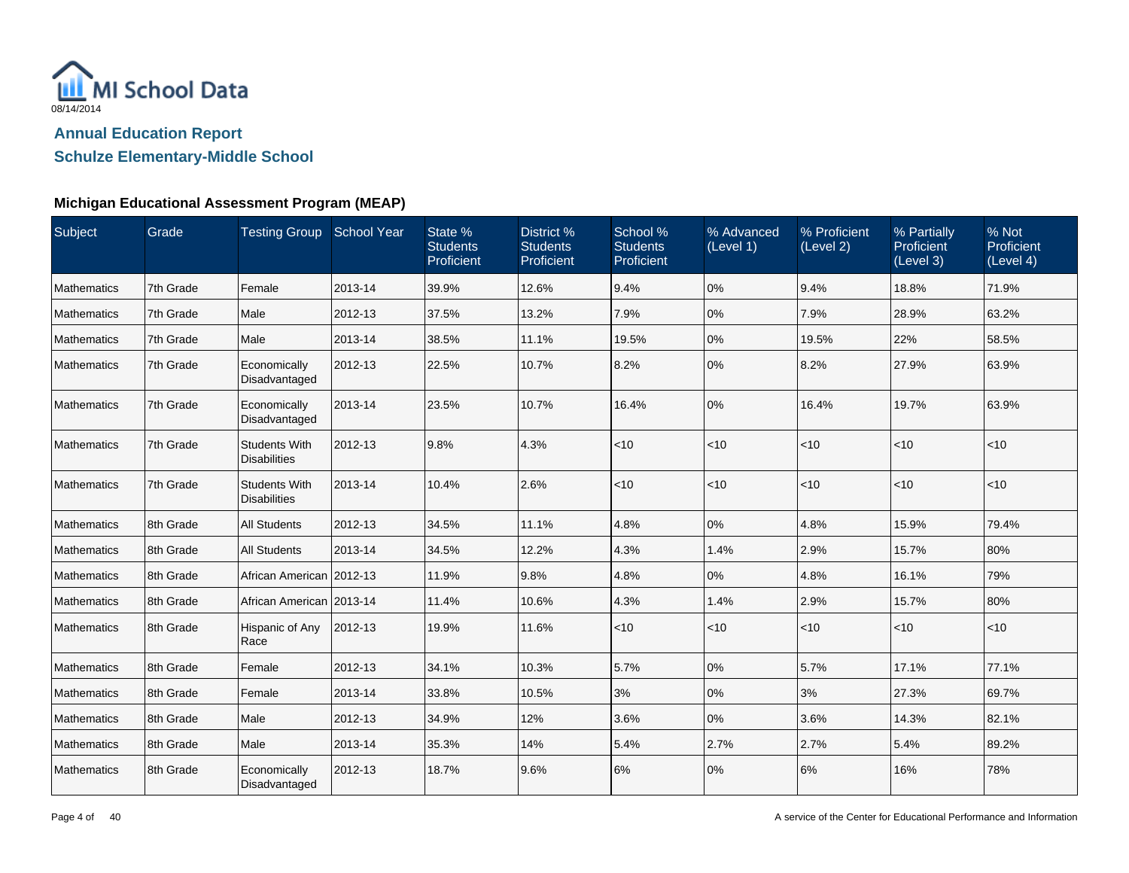

**Schulze Elementary-Middle School**

## **Michigan Educational Assessment Program (MEAP)**

| Subject            | Grade     | Testing Group School Year                   |         | State %<br><b>Students</b><br>Proficient | District %<br><b>Students</b><br>Proficient | School %<br><b>Students</b><br>Proficient | % Advanced<br>(Level 1) | % Proficient<br>(Level 2) | % Partially<br>Proficient<br>(Level 3) | % Not<br>Proficient<br>(Level 4) |
|--------------------|-----------|---------------------------------------------|---------|------------------------------------------|---------------------------------------------|-------------------------------------------|-------------------------|---------------------------|----------------------------------------|----------------------------------|
| Mathematics        | 7th Grade | Female                                      | 2013-14 | 39.9%                                    | 12.6%                                       | 9.4%                                      | 0%                      | 9.4%                      | 18.8%                                  | 71.9%                            |
| Mathematics        | 7th Grade | Male                                        | 2012-13 | 37.5%                                    | 13.2%                                       | 7.9%                                      | 0%                      | 7.9%                      | 28.9%                                  | 63.2%                            |
| Mathematics        | 7th Grade | Male                                        | 2013-14 | 38.5%                                    | 11.1%                                       | 19.5%                                     | 0%                      | 19.5%                     | 22%                                    | 58.5%                            |
| Mathematics        | 7th Grade | Economically<br>Disadvantaged               | 2012-13 | 22.5%                                    | 10.7%                                       | 8.2%                                      | 0%                      | 8.2%                      | 27.9%                                  | 63.9%                            |
| <b>Mathematics</b> | 7th Grade | Economically<br>Disadvantaged               | 2013-14 | 23.5%                                    | 10.7%                                       | 16.4%                                     | 0%                      | 16.4%                     | 19.7%                                  | 63.9%                            |
| <b>Mathematics</b> | 7th Grade | <b>Students With</b><br><b>Disabilities</b> | 2012-13 | 9.8%                                     | 4.3%                                        | < 10                                      | < 10                    | < 10                      | < 10                                   | < 10                             |
| <b>Mathematics</b> | 7th Grade | <b>Students With</b><br><b>Disabilities</b> | 2013-14 | 10.4%                                    | 2.6%                                        | < 10                                      | < 10                    | $ $ < 10                  | < 10                                   | $<$ 10                           |
| Mathematics        | 8th Grade | <b>All Students</b>                         | 2012-13 | 34.5%                                    | 11.1%                                       | 4.8%                                      | 0%                      | 4.8%                      | 15.9%                                  | 79.4%                            |
| Mathematics        | 8th Grade | <b>All Students</b>                         | 2013-14 | 34.5%                                    | 12.2%                                       | 4.3%                                      | 1.4%                    | 2.9%                      | 15.7%                                  | 80%                              |
| <b>Mathematics</b> | 8th Grade | African American 2012-13                    |         | 11.9%                                    | 9.8%                                        | 4.8%                                      | 0%                      | 4.8%                      | 16.1%                                  | 79%                              |
| Mathematics        | 8th Grade | African American   2013-14                  |         | 11.4%                                    | 10.6%                                       | 4.3%                                      | 1.4%                    | 2.9%                      | 15.7%                                  | 80%                              |
| <b>Mathematics</b> | 8th Grade | Hispanic of Any<br>Race                     | 2012-13 | 19.9%                                    | 11.6%                                       | ~10                                       | < 10                    | $<$ 10                    | $<$ 10                                 | $<$ 10                           |
| Mathematics        | 8th Grade | Female                                      | 2012-13 | 34.1%                                    | 10.3%                                       | 5.7%                                      | 0%                      | 5.7%                      | 17.1%                                  | 77.1%                            |
| <b>Mathematics</b> | 8th Grade | Female                                      | 2013-14 | 33.8%                                    | 10.5%                                       | 3%                                        | 0%                      | 3%                        | 27.3%                                  | 69.7%                            |
| Mathematics        | 8th Grade | Male                                        | 2012-13 | 34.9%                                    | 12%                                         | 3.6%                                      | 0%                      | 3.6%                      | 14.3%                                  | 82.1%                            |
| Mathematics        | 8th Grade | Male                                        | 2013-14 | 35.3%                                    | 14%                                         | 5.4%                                      | 2.7%                    | 2.7%                      | 5.4%                                   | 89.2%                            |
| Mathematics        | 8th Grade | Economically<br>Disadvantaged               | 2012-13 | 18.7%                                    | 9.6%                                        | 6%                                        | 0%                      | 6%                        | 16%                                    | 78%                              |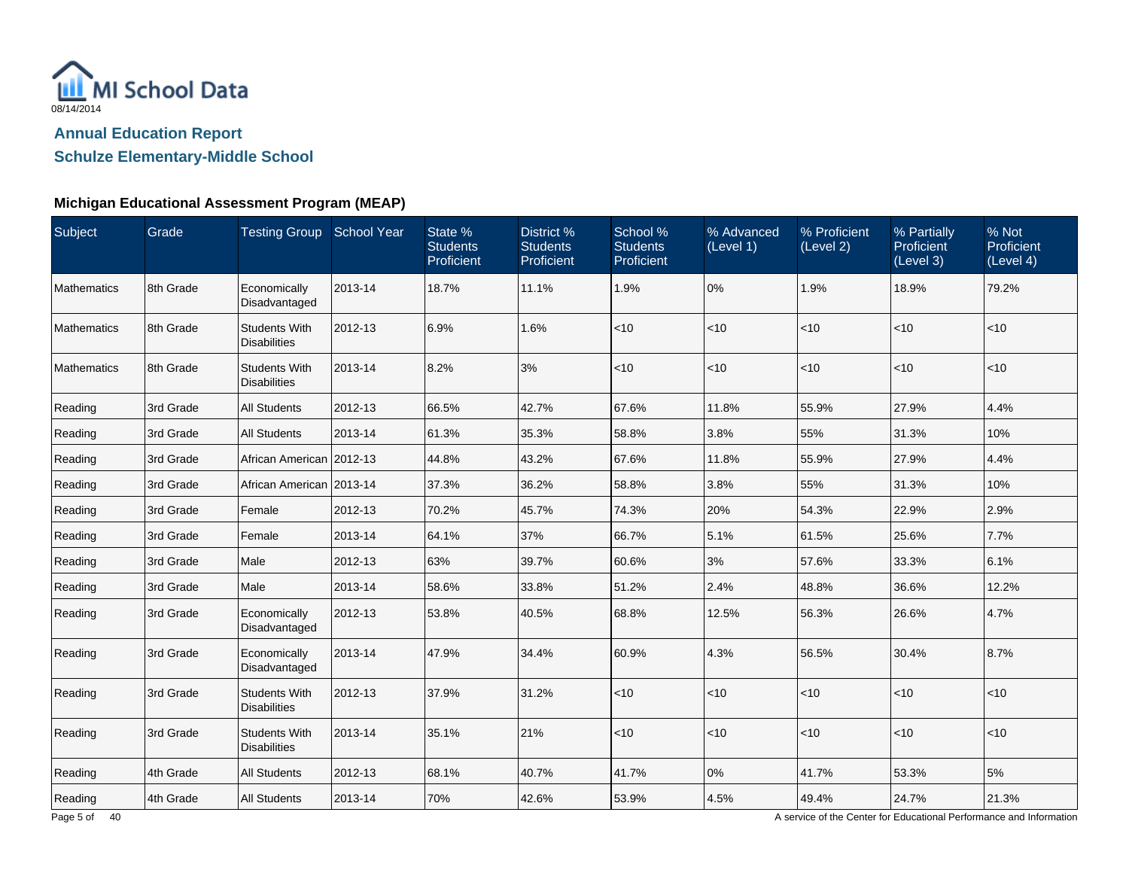

## **Schulze Elementary-Middle School**

### **Michigan Educational Assessment Program (MEAP)**

| Subject            | Grade     | Testing Group School Year                   |         | State %<br><b>Students</b><br>Proficient | District %<br><b>Students</b><br>Proficient | School %<br><b>Students</b><br>Proficient | % Advanced<br>(Level 1) | % Proficient<br>(Level 2) | % Partially<br><b>Proficient</b><br>(Level 3) | % Not<br>Proficient<br>(Level 4) |
|--------------------|-----------|---------------------------------------------|---------|------------------------------------------|---------------------------------------------|-------------------------------------------|-------------------------|---------------------------|-----------------------------------------------|----------------------------------|
| Mathematics        | 8th Grade | Economically<br>Disadvantaged               | 2013-14 | 18.7%                                    | 11.1%                                       | 1.9%                                      | 0%                      | 1.9%                      | 18.9%                                         | 79.2%                            |
| Mathematics        | 8th Grade | <b>Students With</b><br><b>Disabilities</b> | 2012-13 | 6.9%                                     | 1.6%                                        | < 10                                      | < 10                    | < 10                      | < 10                                          | $<$ 10                           |
| <b>Mathematics</b> | 8th Grade | <b>Students With</b><br><b>Disabilities</b> | 2013-14 | 8.2%                                     | 3%                                          | < 10                                      | < 10                    | < 10                      | < 10                                          | $<$ 10                           |
| Reading            | 3rd Grade | <b>All Students</b>                         | 2012-13 | 66.5%                                    | 42.7%                                       | 67.6%                                     | 11.8%                   | 55.9%                     | 27.9%                                         | 4.4%                             |
| Reading            | 3rd Grade | <b>All Students</b>                         | 2013-14 | 61.3%                                    | 35.3%                                       | 58.8%                                     | 3.8%                    | 55%                       | 31.3%                                         | 10%                              |
| Reading            | 3rd Grade | African American 2012-13                    |         | 44.8%                                    | 43.2%                                       | 67.6%                                     | 11.8%                   | 55.9%                     | 27.9%                                         | 4.4%                             |
| Reading            | 3rd Grade | African American 2013-14                    |         | 37.3%                                    | 36.2%                                       | 58.8%                                     | 3.8%                    | 55%                       | 31.3%                                         | 10%                              |
| Reading            | 3rd Grade | Female                                      | 2012-13 | 70.2%                                    | 45.7%                                       | 74.3%                                     | 20%                     | 54.3%                     | 22.9%                                         | 2.9%                             |
| Reading            | 3rd Grade | Female                                      | 2013-14 | 64.1%                                    | 37%                                         | 66.7%                                     | 5.1%                    | 61.5%                     | 25.6%                                         | 7.7%                             |
| Reading            | 3rd Grade | Male                                        | 2012-13 | 63%                                      | 39.7%                                       | 60.6%                                     | 3%                      | 57.6%                     | 33.3%                                         | 6.1%                             |
| Reading            | 3rd Grade | Male                                        | 2013-14 | 58.6%                                    | 33.8%                                       | 51.2%                                     | 2.4%                    | 48.8%                     | 36.6%                                         | 12.2%                            |
| Reading            | 3rd Grade | Economically<br>Disadvantaged               | 2012-13 | 53.8%                                    | 40.5%                                       | 68.8%                                     | 12.5%                   | 56.3%                     | 26.6%                                         | 4.7%                             |
| Reading            | 3rd Grade | Economically<br>Disadvantaged               | 2013-14 | 47.9%                                    | 34.4%                                       | 60.9%                                     | 4.3%                    | 56.5%                     | 30.4%                                         | 8.7%                             |
| Reading            | 3rd Grade | <b>Students With</b><br><b>Disabilities</b> | 2012-13 | 37.9%                                    | 31.2%                                       | $<10$                                     | <10                     | $<$ 10                    | $<$ 10                                        | < 10                             |
| Reading            | 3rd Grade | <b>Students With</b><br><b>Disabilities</b> | 2013-14 | 35.1%                                    | 21%                                         | <10                                       | < 10                    | <10                       | $<$ 10                                        | < 10                             |
| Reading            | 4th Grade | <b>All Students</b>                         | 2012-13 | 68.1%                                    | 40.7%                                       | 41.7%                                     | 0%                      | 41.7%                     | 53.3%                                         | 5%                               |
| Reading            | 4th Grade | <b>All Students</b>                         | 2013-14 | 70%                                      | 42.6%                                       | 53.9%                                     | 4.5%                    | 49.4%                     | 24.7%                                         | 21.3%                            |

A service of the Center for Educational Performance and Information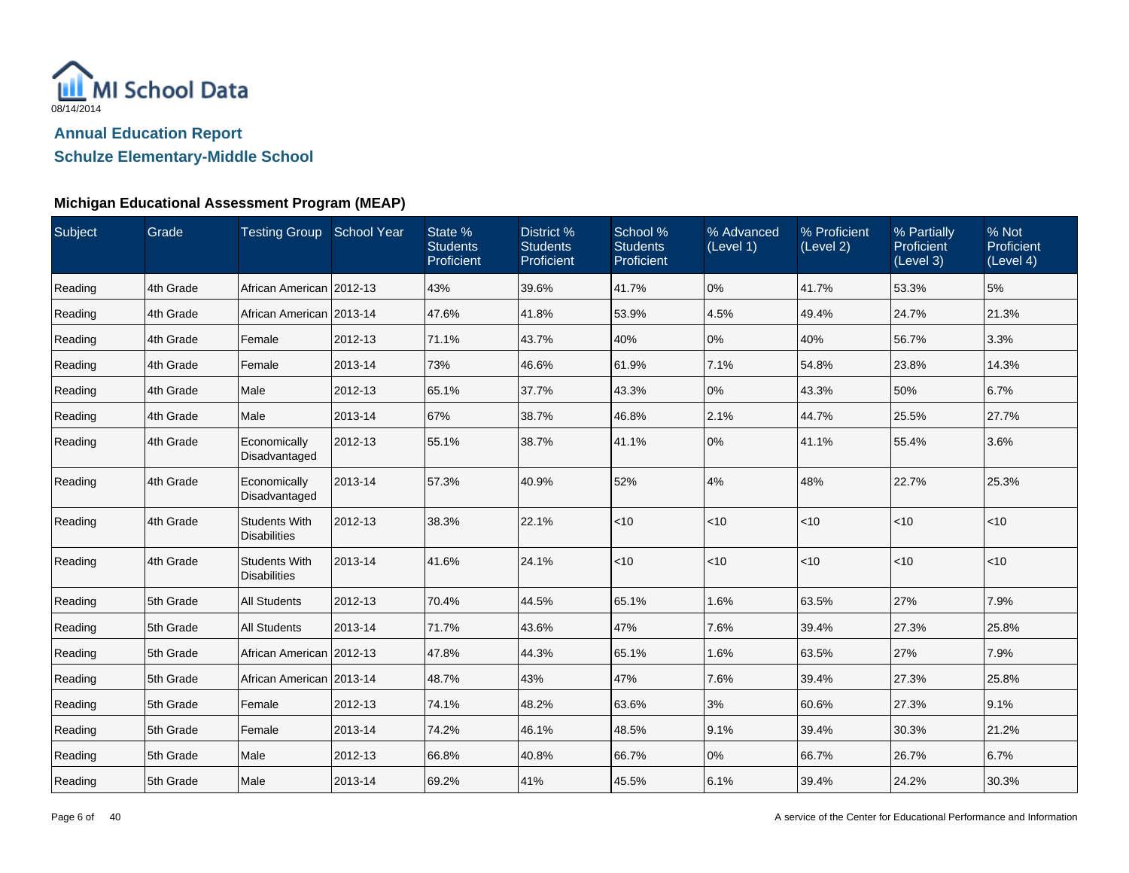

**Schulze Elementary-Middle School**

## **Michigan Educational Assessment Program (MEAP)**

| Subject | Grade     | Testing Group School Year                   |         | State %<br><b>Students</b><br>Proficient | District %<br><b>Students</b><br>Proficient | School %<br><b>Students</b><br>Proficient | % Advanced<br>(Level 1) | % Proficient<br>(Level 2) | % Partially<br>Proficient<br>(Level 3) | % Not<br>Proficient<br>(Level 4) |
|---------|-----------|---------------------------------------------|---------|------------------------------------------|---------------------------------------------|-------------------------------------------|-------------------------|---------------------------|----------------------------------------|----------------------------------|
| Reading | 4th Grade | African American 2012-13                    |         | 43%                                      | 39.6%                                       | 41.7%                                     | 0%                      | 41.7%                     | 53.3%                                  | 5%                               |
| Reading | 4th Grade | African American   2013-14                  |         | 47.6%                                    | 41.8%                                       | 53.9%                                     | 4.5%                    | 49.4%                     | 24.7%                                  | 21.3%                            |
| Reading | 4th Grade | Female                                      | 2012-13 | 71.1%                                    | 43.7%                                       | 40%                                       | 0%                      | 40%                       | 56.7%                                  | 3.3%                             |
| Reading | 4th Grade | Female                                      | 2013-14 | 73%                                      | 46.6%                                       | 61.9%                                     | 7.1%                    | 54.8%                     | 23.8%                                  | 14.3%                            |
| Reading | 4th Grade | Male                                        | 2012-13 | 65.1%                                    | 37.7%                                       | 43.3%                                     | 0%                      | 43.3%                     | 50%                                    | 6.7%                             |
| Reading | 4th Grade | Male                                        | 2013-14 | 67%                                      | 38.7%                                       | 46.8%                                     | 2.1%                    | 44.7%                     | 25.5%                                  | 27.7%                            |
| Reading | 4th Grade | Economically<br>Disadvantaged               | 2012-13 | 55.1%                                    | 38.7%                                       | 41.1%                                     | 0%                      | 41.1%                     | 55.4%                                  | 3.6%                             |
| Reading | 4th Grade | Economically<br>Disadvantaged               | 2013-14 | 57.3%                                    | 40.9%                                       | 52%                                       | 4%                      | 48%                       | 22.7%                                  | 25.3%                            |
| Reading | 4th Grade | <b>Students With</b><br><b>Disabilities</b> | 2012-13 | 38.3%                                    | 22.1%                                       | < 10                                      | < 10                    | $ $ < 10                  | < 10                                   | < 10                             |
| Reading | 4th Grade | <b>Students With</b><br><b>Disabilities</b> | 2013-14 | 41.6%                                    | 24.1%                                       | $<10$                                     | < 10                    | $ $ < 10                  | < 10                                   | < 10                             |
| Reading | 5th Grade | <b>All Students</b>                         | 2012-13 | 70.4%                                    | 44.5%                                       | 65.1%                                     | 1.6%                    | 63.5%                     | 27%                                    | 7.9%                             |
| Reading | 5th Grade | <b>All Students</b>                         | 2013-14 | 71.7%                                    | 43.6%                                       | 47%                                       | 7.6%                    | 39.4%                     | 27.3%                                  | 25.8%                            |
| Reading | 5th Grade | African American 2012-13                    |         | 47.8%                                    | 44.3%                                       | 65.1%                                     | 1.6%                    | 63.5%                     | 27%                                    | 7.9%                             |
| Reading | 5th Grade | African American 2013-14                    |         | 48.7%                                    | 43%                                         | 47%                                       | 7.6%                    | 39.4%                     | 27.3%                                  | 25.8%                            |
| Reading | 5th Grade | Female                                      | 2012-13 | 74.1%                                    | 48.2%                                       | 63.6%                                     | 3%                      | 60.6%                     | 27.3%                                  | 9.1%                             |
| Reading | 5th Grade | Female                                      | 2013-14 | 74.2%                                    | 46.1%                                       | 48.5%                                     | 9.1%                    | 39.4%                     | 30.3%                                  | 21.2%                            |
| Reading | 5th Grade | Male                                        | 2012-13 | 66.8%                                    | 40.8%                                       | 66.7%                                     | 0%                      | 66.7%                     | 26.7%                                  | 6.7%                             |
| Reading | 5th Grade | Male                                        | 2013-14 | 69.2%                                    | 41%                                         | 45.5%                                     | 6.1%                    | 39.4%                     | 24.2%                                  | 30.3%                            |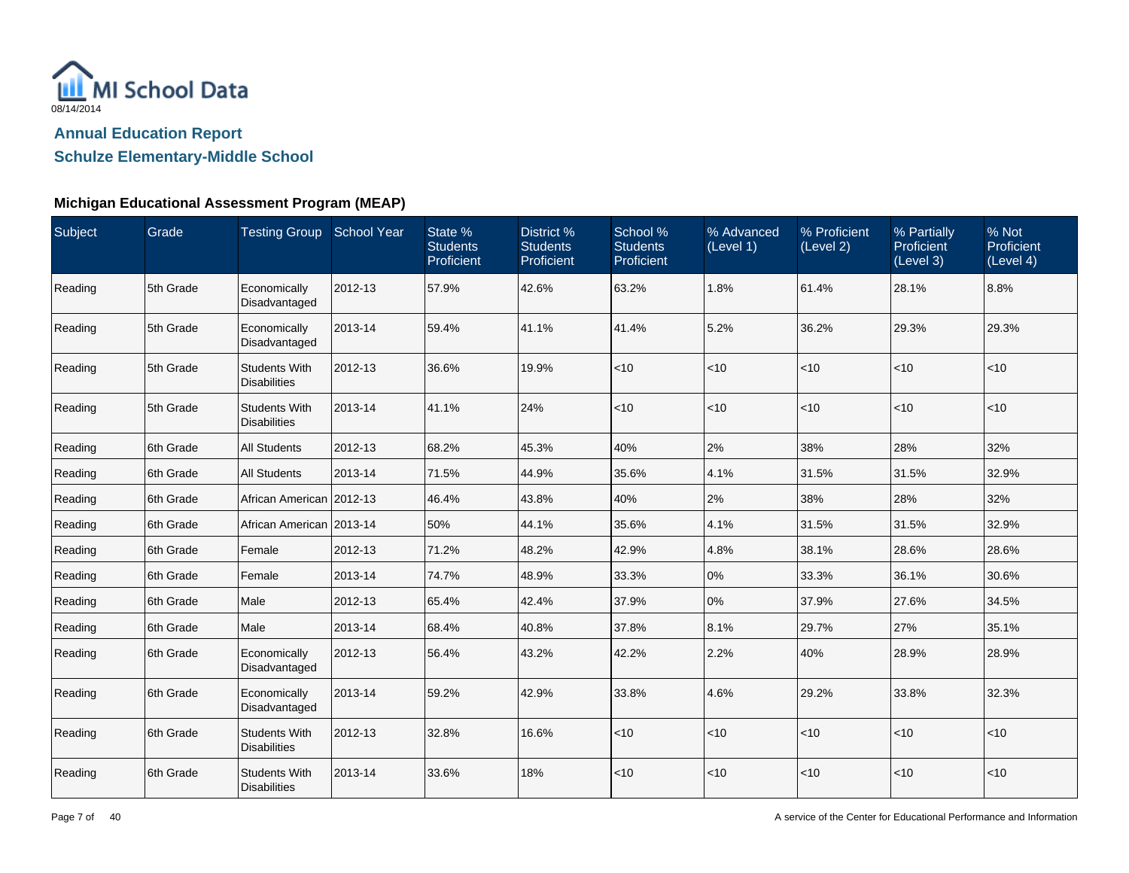

## **Schulze Elementary-Middle School**

### **Michigan Educational Assessment Program (MEAP)**

| Subject | Grade     | Testing Group School Year                   |         | State %<br><b>Students</b><br>Proficient | District %<br><b>Students</b><br>Proficient | School %<br><b>Students</b><br>Proficient | % Advanced<br>(Level 1) | % Proficient<br>(Level 2) | % Partially<br>Proficient<br>(Level 3) | % Not<br>Proficient<br>(Level 4) |
|---------|-----------|---------------------------------------------|---------|------------------------------------------|---------------------------------------------|-------------------------------------------|-------------------------|---------------------------|----------------------------------------|----------------------------------|
| Reading | 5th Grade | Economically<br>Disadvantaged               | 2012-13 | 57.9%                                    | 42.6%                                       | 63.2%                                     | 1.8%                    | 61.4%                     | 28.1%                                  | 8.8%                             |
| Reading | 5th Grade | Economically<br>Disadvantaged               | 2013-14 | 59.4%                                    | 41.1%                                       | 41.4%                                     | 5.2%                    | 36.2%                     | 29.3%                                  | 29.3%                            |
| Reading | 5th Grade | <b>Students With</b><br><b>Disabilities</b> | 2012-13 | 36.6%                                    | 19.9%                                       | $<$ 10                                    | $<$ 10                  | $<$ 10                    | $<$ 10                                 | < 10                             |
| Reading | 5th Grade | <b>Students With</b><br><b>Disabilities</b> | 2013-14 | 41.1%                                    | 24%                                         | < 10                                      | $<$ 10                  | $<$ 10                    | $<$ 10                                 | < 10                             |
| Reading | 6th Grade | <b>All Students</b>                         | 2012-13 | 68.2%                                    | 45.3%                                       | 40%                                       | 2%                      | 38%                       | 28%                                    | 32%                              |
| Reading | 6th Grade | <b>All Students</b>                         | 2013-14 | 71.5%                                    | 44.9%                                       | 35.6%                                     | 4.1%                    | 31.5%                     | 31.5%                                  | 32.9%                            |
| Reading | 6th Grade | African American 2012-13                    |         | 46.4%                                    | 43.8%                                       | 40%                                       | 2%                      | 38%                       | 28%                                    | 32%                              |
| Reading | 6th Grade | African American   2013-14                  |         | 50%                                      | 44.1%                                       | 35.6%                                     | 4.1%                    | 31.5%                     | 31.5%                                  | 32.9%                            |
| Reading | 6th Grade | Female                                      | 2012-13 | 71.2%                                    | 48.2%                                       | 42.9%                                     | 4.8%                    | 38.1%                     | 28.6%                                  | 28.6%                            |
| Reading | 6th Grade | Female                                      | 2013-14 | 74.7%                                    | 48.9%                                       | 33.3%                                     | $0\%$                   | 33.3%                     | 36.1%                                  | 30.6%                            |
| Reading | 6th Grade | Male                                        | 2012-13 | 65.4%                                    | 42.4%                                       | 37.9%                                     | 0%                      | 37.9%                     | 27.6%                                  | 34.5%                            |
| Reading | 6th Grade | Male                                        | 2013-14 | 68.4%                                    | 40.8%                                       | 37.8%                                     | 8.1%                    | 29.7%                     | 27%                                    | 35.1%                            |
| Reading | 6th Grade | Economically<br>Disadvantaged               | 2012-13 | 56.4%                                    | 43.2%                                       | 42.2%                                     | 2.2%                    | 40%                       | 28.9%                                  | 28.9%                            |
| Reading | 6th Grade | Economically<br>Disadvantaged               | 2013-14 | 59.2%                                    | 42.9%                                       | 33.8%                                     | 4.6%                    | 29.2%                     | 33.8%                                  | 32.3%                            |
| Reading | 6th Grade | <b>Students With</b><br><b>Disabilities</b> | 2012-13 | 32.8%                                    | 16.6%                                       | < 10                                      | $<$ 10                  | $<$ 10                    | < 10                                   | $<$ 10                           |
| Reading | 6th Grade | <b>Students With</b><br><b>Disabilities</b> | 2013-14 | 33.6%                                    | 18%                                         | < 10                                      | <10                     | $<$ 10                    | $<$ 10                                 | $<$ 10                           |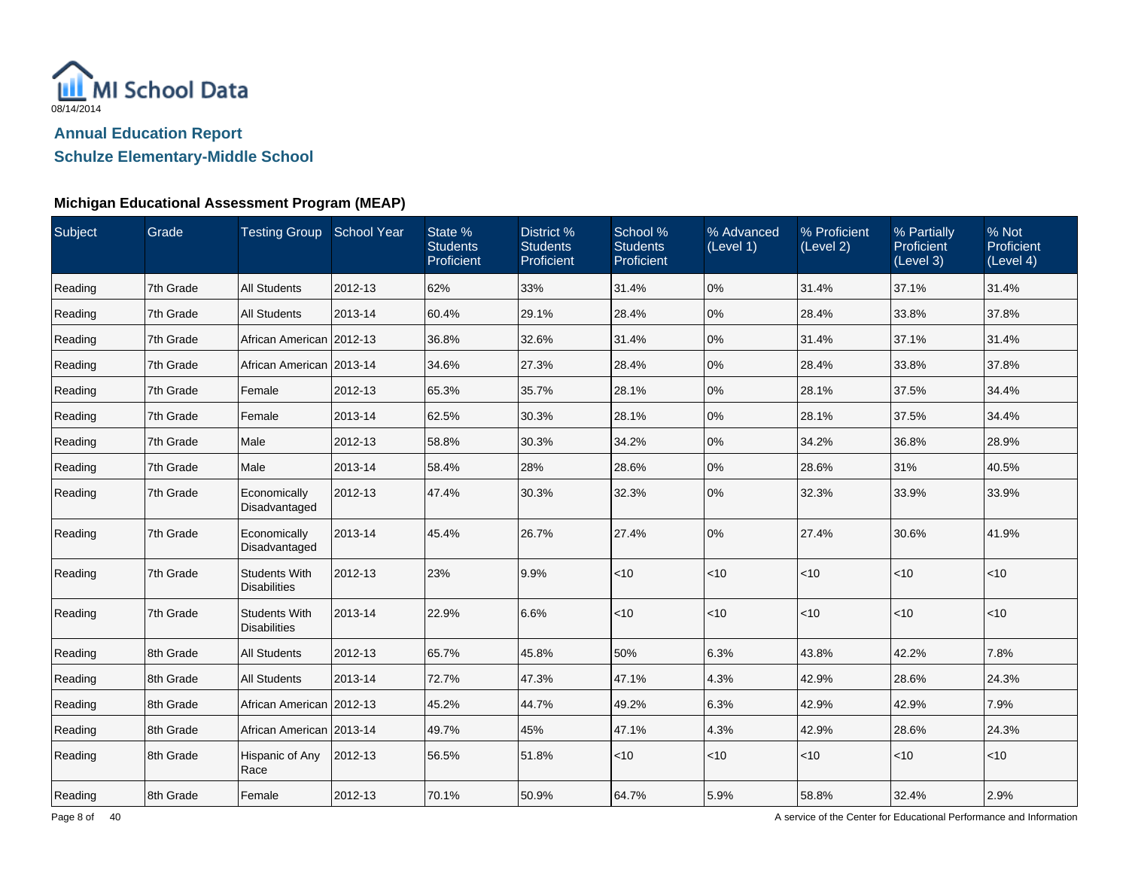

**Schulze Elementary-Middle School**

## **Michigan Educational Assessment Program (MEAP)**

| Subject | Grade     | Testing Group School Year                   |         | State %<br><b>Students</b><br>Proficient | District %<br><b>Students</b><br>Proficient | School %<br><b>Students</b><br>Proficient | % Advanced<br>(Level 1) | % Proficient<br>(Level 2) | % Partially<br>Proficient<br>(Level 3) | % Not<br>Proficient<br>(Level 4) |
|---------|-----------|---------------------------------------------|---------|------------------------------------------|---------------------------------------------|-------------------------------------------|-------------------------|---------------------------|----------------------------------------|----------------------------------|
| Reading | 7th Grade | <b>All Students</b>                         | 2012-13 | 62%                                      | 33%                                         | 31.4%                                     | 0%                      | 31.4%                     | 37.1%                                  | 31.4%                            |
| Reading | 7th Grade | <b>All Students</b>                         | 2013-14 | 60.4%                                    | 29.1%                                       | 28.4%                                     | 0%                      | 28.4%                     | 33.8%                                  | 37.8%                            |
| Reading | 7th Grade | African American   2012-13                  |         | 36.8%                                    | 32.6%                                       | 31.4%                                     | 0%                      | 31.4%                     | 37.1%                                  | 31.4%                            |
| Reading | 7th Grade | African American 2013-14                    |         | 34.6%                                    | 27.3%                                       | 28.4%                                     | 0%                      | 28.4%                     | 33.8%                                  | 37.8%                            |
| Reading | 7th Grade | Female                                      | 2012-13 | 65.3%                                    | 35.7%                                       | 28.1%                                     | 0%                      | 28.1%                     | 37.5%                                  | 34.4%                            |
| Reading | 7th Grade | Female                                      | 2013-14 | 62.5%                                    | 30.3%                                       | 28.1%                                     | 0%                      | 28.1%                     | 37.5%                                  | 34.4%                            |
| Reading | 7th Grade | Male                                        | 2012-13 | 58.8%                                    | 30.3%                                       | 34.2%                                     | 0%                      | 34.2%                     | 36.8%                                  | 28.9%                            |
| Reading | 7th Grade | Male                                        | 2013-14 | 58.4%                                    | 28%                                         | 28.6%                                     | 0%                      | 28.6%                     | 31%                                    | 40.5%                            |
| Reading | 7th Grade | Economically<br>Disadvantaged               | 2012-13 | 47.4%                                    | 30.3%                                       | 32.3%                                     | 0%                      | 32.3%                     | 33.9%                                  | 33.9%                            |
| Reading | 7th Grade | Economically<br>Disadvantaged               | 2013-14 | 45.4%                                    | 26.7%                                       | 27.4%                                     | 0%                      | 27.4%                     | 30.6%                                  | 41.9%                            |
| Reading | 7th Grade | <b>Students With</b><br><b>Disabilities</b> | 2012-13 | 23%                                      | 9.9%                                        | <10                                       | < 10                    | $<$ 10                    | < 10                                   | $ $ < 10                         |
| Reading | 7th Grade | <b>Students With</b><br><b>Disabilities</b> | 2013-14 | 22.9%                                    | 6.6%                                        | < 10                                      | < 10                    | $<$ 10                    | < 10                                   | $ $ < 10                         |
| Reading | 8th Grade | <b>All Students</b>                         | 2012-13 | 65.7%                                    | 45.8%                                       | 50%                                       | 6.3%                    | 43.8%                     | 42.2%                                  | 7.8%                             |
| Reading | 8th Grade | <b>All Students</b>                         | 2013-14 | 72.7%                                    | 47.3%                                       | 47.1%                                     | 4.3%                    | 42.9%                     | 28.6%                                  | 24.3%                            |
| Reading | 8th Grade | African American 2012-13                    |         | 45.2%                                    | 44.7%                                       | 49.2%                                     | 6.3%                    | 42.9%                     | 42.9%                                  | 7.9%                             |
| Reading | 8th Grade | African American 2013-14                    |         | 49.7%                                    | 45%                                         | 47.1%                                     | 4.3%                    | 42.9%                     | 28.6%                                  | 24.3%                            |
| Reading | 8th Grade | Hispanic of Any<br>Race                     | 2012-13 | 56.5%                                    | 51.8%                                       | $<$ 10                                    | < 10                    | $<$ 10                    | $<$ 10                                 | $ $ < 10                         |
| Reading | 8th Grade | Female                                      | 2012-13 | 70.1%                                    | 50.9%                                       | 64.7%                                     | 5.9%                    | 58.8%                     | 32.4%                                  | 2.9%                             |

A service of the Center for Educational Performance and Information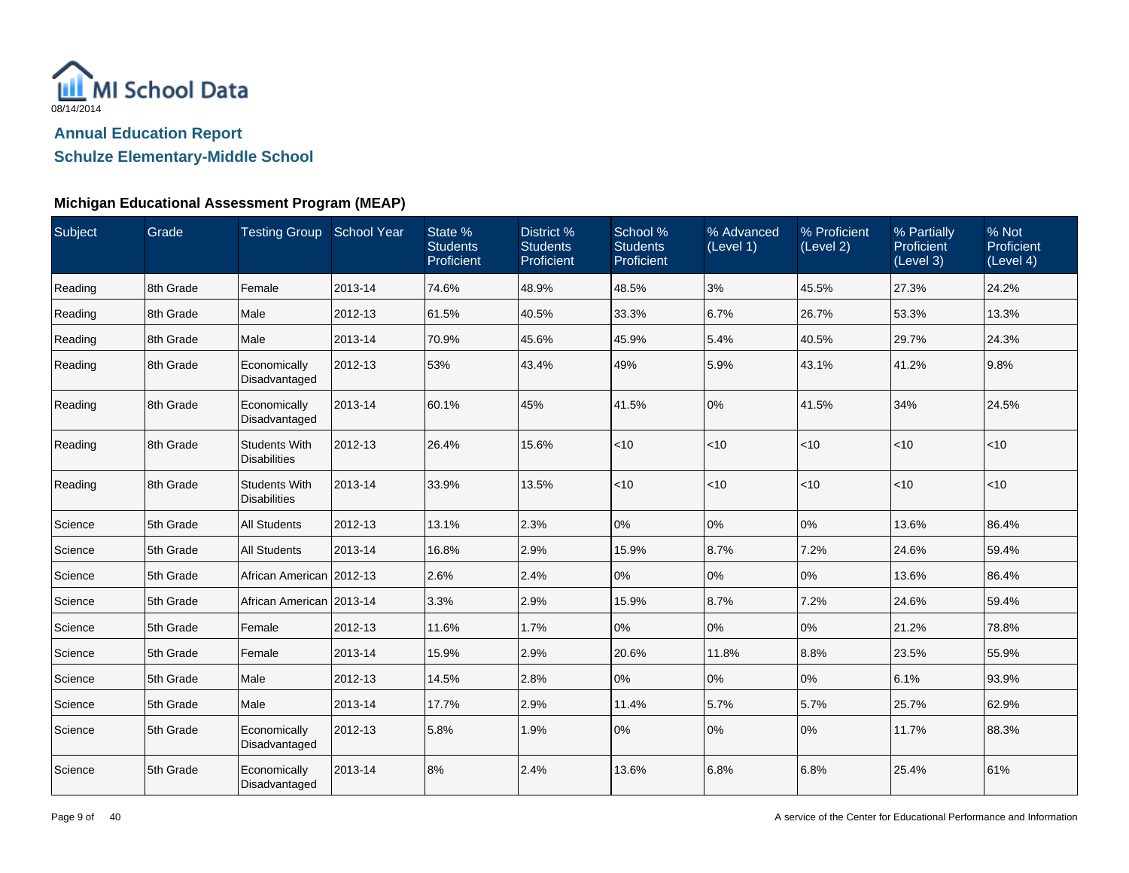

**Schulze Elementary-Middle School**

## **Michigan Educational Assessment Program (MEAP)**

| Subject | Grade     | Testing Group School Year                   |         | State %<br><b>Students</b><br>Proficient | District %<br><b>Students</b><br>Proficient | School %<br><b>Students</b><br>Proficient | % Advanced<br>(Level 1) | % Proficient<br>(Level 2) | % Partially<br>Proficient<br>(Level 3) | % Not<br><b>Proficient</b><br>(Level 4) |
|---------|-----------|---------------------------------------------|---------|------------------------------------------|---------------------------------------------|-------------------------------------------|-------------------------|---------------------------|----------------------------------------|-----------------------------------------|
| Reading | 8th Grade | Female                                      | 2013-14 | 74.6%                                    | 48.9%                                       | 48.5%                                     | 3%                      | 45.5%                     | 27.3%                                  | 24.2%                                   |
| Reading | 8th Grade | Male                                        | 2012-13 | 61.5%                                    | 40.5%                                       | 33.3%                                     | 6.7%                    | 26.7%                     | 53.3%                                  | 13.3%                                   |
| Reading | 8th Grade | Male                                        | 2013-14 | 70.9%                                    | 45.6%                                       | 45.9%                                     | 5.4%                    | 40.5%                     | 29.7%                                  | 24.3%                                   |
| Reading | 8th Grade | Economically<br>Disadvantaged               | 2012-13 | 53%                                      | 43.4%                                       | 49%                                       | 5.9%                    | 43.1%                     | 41.2%                                  | 9.8%                                    |
| Reading | 8th Grade | Economically<br>Disadvantaged               | 2013-14 | 60.1%                                    | 45%                                         | 41.5%                                     | 0%                      | 41.5%                     | 34%                                    | 24.5%                                   |
| Reading | 8th Grade | <b>Students With</b><br><b>Disabilities</b> | 2012-13 | 26.4%                                    | 15.6%                                       | <10                                       | <10                     | $<$ 10                    | $<$ 10                                 | < 10                                    |
| Reading | 8th Grade | <b>Students With</b><br><b>Disabilities</b> | 2013-14 | 33.9%                                    | 13.5%                                       | < 10                                      | < 10                    | $<$ 10                    | $<$ 10                                 | < 10                                    |
| Science | 5th Grade | <b>All Students</b>                         | 2012-13 | 13.1%                                    | 2.3%                                        | $0\%$                                     | 0%                      | 0%                        | 13.6%                                  | 86.4%                                   |
| Science | 5th Grade | <b>All Students</b>                         | 2013-14 | 16.8%                                    | 2.9%                                        | 15.9%                                     | 8.7%                    | 7.2%                      | 24.6%                                  | 59.4%                                   |
| Science | 5th Grade | African American 2012-13                    |         | 2.6%                                     | 2.4%                                        | 0%                                        | 0%                      | 0%                        | 13.6%                                  | 86.4%                                   |
| Science | 5th Grade | African American   2013-14                  |         | 3.3%                                     | 2.9%                                        | 15.9%                                     | 8.7%                    | 7.2%                      | 24.6%                                  | 59.4%                                   |
| Science | 5th Grade | Female                                      | 2012-13 | 11.6%                                    | 1.7%                                        | 0%                                        | 0%                      | 0%                        | 21.2%                                  | 78.8%                                   |
| Science | 5th Grade | Female                                      | 2013-14 | 15.9%                                    | 2.9%                                        | 20.6%                                     | 11.8%                   | 8.8%                      | 23.5%                                  | 55.9%                                   |
| Science | 5th Grade | Male                                        | 2012-13 | 14.5%                                    | 2.8%                                        | 0%                                        | 0%                      | 10%                       | 6.1%                                   | 93.9%                                   |
| Science | 5th Grade | Male                                        | 2013-14 | 17.7%                                    | 2.9%                                        | 11.4%                                     | 5.7%                    | 5.7%                      | 25.7%                                  | 62.9%                                   |
| Science | 5th Grade | Economically<br>Disadvantaged               | 2012-13 | 5.8%                                     | 1.9%                                        | 0%                                        | 0%                      | 0%                        | 11.7%                                  | 88.3%                                   |
| Science | 5th Grade | Economically<br>Disadvantaged               | 2013-14 | 8%                                       | 2.4%                                        | 13.6%                                     | 6.8%                    | 6.8%                      | 25.4%                                  | 61%                                     |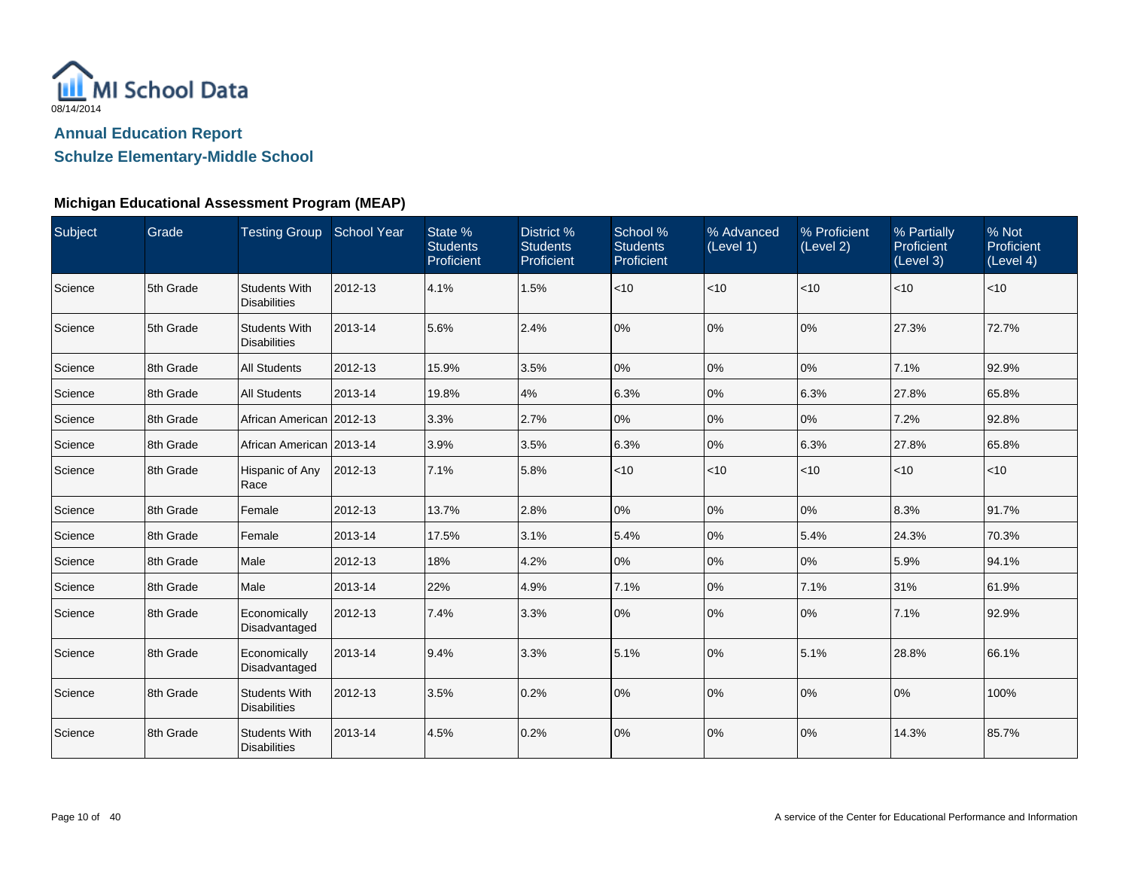

## **Schulze Elementary-Middle School**

### **Michigan Educational Assessment Program (MEAP)**

| Subject | Grade     | <b>Testing Group School Year</b>            |         | State %<br><b>Students</b><br>Proficient | District %<br><b>Students</b><br>Proficient | School %<br><b>Students</b><br>Proficient | % Advanced<br>(Level 1) | % Proficient<br>(Level 2) | % Partially<br><b>Proficient</b><br>(Level 3) | % Not<br>Proficient<br>(Level 4) |
|---------|-----------|---------------------------------------------|---------|------------------------------------------|---------------------------------------------|-------------------------------------------|-------------------------|---------------------------|-----------------------------------------------|----------------------------------|
| Science | 5th Grade | <b>Students With</b><br><b>Disabilities</b> | 2012-13 | 4.1%                                     | 1.5%                                        | < 10                                      | < 10                    | $ $ < 10                  | < 10                                          | < 10                             |
| Science | 5th Grade | <b>Students With</b><br><b>Disabilities</b> | 2013-14 | 5.6%                                     | 2.4%                                        | 0%                                        | $0\%$                   | 0%                        | 27.3%                                         | 72.7%                            |
| Science | 8th Grade | <b>All Students</b>                         | 2012-13 | 15.9%                                    | 3.5%                                        | 0%                                        | 0%                      | 0%                        | 7.1%                                          | 92.9%                            |
| Science | 8th Grade | <b>All Students</b>                         | 2013-14 | 19.8%                                    | 4%                                          | 6.3%                                      | 0%                      | 6.3%                      | 27.8%                                         | 65.8%                            |
| Science | 8th Grade | African American   2012-13                  |         | 3.3%                                     | 2.7%                                        | 0%                                        | 0%                      | $ 0\%$                    | 7.2%                                          | 92.8%                            |
| Science | 8th Grade | African American   2013-14                  |         | 3.9%                                     | 3.5%                                        | 6.3%                                      | 0%                      | 6.3%                      | 27.8%                                         | 65.8%                            |
| Science | 8th Grade | Hispanic of Any<br>Race                     | 2012-13 | 7.1%                                     | 5.8%                                        | < 10                                      | < 10                    | $ $ < 10                  | $<$ 10                                        | < 10                             |
| Science | 8th Grade | Female                                      | 2012-13 | 13.7%                                    | 2.8%                                        | 0%                                        | 0%                      | 0%                        | 8.3%                                          | 91.7%                            |
| Science | 8th Grade | Female                                      | 2013-14 | 17.5%                                    | 3.1%                                        | 5.4%                                      | 0%                      | 5.4%                      | 24.3%                                         | 70.3%                            |
| Science | 8th Grade | Male                                        | 2012-13 | 18%                                      | 4.2%                                        | 0%                                        | 0%                      | 0%                        | 5.9%                                          | 94.1%                            |
| Science | 8th Grade | Male                                        | 2013-14 | 22%                                      | 4.9%                                        | 7.1%                                      | 0%                      | 7.1%                      | 31%                                           | 61.9%                            |
| Science | 8th Grade | Economically<br>Disadvantaged               | 2012-13 | 7.4%                                     | 3.3%                                        | 0%                                        | 0%                      | 0%                        | 7.1%                                          | 92.9%                            |
| Science | 8th Grade | Economically<br>Disadvantaged               | 2013-14 | 9.4%                                     | 3.3%                                        | 5.1%                                      | 0%                      | 5.1%                      | 28.8%                                         | 66.1%                            |
| Science | 8th Grade | <b>Students With</b><br><b>Disabilities</b> | 2012-13 | 3.5%                                     | 0.2%                                        | 0%                                        | 0%                      | 0%                        | 0%                                            | 100%                             |
| Science | 8th Grade | <b>Students With</b><br><b>Disabilities</b> | 2013-14 | 4.5%                                     | 0.2%                                        | 0%                                        | 0%                      | 0%                        | 14.3%                                         | 85.7%                            |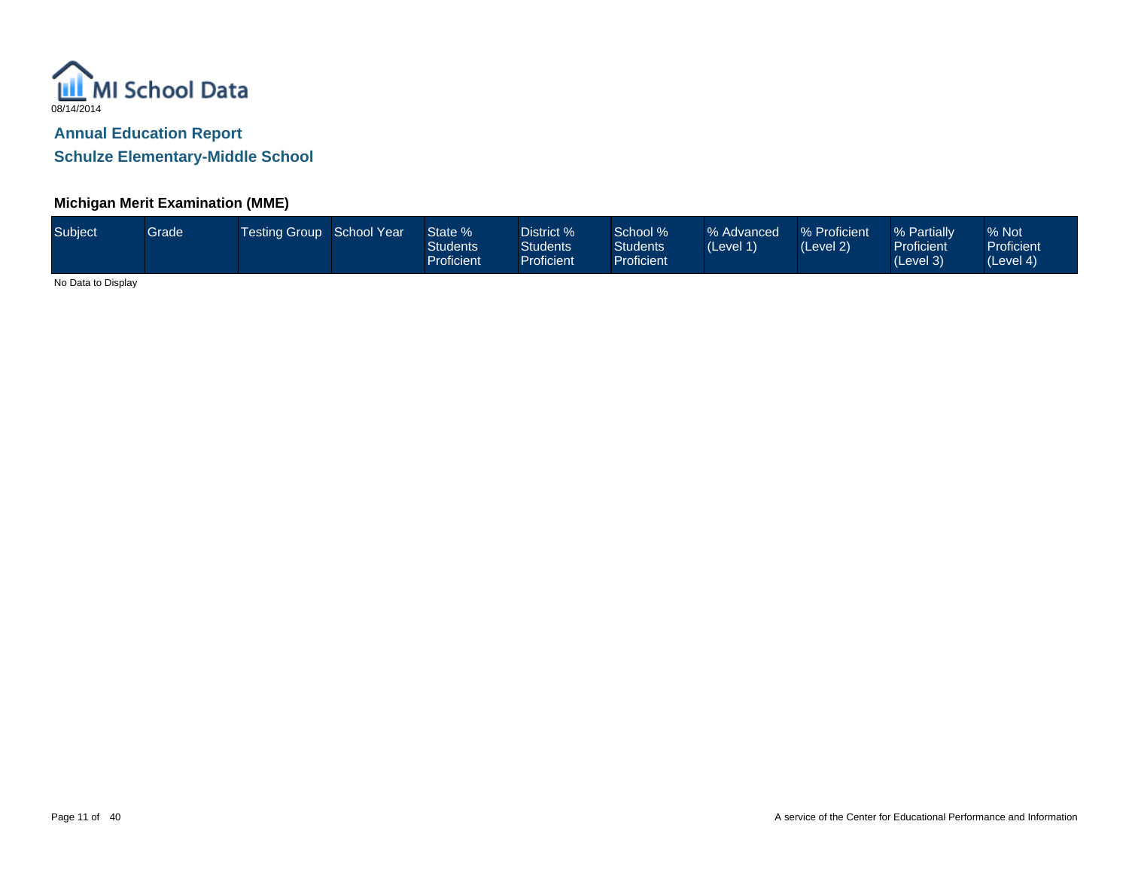

### **Michigan Merit Examination (MME)**

| Subject | Grade | <b>Testing Group School Year</b> |  | State %<br><b>Students</b><br>Proficient | District %<br>Students<br><b>Proficient</b> | School %<br>Students<br><b>Proficient</b> | % Advanced<br>(Level 1) | % Proficient<br>(Level 2) | % Partially<br>Proficient<br>(Level 3) | % Not<br><b>Proficient</b><br>(Level 4) |
|---------|-------|----------------------------------|--|------------------------------------------|---------------------------------------------|-------------------------------------------|-------------------------|---------------------------|----------------------------------------|-----------------------------------------|
|---------|-------|----------------------------------|--|------------------------------------------|---------------------------------------------|-------------------------------------------|-------------------------|---------------------------|----------------------------------------|-----------------------------------------|

No Data to Display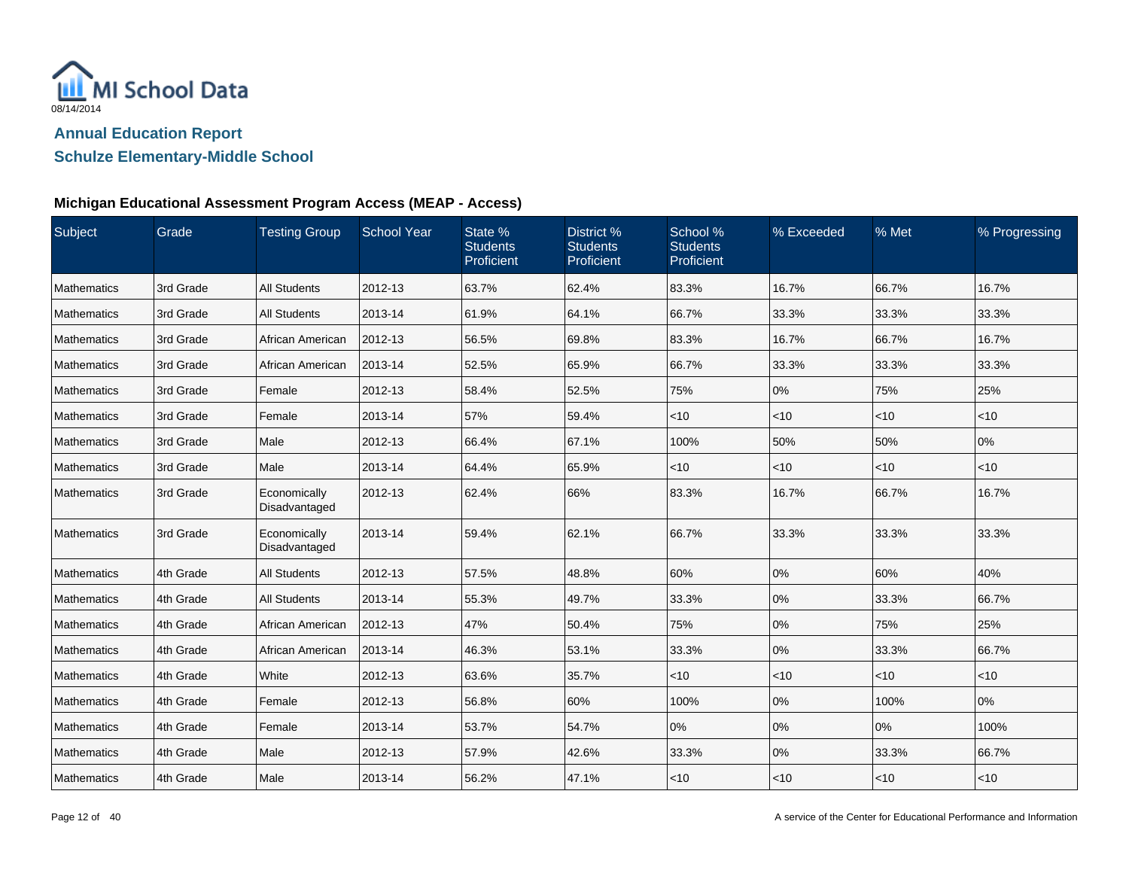

## **Schulze Elementary-Middle School**

| Subject            | Grade     | <b>Testing Group</b>          | <b>School Year</b> | State %<br><b>Students</b><br>Proficient | District %<br><b>Students</b><br>Proficient | School %<br><b>Students</b><br>Proficient | % Exceeded | % Met  | % Progressing |
|--------------------|-----------|-------------------------------|--------------------|------------------------------------------|---------------------------------------------|-------------------------------------------|------------|--------|---------------|
| Mathematics        | 3rd Grade | <b>All Students</b>           | 2012-13            | 63.7%                                    | 62.4%                                       | 83.3%                                     | 16.7%      | 66.7%  | 16.7%         |
| <b>Mathematics</b> | 3rd Grade | <b>All Students</b>           | 2013-14            | 61.9%                                    | 64.1%                                       | 66.7%                                     | 33.3%      | 33.3%  | 33.3%         |
| <b>Mathematics</b> | 3rd Grade | African American              | 2012-13            | 56.5%                                    | 69.8%                                       | 83.3%                                     | 16.7%      | 66.7%  | 16.7%         |
| <b>Mathematics</b> | 3rd Grade | African American              | 2013-14            | 52.5%                                    | 65.9%                                       | 66.7%                                     | 33.3%      | 33.3%  | 33.3%         |
| Mathematics        | 3rd Grade | Female                        | 2012-13            | 58.4%                                    | 52.5%                                       | 75%                                       | 0%         | 75%    | 25%           |
| <b>Mathematics</b> | 3rd Grade | Female                        | 2013-14            | 57%                                      | 59.4%                                       | $<$ 10                                    | $<$ 10     | < 10   | $<$ 10        |
| Mathematics        | 3rd Grade | Male                          | 2012-13            | 66.4%                                    | 67.1%                                       | 100%                                      | 50%        | 50%    | 0%            |
| Mathematics        | 3rd Grade | Male                          | 2013-14            | 64.4%                                    | 65.9%                                       | $<$ 10                                    | $<$ 10     | < 10   | $<$ 10        |
| <b>Mathematics</b> | 3rd Grade | Economically<br>Disadvantaged | 2012-13            | 62.4%                                    | 66%                                         | 83.3%                                     | 16.7%      | 66.7%  | 16.7%         |
| Mathematics        | 3rd Grade | Economically<br>Disadvantaged | 2013-14            | 59.4%                                    | 62.1%                                       | 66.7%                                     | 33.3%      | 33.3%  | 33.3%         |
| Mathematics        | 4th Grade | <b>All Students</b>           | 2012-13            | 57.5%                                    | 48.8%                                       | 60%                                       | 0%         | 60%    | 40%           |
| Mathematics        | 4th Grade | <b>All Students</b>           | 2013-14            | 55.3%                                    | 49.7%                                       | 33.3%                                     | 0%         | 33.3%  | 66.7%         |
| Mathematics        | 4th Grade | African American              | 2012-13            | 47%                                      | 50.4%                                       | 75%                                       | 0%         | 75%    | 25%           |
| <b>Mathematics</b> | 4th Grade | African American              | 2013-14            | 46.3%                                    | 53.1%                                       | 33.3%                                     | 0%         | 33.3%  | 66.7%         |
| Mathematics        | 4th Grade | White                         | 2012-13            | 63.6%                                    | 35.7%                                       | < 10                                      | < 10       | $<$ 10 | < 10          |
| Mathematics        | 4th Grade | Female                        | 2012-13            | 56.8%                                    | 60%                                         | 100%                                      | 0%         | 100%   | 0%            |
| <b>Mathematics</b> | 4th Grade | Female                        | 2013-14            | 53.7%                                    | 54.7%                                       | 0%                                        | 0%         | 0%     | 100%          |
| Mathematics        | 4th Grade | Male                          | 2012-13            | 57.9%                                    | 42.6%                                       | 33.3%                                     | 0%         | 33.3%  | 66.7%         |
| Mathematics        | 4th Grade | Male                          | 2013-14            | 56.2%                                    | 47.1%                                       | $<$ 10                                    | $<$ 10     | $<$ 10 | $<$ 10        |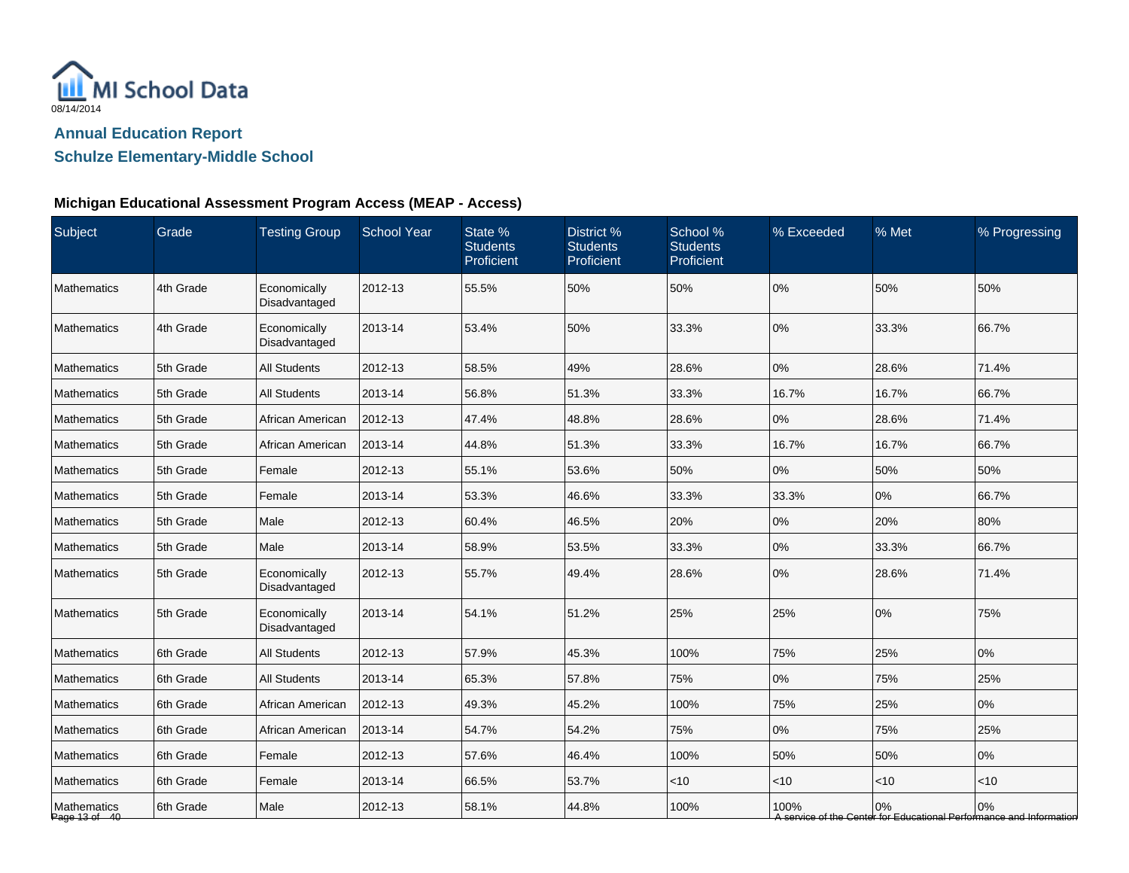

# **Schulze Elementary-Middle School**

| Subject                      | Grade     | <b>Testing Group</b>          | <b>School Year</b> | State %<br><b>Students</b><br>Proficient | District %<br><b>Students</b><br>Proficient | School %<br><b>Students</b><br>Proficient | % Exceeded | % Met | % Progressing                                                             |
|------------------------------|-----------|-------------------------------|--------------------|------------------------------------------|---------------------------------------------|-------------------------------------------|------------|-------|---------------------------------------------------------------------------|
| Mathematics                  | 4th Grade | Economically<br>Disadvantaged | 2012-13            | 55.5%                                    | 50%                                         | 50%                                       | 0%         | 50%   | 50%                                                                       |
| Mathematics                  | 4th Grade | Economically<br>Disadvantaged | 2013-14            | 53.4%                                    | 50%                                         | 33.3%                                     | 0%         | 33.3% | 66.7%                                                                     |
| <b>Mathematics</b>           | 5th Grade | <b>All Students</b>           | 2012-13            | 58.5%                                    | 49%                                         | 28.6%                                     | 0%         | 28.6% | 71.4%                                                                     |
| Mathematics                  | 5th Grade | <b>All Students</b>           | 2013-14            | 56.8%                                    | 51.3%                                       | 33.3%                                     | 16.7%      | 16.7% | 66.7%                                                                     |
| <b>Mathematics</b>           | 5th Grade | African American              | 2012-13            | 47.4%                                    | 48.8%                                       | 28.6%                                     | $0\%$      | 28.6% | 71.4%                                                                     |
| <b>Mathematics</b>           | 5th Grade | African American              | 2013-14            | 44.8%                                    | 51.3%                                       | 33.3%                                     | 16.7%      | 16.7% | 66.7%                                                                     |
| <b>Mathematics</b>           | 5th Grade | Female                        | 2012-13            | 55.1%                                    | 53.6%                                       | 50%                                       | 0%         | 50%   | 50%                                                                       |
| <b>Mathematics</b>           | 5th Grade | Female                        | 2013-14            | 53.3%                                    | 46.6%                                       | 33.3%                                     | 33.3%      | 0%    | 66.7%                                                                     |
| Mathematics                  | 5th Grade | Male                          | 2012-13            | 60.4%                                    | 46.5%                                       | 20%                                       | $0\%$      | 20%   | 80%                                                                       |
| <b>Mathematics</b>           | 5th Grade | Male                          | 2013-14            | 58.9%                                    | 53.5%                                       | 33.3%                                     | 0%         | 33.3% | 66.7%                                                                     |
| <b>Mathematics</b>           | 5th Grade | Economically<br>Disadvantaged | 2012-13            | 55.7%                                    | 49.4%                                       | 28.6%                                     | 0%         | 28.6% | 71.4%                                                                     |
| <b>Mathematics</b>           | 5th Grade | Economically<br>Disadvantaged | 2013-14            | 54.1%                                    | 51.2%                                       | 25%                                       | 25%        | 0%    | 75%                                                                       |
| Mathematics                  | 6th Grade | <b>All Students</b>           | 2012-13            | 57.9%                                    | 45.3%                                       | 100%                                      | 75%        | 25%   | 0%                                                                        |
| Mathematics                  | 6th Grade | <b>All Students</b>           | 2013-14            | 65.3%                                    | 57.8%                                       | 75%                                       | 0%         | 75%   | 25%                                                                       |
| <b>Mathematics</b>           | 6th Grade | African American              | 2012-13            | 49.3%                                    | 45.2%                                       | 100%                                      | 75%        | 25%   | 0%                                                                        |
| <b>Mathematics</b>           | 6th Grade | African American              | 2013-14            | 54.7%                                    | 54.2%                                       | 75%                                       | $0\%$      | 75%   | 25%                                                                       |
| <b>Mathematics</b>           | 6th Grade | Female                        | 2012-13            | 57.6%                                    | 46.4%                                       | 100%                                      | 50%        | 50%   | 0%                                                                        |
| Mathematics                  | 6th Grade | Female                        | 2013-14            | 66.5%                                    | 53.7%                                       | $<$ 10                                    | $<$ 10     | < 10  | < 10                                                                      |
| Mathematics<br>Page 13 of 40 | 6th Grade | Male                          | 2012-13            | 58.1%                                    | 44.8%                                       | 100%                                      | 100%       | 0%    | 0%<br>A service of the Center for Educational Performance and Information |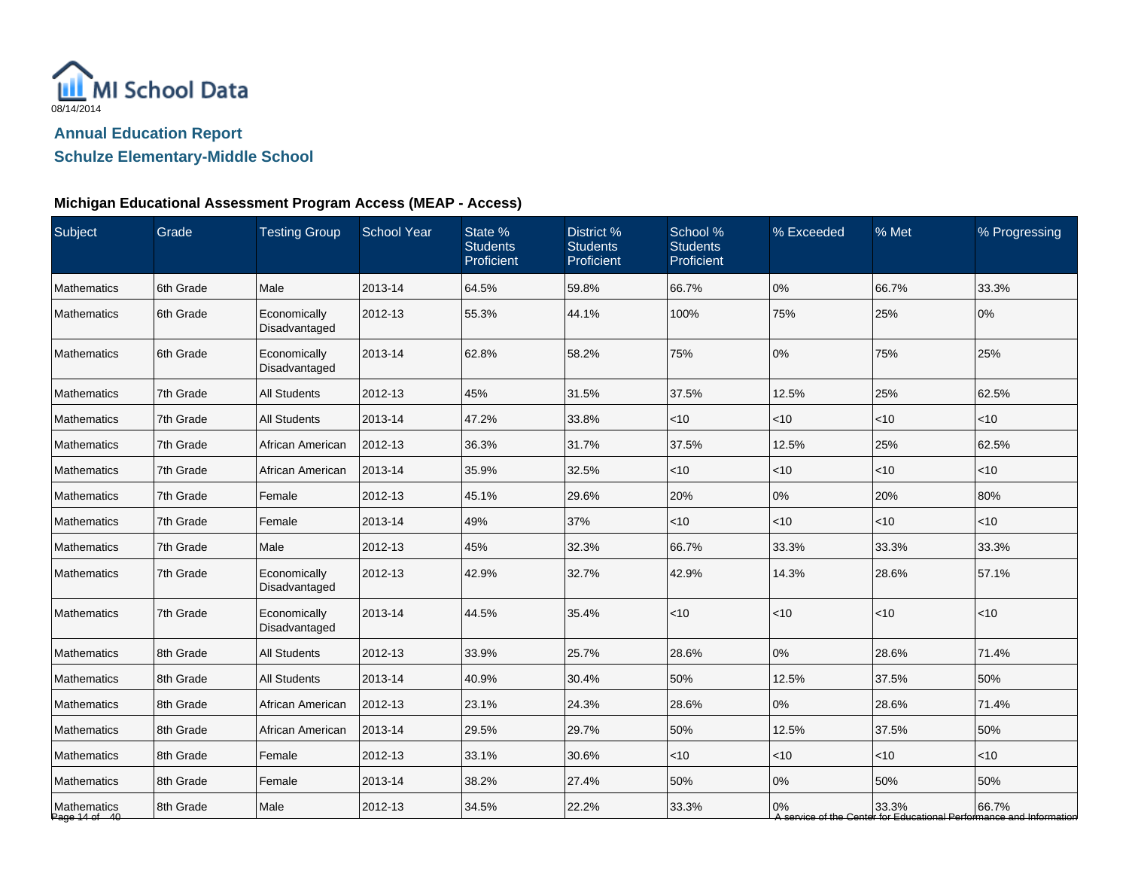

# **Schulze Elementary-Middle School**

| Subject                      | Grade     | <b>Testing Group</b>          | <b>School Year</b> | State %<br><b>Students</b><br>Proficient | District %<br><b>Students</b><br>Proficient | School %<br><b>Students</b><br><b>Proficient</b> | % Exceeded | % Met  | % Progressing                                                                |
|------------------------------|-----------|-------------------------------|--------------------|------------------------------------------|---------------------------------------------|--------------------------------------------------|------------|--------|------------------------------------------------------------------------------|
| Mathematics                  | 6th Grade | Male                          | 2013-14            | 64.5%                                    | 59.8%                                       | 66.7%                                            | 0%         | 66.7%  | 33.3%                                                                        |
| <b>Mathematics</b>           | 6th Grade | Economically<br>Disadvantaged | 2012-13            | 55.3%                                    | 44.1%                                       | 100%                                             | 75%        | 25%    | 0%                                                                           |
| <b>Mathematics</b>           | 6th Grade | Economically<br>Disadvantaged | 2013-14            | 62.8%                                    | 58.2%                                       | 75%                                              | 0%         | 75%    | 25%                                                                          |
| Mathematics                  | 7th Grade | <b>All Students</b>           | 2012-13            | 45%                                      | 31.5%                                       | 37.5%                                            | 12.5%      | 25%    | 62.5%                                                                        |
| Mathematics                  | 7th Grade | <b>All Students</b>           | 2013-14            | 47.2%                                    | 33.8%                                       | $<10$                                            | $<$ 10     | < 10   | <10                                                                          |
| <b>Mathematics</b>           | 7th Grade | African American              | 2012-13            | 36.3%                                    | 31.7%                                       | 37.5%                                            | 12.5%      | 25%    | 62.5%                                                                        |
| <b>Mathematics</b>           | 7th Grade | African American              | 2013-14            | 35.9%                                    | 32.5%                                       | $<$ 10                                           | $<$ 10     | $<$ 10 | $<$ 10                                                                       |
| <b>Mathematics</b>           | 7th Grade | Female                        | 2012-13            | 45.1%                                    | 29.6%                                       | 20%                                              | 0%         | 20%    | 80%                                                                          |
| Mathematics                  | 7th Grade | Female                        | 2013-14            | 49%                                      | 37%                                         | < 10                                             | $<$ 10     | < 10   | $<$ 10                                                                       |
| <b>Mathematics</b>           | 7th Grade | Male                          | 2012-13            | 45%                                      | 32.3%                                       | 66.7%                                            | 33.3%      | 33.3%  | 33.3%                                                                        |
| <b>Mathematics</b>           | 7th Grade | Economically<br>Disadvantaged | 2012-13            | 42.9%                                    | 32.7%                                       | 42.9%                                            | 14.3%      | 28.6%  | 57.1%                                                                        |
| Mathematics                  | 7th Grade | Economically<br>Disadvantaged | 2013-14            | 44.5%                                    | 35.4%                                       | $<10$                                            | <10        | <10    | <10                                                                          |
| Mathematics                  | 8th Grade | <b>All Students</b>           | 2012-13            | 33.9%                                    | 25.7%                                       | 28.6%                                            | 0%         | 28.6%  | 71.4%                                                                        |
| Mathematics                  | 8th Grade | <b>All Students</b>           | 2013-14            | 40.9%                                    | 30.4%                                       | 50%                                              | 12.5%      | 37.5%  | 50%                                                                          |
| <b>Mathematics</b>           | 8th Grade | African American              | 2012-13            | 23.1%                                    | 24.3%                                       | 28.6%                                            | 0%         | 28.6%  | 71.4%                                                                        |
| <b>Mathematics</b>           | 8th Grade | African American              | 2013-14            | 29.5%                                    | 29.7%                                       | 50%                                              | 12.5%      | 37.5%  | 50%                                                                          |
| <b>Mathematics</b>           | 8th Grade | Female                        | 2012-13            | 33.1%                                    | 30.6%                                       | < 10                                             | $<$ 10     | <10    | $<$ 10                                                                       |
| Mathematics                  | 8th Grade | Female                        | 2013-14            | 38.2%                                    | 27.4%                                       | 50%                                              | 0%         | 50%    | 50%                                                                          |
| Mathematics<br>Page 14 of 40 | 8th Grade | Male                          | 2012-13            | 34.5%                                    | 22.2%                                       | 33.3%                                            | 0%         | 33.3%  | 66.7%<br>A service of the Center for Educational Performance and Information |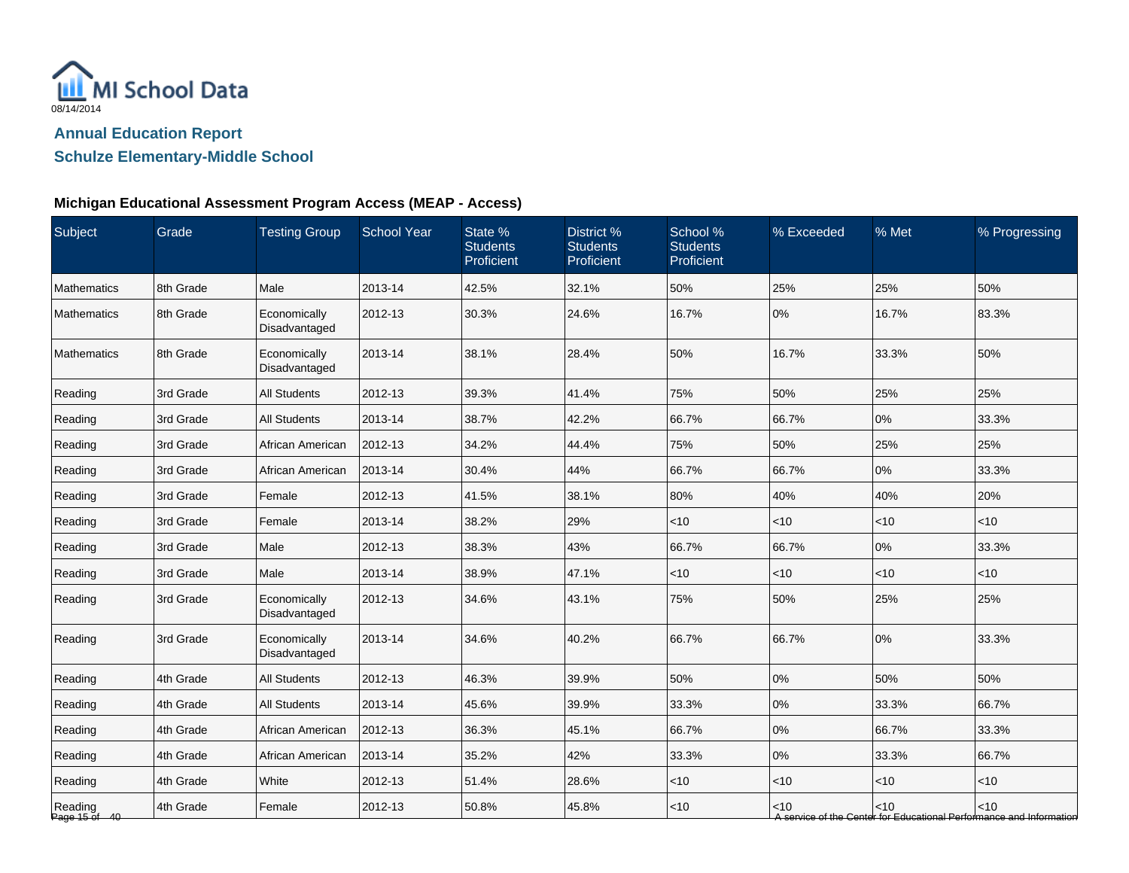

# **Schulze Elementary-Middle School**

| Subject                  | Grade     | <b>Testing Group</b>          | <b>School Year</b> | State %<br><b>Students</b><br>Proficient | District <sup>%</sup><br><b>Students</b><br>Proficient | School %<br><b>Students</b><br>Proficient | % Exceeded | % Met  | % Progressing                                                               |
|--------------------------|-----------|-------------------------------|--------------------|------------------------------------------|--------------------------------------------------------|-------------------------------------------|------------|--------|-----------------------------------------------------------------------------|
| <b>Mathematics</b>       | 8th Grade | Male                          | 2013-14            | 42.5%                                    | 32.1%                                                  | 50%                                       | 25%        | 25%    | 50%                                                                         |
| <b>Mathematics</b>       | 8th Grade | Economically<br>Disadvantaged | 2012-13            | 30.3%                                    | 24.6%                                                  | 16.7%                                     | 0%         | 16.7%  | 83.3%                                                                       |
| <b>Mathematics</b>       | 8th Grade | Economically<br>Disadvantaged | 2013-14            | 38.1%                                    | 28.4%                                                  | 50%                                       | 16.7%      | 33.3%  | 50%                                                                         |
| Reading                  | 3rd Grade | All Students                  | 2012-13            | 39.3%                                    | 41.4%                                                  | 75%                                       | 50%        | 25%    | 25%                                                                         |
| Reading                  | 3rd Grade | <b>All Students</b>           | 2013-14            | 38.7%                                    | 42.2%                                                  | 66.7%                                     | 66.7%      | 0%     | 33.3%                                                                       |
| Reading                  | 3rd Grade | African American              | 2012-13            | 34.2%                                    | 44.4%                                                  | 75%                                       | 50%        | 25%    | 25%                                                                         |
| Reading                  | 3rd Grade | African American              | 2013-14            | 30.4%                                    | 44%                                                    | 66.7%                                     | 66.7%      | 0%     | 33.3%                                                                       |
| Reading                  | 3rd Grade | Female                        | 2012-13            | 41.5%                                    | 38.1%                                                  | 80%                                       | 40%        | 40%    | 20%                                                                         |
| Reading                  | 3rd Grade | Female                        | 2013-14            | 38.2%                                    | 29%                                                    | < 10                                      | $<$ 10     | < 10   | $<$ 10                                                                      |
| Reading                  | 3rd Grade | Male                          | 2012-13            | 38.3%                                    | 43%                                                    | 66.7%                                     | 66.7%      | 0%     | 33.3%                                                                       |
| Reading                  | 3rd Grade | Male                          | 2013-14            | 38.9%                                    | 47.1%                                                  | $<10$                                     | $<$ 10     | $<10$  | < 10                                                                        |
| Reading                  | 3rd Grade | Economically<br>Disadvantaged | 2012-13            | 34.6%                                    | 43.1%                                                  | 75%                                       | 50%        | 25%    | 25%                                                                         |
| Reading                  | 3rd Grade | Economically<br>Disadvantaged | 2013-14            | 34.6%                                    | 40.2%                                                  | 66.7%                                     | 66.7%      | 0%     | 33.3%                                                                       |
| Reading                  | 4th Grade | <b>All Students</b>           | 2012-13            | 46.3%                                    | 39.9%                                                  | 50%                                       | 0%         | 50%    | 50%                                                                         |
| Reading                  | 4th Grade | <b>All Students</b>           | 2013-14            | 45.6%                                    | 39.9%                                                  | 33.3%                                     | 0%         | 33.3%  | 66.7%                                                                       |
| Reading                  | 4th Grade | African American              | 2012-13            | 36.3%                                    | 45.1%                                                  | 66.7%                                     | $0\%$      | 66.7%  | 33.3%                                                                       |
| Reading                  | 4th Grade | African American              | 2013-14            | 35.2%                                    | 42%                                                    | 33.3%                                     | 0%         | 33.3%  | 66.7%                                                                       |
| Reading                  | 4th Grade | White                         | 2012-13            | 51.4%                                    | 28.6%                                                  | $<10$                                     | $<$ 10     | $<10$  | < 10                                                                        |
| Reading<br>Page 15 of 40 | 4th Grade | Female                        | 2012-13            | 50.8%                                    | 45.8%                                                  | $<10$                                     | $<$ 10     | $<$ 10 | < 10<br>A service of the Center for Educational Performance and Information |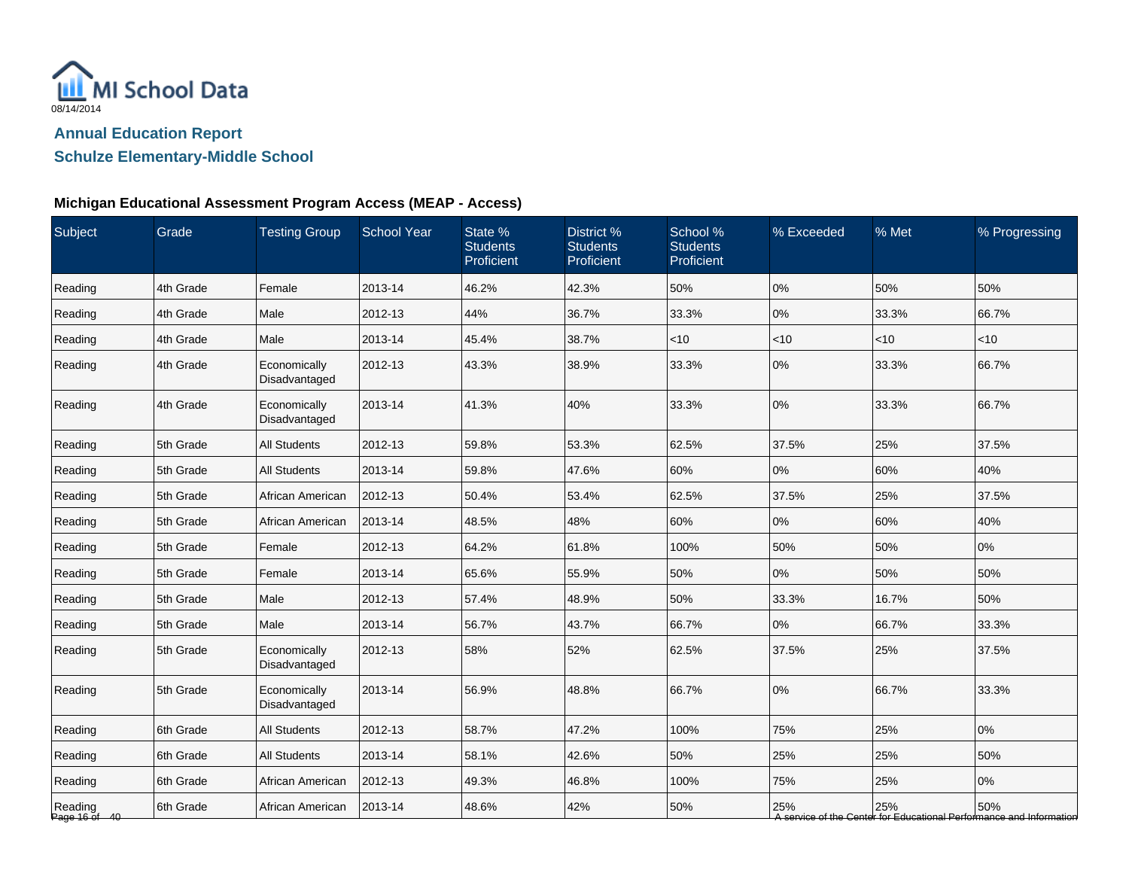

# **Schulze Elementary-Middle School**

| Subject                  | Grade     | <b>Testing Group</b>          | <b>School Year</b> | State %<br><b>Students</b><br>Proficient | District <sup>%</sup><br><b>Students</b><br>Proficient | School %<br><b>Students</b><br>Proficient | % Exceeded | % Met | % Progressing                                                              |
|--------------------------|-----------|-------------------------------|--------------------|------------------------------------------|--------------------------------------------------------|-------------------------------------------|------------|-------|----------------------------------------------------------------------------|
| Reading                  | 4th Grade | Female                        | 2013-14            | 46.2%                                    | 42.3%                                                  | 50%                                       | 0%         | 50%   | 50%                                                                        |
| Reading                  | 4th Grade | Male                          | 2012-13            | 44%                                      | 36.7%                                                  | 33.3%                                     | 0%         | 33.3% | 66.7%                                                                      |
| Reading                  | 4th Grade | Male                          | 2013-14            | 45.4%                                    | 38.7%                                                  | $<10$                                     | $<$ 10     | < 10  | < 10                                                                       |
| Reading                  | 4th Grade | Economically<br>Disadvantaged | 2012-13            | 43.3%                                    | 38.9%                                                  | 33.3%                                     | 0%         | 33.3% | 66.7%                                                                      |
| Reading                  | 4th Grade | Economically<br>Disadvantaged | 2013-14            | 41.3%                                    | 40%                                                    | 33.3%                                     | 0%         | 33.3% | 66.7%                                                                      |
| Reading                  | 5th Grade | <b>All Students</b>           | 2012-13            | 59.8%                                    | 53.3%                                                  | 62.5%                                     | 37.5%      | 25%   | 37.5%                                                                      |
| Reading                  | 5th Grade | <b>All Students</b>           | 2013-14            | 59.8%                                    | 47.6%                                                  | 60%                                       | 0%         | 60%   | 40%                                                                        |
| Reading                  | 5th Grade | African American              | 2012-13            | 50.4%                                    | 53.4%                                                  | 62.5%                                     | 37.5%      | 25%   | 37.5%                                                                      |
| Reading                  | 5th Grade | African American              | 2013-14            | 48.5%                                    | 48%                                                    | 60%                                       | 0%         | 60%   | 40%                                                                        |
| Reading                  | 5th Grade | Female                        | 2012-13            | 64.2%                                    | 61.8%                                                  | 100%                                      | 50%        | 50%   | 0%                                                                         |
| Reading                  | 5th Grade | Female                        | 2013-14            | 65.6%                                    | 55.9%                                                  | 50%                                       | 0%         | 50%   | 50%                                                                        |
| Reading                  | 5th Grade | Male                          | 2012-13            | 57.4%                                    | 48.9%                                                  | 50%                                       | 33.3%      | 16.7% | 50%                                                                        |
| Reading                  | 5th Grade | Male                          | 2013-14            | 56.7%                                    | 43.7%                                                  | 66.7%                                     | 0%         | 66.7% | 33.3%                                                                      |
| Reading                  | 5th Grade | Economically<br>Disadvantaged | 2012-13            | 58%                                      | 52%                                                    | 62.5%                                     | 37.5%      | 25%   | 37.5%                                                                      |
| Reading                  | 5th Grade | Economically<br>Disadvantaged | 2013-14            | 56.9%                                    | 48.8%                                                  | 66.7%                                     | 0%         | 66.7% | 33.3%                                                                      |
| Reading                  | 6th Grade | <b>All Students</b>           | 2012-13            | 58.7%                                    | 47.2%                                                  | 100%                                      | 75%        | 25%   | 0%                                                                         |
| Reading                  | 6th Grade | <b>All Students</b>           | 2013-14            | 58.1%                                    | 42.6%                                                  | 50%                                       | 25%        | 25%   | 50%                                                                        |
| Reading                  | 6th Grade | African American              | 2012-13            | 49.3%                                    | 46.8%                                                  | 100%                                      | 75%        | 25%   | 0%                                                                         |
| Reading<br>Page 16 of 40 | 6th Grade | African American              | 2013-14            | 48.6%                                    | 42%                                                    | 50%                                       | 25%        | 25%   | 50%<br>A service of the Center for Educational Performance and Information |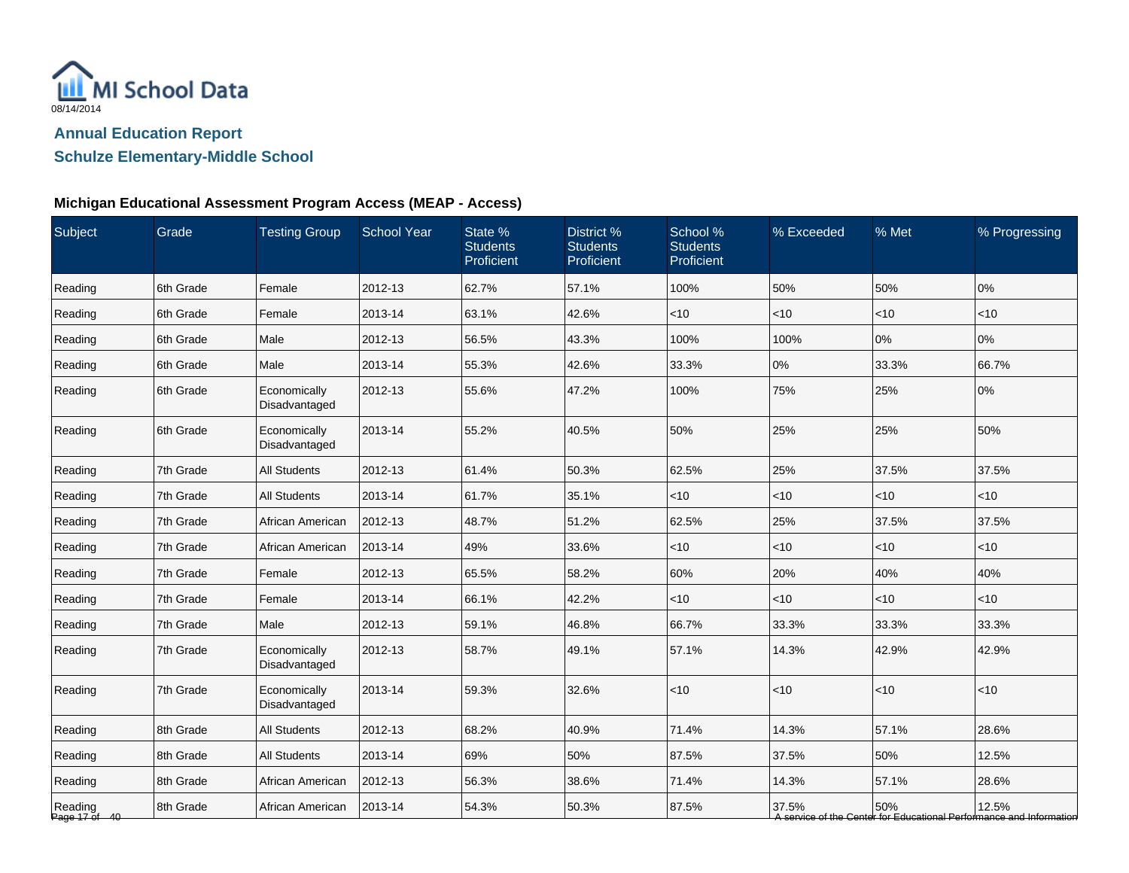

# **Schulze Elementary-Middle School**

| Subject                  | Grade     | <b>Testing Group</b>          | <b>School Year</b> | State %<br><b>Students</b><br>Proficient | District %<br><b>Students</b><br>Proficient | School %<br><b>Students</b><br>Proficient | % Exceeded | % Met        | % Progressing                                                                |
|--------------------------|-----------|-------------------------------|--------------------|------------------------------------------|---------------------------------------------|-------------------------------------------|------------|--------------|------------------------------------------------------------------------------|
| Reading                  | 6th Grade | Female                        | 2012-13            | 62.7%                                    | 57.1%                                       | 100%                                      | 50%        | 50%          | 0%                                                                           |
| Reading                  | 6th Grade | Female                        | 2013-14            | 63.1%                                    | 42.6%                                       | < 10                                      | $<$ 10     | $ $ < 10     | < 10                                                                         |
| Reading                  | 6th Grade | Male                          | 2012-13            | 56.5%                                    | 43.3%                                       | 100%                                      | 100%       | 0%           | 0%                                                                           |
| Reading                  | 6th Grade | Male                          | 2013-14            | 55.3%                                    | 42.6%                                       | 33.3%                                     | 0%         | 33.3%        | 66.7%                                                                        |
| Reading                  | 6th Grade | Economically<br>Disadvantaged | 2012-13            | 55.6%                                    | 47.2%                                       | 100%                                      | 75%        | 25%          | 0%                                                                           |
| Reading                  | 6th Grade | Economically<br>Disadvantaged | 2013-14            | 55.2%                                    | 40.5%                                       | 50%                                       | 25%        | 25%          | 50%                                                                          |
| Reading                  | 7th Grade | <b>All Students</b>           | 2012-13            | 61.4%                                    | 50.3%                                       | 62.5%                                     | 25%        | 37.5%        | 37.5%                                                                        |
| Reading                  | 7th Grade | <b>All Students</b>           | 2013-14            | 61.7%                                    | 35.1%                                       | $<$ 10                                    | $<$ 10     | <10          | <10                                                                          |
| Reading                  | 7th Grade | African American              | 2012-13            | 48.7%                                    | 51.2%                                       | 62.5%                                     | 25%        | 37.5%        | 37.5%                                                                        |
| Reading                  | 7th Grade | African American              | 2013-14            | 49%                                      | 33.6%                                       | < 10                                      | $<$ 10     | < 10         | <10                                                                          |
| Reading                  | 7th Grade | Female                        | 2012-13            | 65.5%                                    | 58.2%                                       | 60%                                       | 20%        | 40%          | 40%                                                                          |
| Reading                  | 7th Grade | Female                        | 2013-14            | 66.1%                                    | 42.2%                                       | $<$ 10                                    | $<$ 10     | $\vert$ < 10 | < 10                                                                         |
| Reading                  | 7th Grade | Male                          | 2012-13            | 59.1%                                    | 46.8%                                       | 66.7%                                     | 33.3%      | 33.3%        | 33.3%                                                                        |
| Reading                  | 7th Grade | Economically<br>Disadvantaged | 2012-13            | 58.7%                                    | 49.1%                                       | 57.1%                                     | 14.3%      | 42.9%        | 42.9%                                                                        |
| Reading                  | 7th Grade | Economically<br>Disadvantaged | 2013-14            | 59.3%                                    | 32.6%                                       | $<$ 10                                    | $ $ < 10   | $<10$        | $<$ 10                                                                       |
| Reading                  | 8th Grade | <b>All Students</b>           | 2012-13            | 68.2%                                    | 40.9%                                       | 71.4%                                     | 14.3%      | 57.1%        | 28.6%                                                                        |
| Reading                  | 8th Grade | <b>All Students</b>           | 2013-14            | 69%                                      | 50%                                         | 87.5%                                     | 37.5%      | 50%          | 12.5%                                                                        |
| Reading                  | 8th Grade | African American              | 2012-13            | 56.3%                                    | 38.6%                                       | 71.4%                                     | 14.3%      | 57.1%        | 28.6%                                                                        |
| Reading<br>Page 17 of 40 | 8th Grade | African American              | 2013-14            | 54.3%                                    | 50.3%                                       | 87.5%                                     | 37.5%      | 50%          | 12.5%<br>A service of the Center for Educational Performance and Information |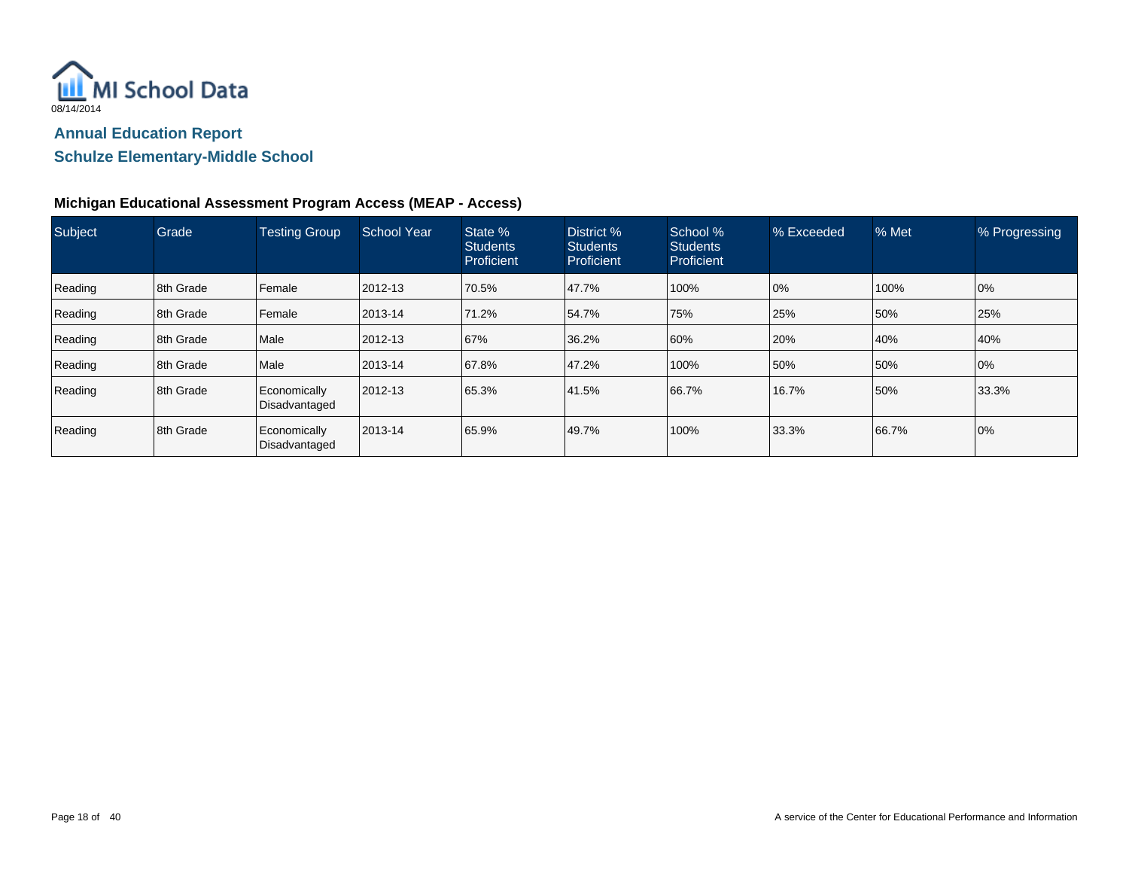

# **Schulze Elementary-Middle School**

| Subject | Grade     | <b>Testing Group</b>          | <b>School Year</b> | State %<br><b>Students</b><br>Proficient | District %<br><b>Students</b><br>Proficient | School %<br><b>Students</b><br>Proficient | % Exceeded | % Met | % Progressing |
|---------|-----------|-------------------------------|--------------------|------------------------------------------|---------------------------------------------|-------------------------------------------|------------|-------|---------------|
| Reading | 8th Grade | Female                        | 2012-13            | 70.5%                                    | 47.7%                                       | 100%                                      | 0%         | 100%  | 0%            |
| Reading | 8th Grade | Female                        | 2013-14            | 71.2%                                    | 54.7%                                       | 75%                                       | 25%        | 50%   | 25%           |
| Reading | 8th Grade | Male                          | 2012-13            | 67%                                      | 36.2%                                       | 60%                                       | 20%        | 40%   | 40%           |
| Reading | 8th Grade | Male                          | 2013-14            | 67.8%                                    | 47.2%                                       | 100%                                      | 50%        | 50%   | 0%            |
| Reading | 8th Grade | Economically<br>Disadvantaged | 2012-13            | 65.3%                                    | 41.5%                                       | 66.7%                                     | 16.7%      | 50%   | 33.3%         |
| Reading | 8th Grade | Economically<br>Disadvantaged | 2013-14            | 65.9%                                    | 49.7%                                       | 100%                                      | 33.3%      | 66.7% | 0%            |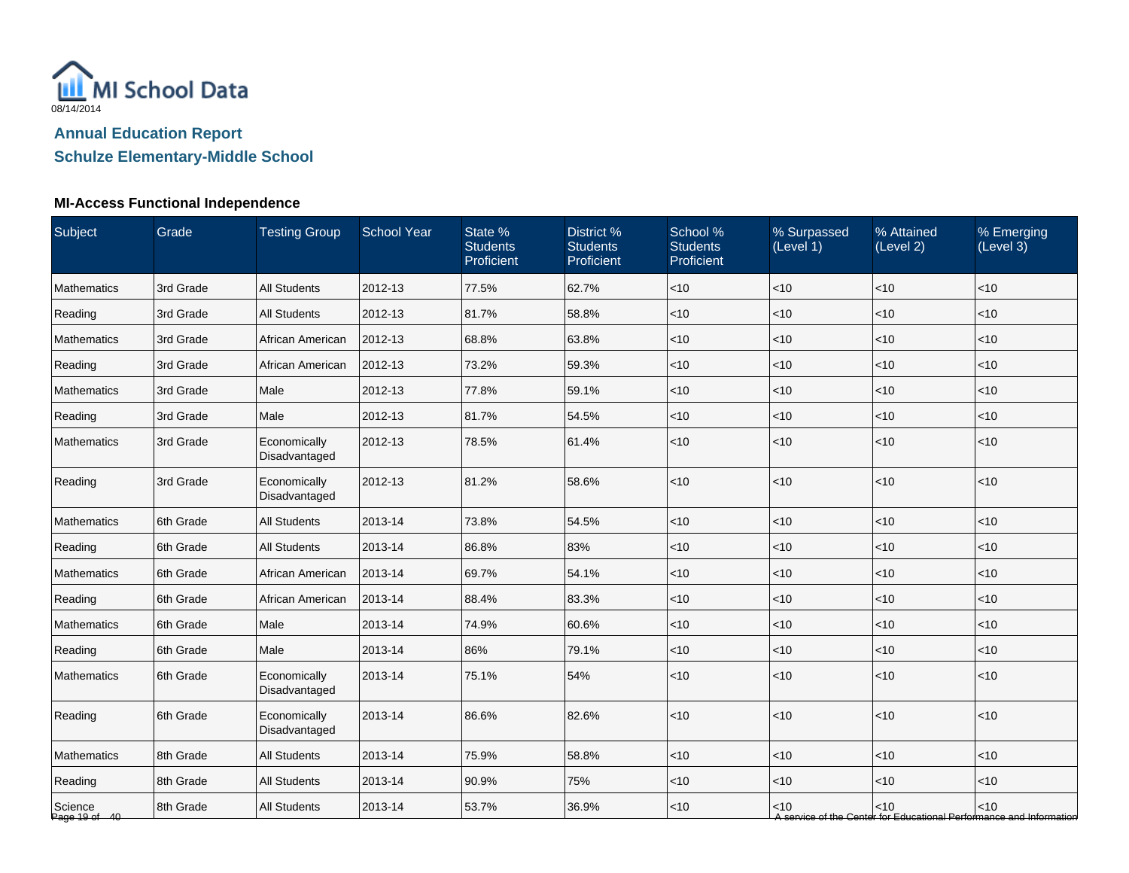

# **MI-Access Functional Independence**

| Subject                  | Grade     | <b>Testing Group</b>          | <b>School Year</b> | State %<br><b>Students</b><br>Proficient | District %<br><b>Students</b><br>Proficient | School %<br><b>Students</b><br>Proficient | % Surpassed<br>(Level 1) | % Attained<br>(Level 2) | % Emerging<br>(Level 3)                                                       |
|--------------------------|-----------|-------------------------------|--------------------|------------------------------------------|---------------------------------------------|-------------------------------------------|--------------------------|-------------------------|-------------------------------------------------------------------------------|
| <b>Mathematics</b>       | 3rd Grade | <b>All Students</b>           | 2012-13            | 77.5%                                    | 62.7%                                       | < 10                                      | $<$ 10                   | < 10                    | < 10                                                                          |
| Reading                  | 3rd Grade | <b>All Students</b>           | 2012-13            | 81.7%                                    | 58.8%                                       | $<$ 10                                    | $<$ 10                   | <10                     | < 10                                                                          |
| <b>Mathematics</b>       | 3rd Grade | African American              | 2012-13            | 68.8%                                    | 63.8%                                       | < 10                                      | <10                      | < 10                    | < 10                                                                          |
| Reading                  | 3rd Grade | African American              | 2012-13            | 73.2%                                    | 59.3%                                       | $<$ 10                                    | < 10                     | < 10                    | $<$ 10                                                                        |
| <b>Mathematics</b>       | 3rd Grade | Male                          | 2012-13            | 77.8%                                    | 59.1%                                       | $<$ 10                                    | $<$ 10                   | $<$ 10                  | $<$ 10                                                                        |
| Reading                  | 3rd Grade | Male                          | 2012-13            | 81.7%                                    | 54.5%                                       | $<$ 10                                    | $<$ 10                   | < 10                    | $<$ 10                                                                        |
| Mathematics              | 3rd Grade | Economically<br>Disadvantaged | 2012-13            | 78.5%                                    | 61.4%                                       | < 10                                      | $<$ 10                   | < 10                    | < 10                                                                          |
| Reading                  | 3rd Grade | Economically<br>Disadvantaged | 2012-13            | 81.2%                                    | 58.6%                                       | <10                                       | < 10                     | < 10                    | < 10                                                                          |
| Mathematics              | 6th Grade | <b>All Students</b>           | 2013-14            | 73.8%                                    | 54.5%                                       | < 10                                      | $<$ 10                   | <10                     | <10                                                                           |
| Reading                  | 6th Grade | <b>All Students</b>           | 2013-14            | 86.8%                                    | 83%                                         | $<$ 10                                    | < 10                     | < 10                    | $<$ 10                                                                        |
| <b>Mathematics</b>       | 6th Grade | African American              | 2013-14            | 69.7%                                    | 54.1%                                       | < 10                                      | $<$ 10                   | < 10                    | < 10                                                                          |
| Reading                  | 6th Grade | African American              | 2013-14            | 88.4%                                    | 83.3%                                       | $<$ 10                                    | < 10                     | < 10                    | < 10                                                                          |
| <b>Mathematics</b>       | 6th Grade | Male                          | 2013-14            | 74.9%                                    | 60.6%                                       | < 10                                      | $<$ 10                   | < 10                    | $<$ 10                                                                        |
| Reading                  | 6th Grade | Male                          | 2013-14            | 86%                                      | 79.1%                                       | $<$ 10                                    | $<$ 10                   | < 10                    | < 10                                                                          |
| Mathematics              | 6th Grade | Economically<br>Disadvantaged | 2013-14            | 75.1%                                    | 54%                                         | $<$ 10                                    | < 10                     | < 10                    | $<$ 10                                                                        |
| Reading                  | 6th Grade | Economically<br>Disadvantaged | 2013-14            | 86.6%                                    | 82.6%                                       | < 10                                      | < 10                     | < 10                    | < 10                                                                          |
| Mathematics              | 8th Grade | <b>All Students</b>           | 2013-14            | 75.9%                                    | 58.8%                                       | < 10                                      | $<$ 10                   | < 10                    | $<$ 10                                                                        |
| Reading                  | 8th Grade | <b>All Students</b>           | 2013-14            | 90.9%                                    | 75%                                         | < 10                                      | < 10                     | < 10                    | $<$ 10                                                                        |
| Science<br>Page 19 of 40 | 8th Grade | <b>All Students</b>           | 2013-14            | 53.7%                                    | 36.9%                                       | $<$ 10                                    | $<$ 10                   | < 10                    | $<$ 10<br>A service of the Center for Educational Performance and Information |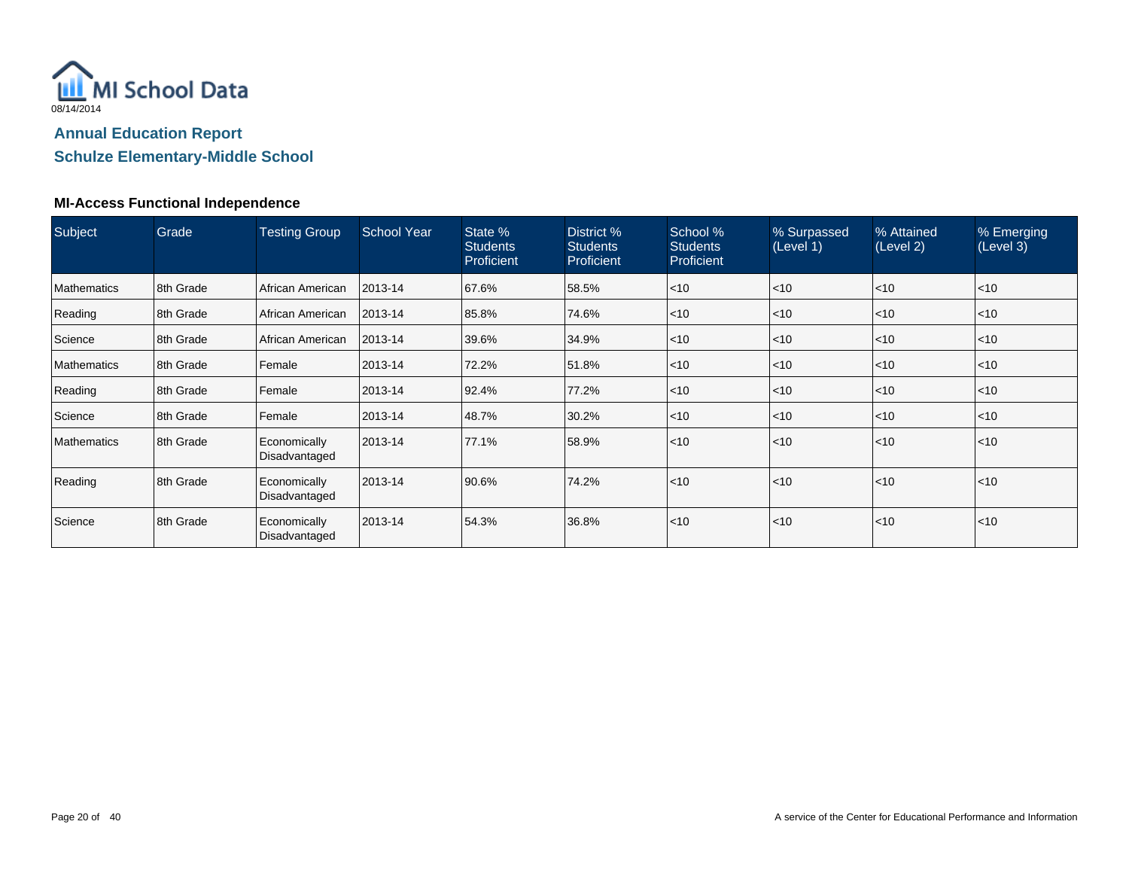

#### **MI-Access Functional Independence**

| Subject            | Grade     | <b>Testing Group</b>          | <b>School Year</b> | State %<br><b>Students</b><br><b>Proficient</b> | District %<br><b>Students</b><br><b>Proficient</b> | School %<br><b>Students</b><br>Proficient | % Surpassed<br>(Level 1) | % Attained<br>(Level 2) | % Emerging<br>(Level 3) |
|--------------------|-----------|-------------------------------|--------------------|-------------------------------------------------|----------------------------------------------------|-------------------------------------------|--------------------------|-------------------------|-------------------------|
| <b>Mathematics</b> | 8th Grade | I African American            | 2013-14            | 67.6%                                           | 58.5%                                              | $\leq 10$                                 | $ $ < 10                 | < 10                    | $<$ 10                  |
| Reading            | 8th Grade | I African American            | 2013-14            | 85.8%                                           | 74.6%                                              | $\leq 10$                                 | < 10                     | < 10                    | $<$ 10                  |
| Science            | 8th Grade | African American              | 2013-14            | 39.6%                                           | 34.9%                                              | $\leq 10$                                 | $ $ < 10                 | < 10                    | $<$ 10                  |
| <b>Mathematics</b> | 8th Grade | Female                        | 2013-14            | 72.2%                                           | 51.8%                                              | $\leq 10$                                 | $<$ 10                   | < 10                    | $<$ 10                  |
| Reading            | 8th Grade | l Female                      | 2013-14            | 92.4%                                           | 77.2%                                              | $\leq 10$                                 | $ $ < 10                 | < 10                    | < 10                    |
| Science            | 8th Grade | Female                        | 2013-14            | 48.7%                                           | 30.2%                                              | $\leq 10$                                 | $ $ < 10                 | < 10                    | $<$ 10                  |
| <b>Mathematics</b> | 8th Grade | Economically<br>Disadvantaged | 2013-14            | 77.1%                                           | 58.9%                                              | $\leq 10$                                 | < 10                     | < 10                    | < 10                    |
| Reading            | 8th Grade | Economically<br>Disadvantaged | 2013-14            | 90.6%                                           | 74.2%                                              | $\leq 10$                                 | < 10                     | < 10                    | < 10                    |
| Science            | 8th Grade | Economically<br>Disadvantaged | 2013-14            | 54.3%                                           | 36.8%                                              | $\leq 10$                                 | $\mathsf{I}$ <10         | < 10                    | < 10                    |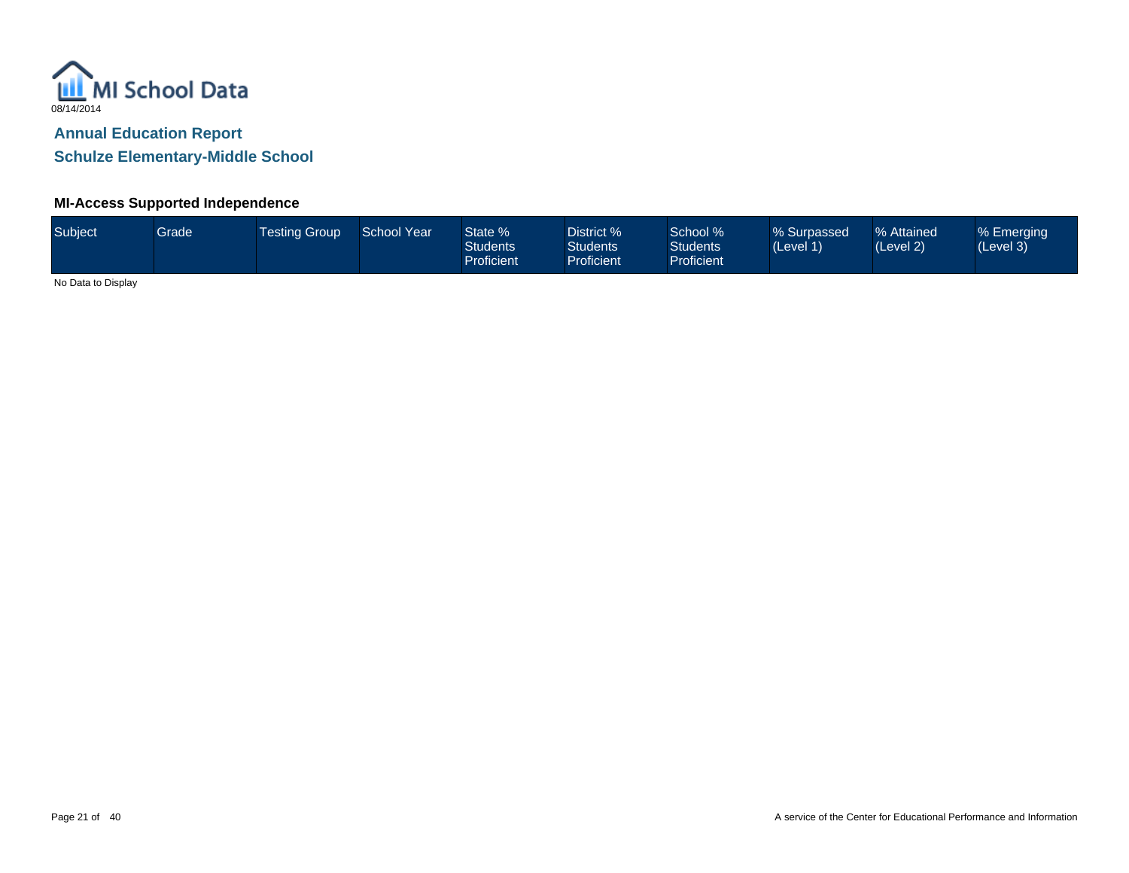

### **MI-Access Supported Independence**

| Subject           | Grade <sup>1</sup> | <b>Testing Group</b> | <b>School Year</b> | State %<br><b>Students</b><br><b>Proficient</b> | District %<br><b>Students</b><br><b>Proficient</b> | School %<br><b>Students</b><br><b>Proficient</b> | % Surpassed<br>(Level 1) | % Attained<br>(Level 2) | % Emerging<br>(Level 3) |
|-------------------|--------------------|----------------------|--------------------|-------------------------------------------------|----------------------------------------------------|--------------------------------------------------|--------------------------|-------------------------|-------------------------|
| $\cdots$ $\cdots$ |                    |                      |                    |                                                 |                                                    |                                                  |                          |                         |                         |

No Data to Display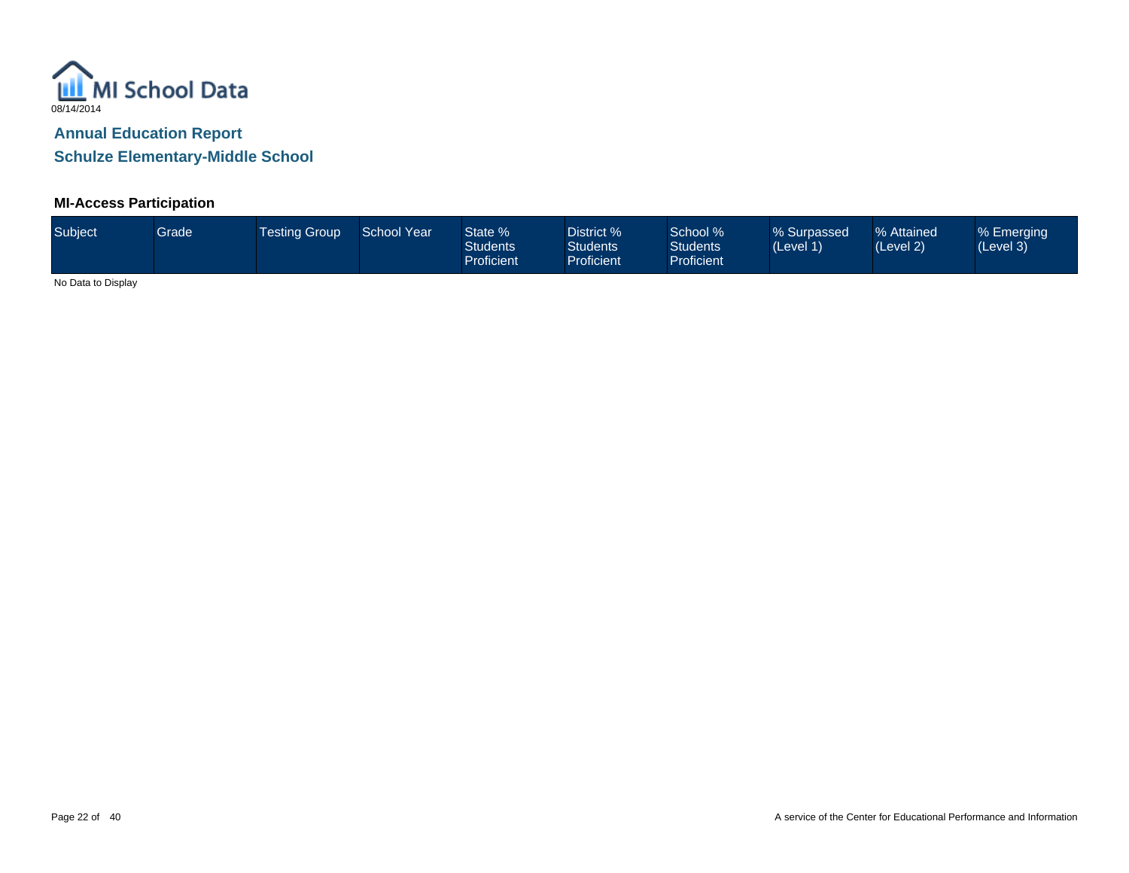

# **MI-Access Participation**

| Subject           | Grade | <b>Testing Group</b> | <b>School Year</b> | State %<br><b>Students</b><br><b>Proficient</b> | District %<br><b>Students</b><br><b>Proficient</b> | School %<br><b>Students</b><br><b>Proficient</b> | % Surpassed<br>(Level 1) | % Attained<br>(Level 2) | % Emerging<br>(Level 3) |
|-------------------|-------|----------------------|--------------------|-------------------------------------------------|----------------------------------------------------|--------------------------------------------------|--------------------------|-------------------------|-------------------------|
| $\cdots$ $\cdots$ |       |                      |                    |                                                 |                                                    |                                                  |                          |                         |                         |

No Data to Display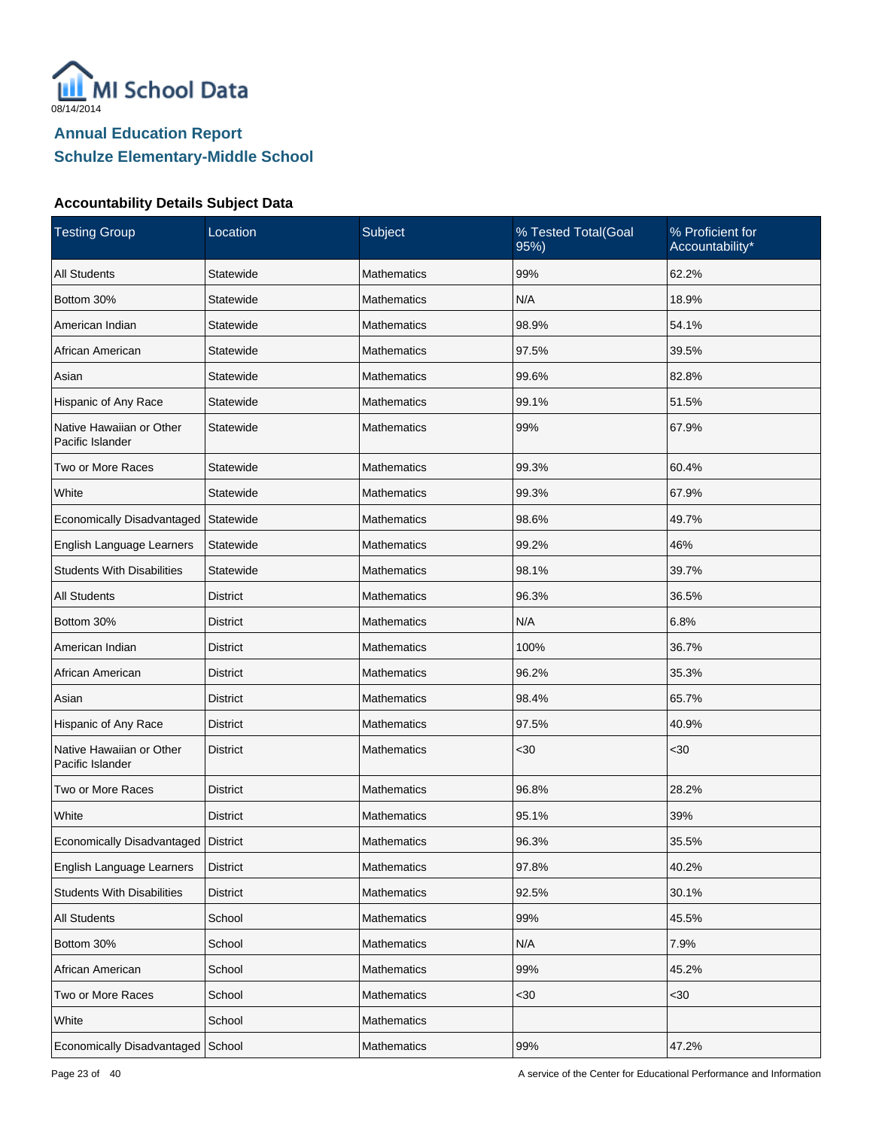

| <b>Testing Group</b>                         | Location        | Subject            | % Tested Total(Goal<br>95%) | % Proficient for<br>Accountability* |
|----------------------------------------------|-----------------|--------------------|-----------------------------|-------------------------------------|
| <b>All Students</b>                          | Statewide       | Mathematics        | 99%                         | 62.2%                               |
| Bottom 30%                                   | Statewide       | <b>Mathematics</b> | N/A                         | 18.9%                               |
| American Indian                              | Statewide       | <b>Mathematics</b> | 98.9%                       | 54.1%                               |
| African American                             | Statewide       | <b>Mathematics</b> | 97.5%                       | 39.5%                               |
| Asian                                        | Statewide       | <b>Mathematics</b> | 99.6%                       | 82.8%                               |
| Hispanic of Any Race                         | Statewide       | <b>Mathematics</b> | 99.1%                       | 51.5%                               |
| Native Hawaiian or Other<br>Pacific Islander | Statewide       | <b>Mathematics</b> | 99%                         | 67.9%                               |
| Two or More Races                            | Statewide       | <b>Mathematics</b> | 99.3%                       | 60.4%                               |
| White                                        | Statewide       | <b>Mathematics</b> | 99.3%                       | 67.9%                               |
| Economically Disadvantaged                   | Statewide       | Mathematics        | 98.6%                       | 49.7%                               |
| English Language Learners                    | Statewide       | <b>Mathematics</b> | 99.2%                       | 46%                                 |
| <b>Students With Disabilities</b>            | Statewide       | <b>Mathematics</b> | 98.1%                       | 39.7%                               |
| <b>All Students</b>                          | <b>District</b> | <b>Mathematics</b> | 96.3%                       | 36.5%                               |
| Bottom 30%                                   | District        | <b>Mathematics</b> | N/A                         | 6.8%                                |
| American Indian                              | <b>District</b> | <b>Mathematics</b> | 100%                        | 36.7%                               |
| African American                             | District        | <b>Mathematics</b> | 96.2%                       | 35.3%                               |
| Asian                                        | <b>District</b> | <b>Mathematics</b> | 98.4%                       | 65.7%                               |
| Hispanic of Any Race                         | District        | Mathematics        | 97.5%                       | 40.9%                               |
| Native Hawaiian or Other<br>Pacific Islander | <b>District</b> | <b>Mathematics</b> | $30$                        | $30$                                |
| Two or More Races                            | <b>District</b> | Mathematics        | 96.8%                       | 28.2%                               |
| White                                        | <b>District</b> | <b>Mathematics</b> | 95.1%                       | 39%                                 |
| Economically Disadvantaged   District        |                 | Mathematics        | 96.3%                       | 35.5%                               |
| English Language Learners                    | <b>District</b> | Mathematics        | 97.8%                       | 40.2%                               |
| <b>Students With Disabilities</b>            | <b>District</b> | Mathematics        | 92.5%                       | 30.1%                               |
| All Students                                 | School          | Mathematics        | 99%                         | 45.5%                               |
| Bottom 30%                                   | School          | Mathematics        | N/A                         | 7.9%                                |
| African American                             | School          | Mathematics        | 99%                         | 45.2%                               |
| Two or More Races                            | School          | Mathematics        | $30$                        | <30                                 |
| White                                        | School          | Mathematics        |                             |                                     |
| Economically Disadvantaged                   | School          | Mathematics        | 99%                         | 47.2%                               |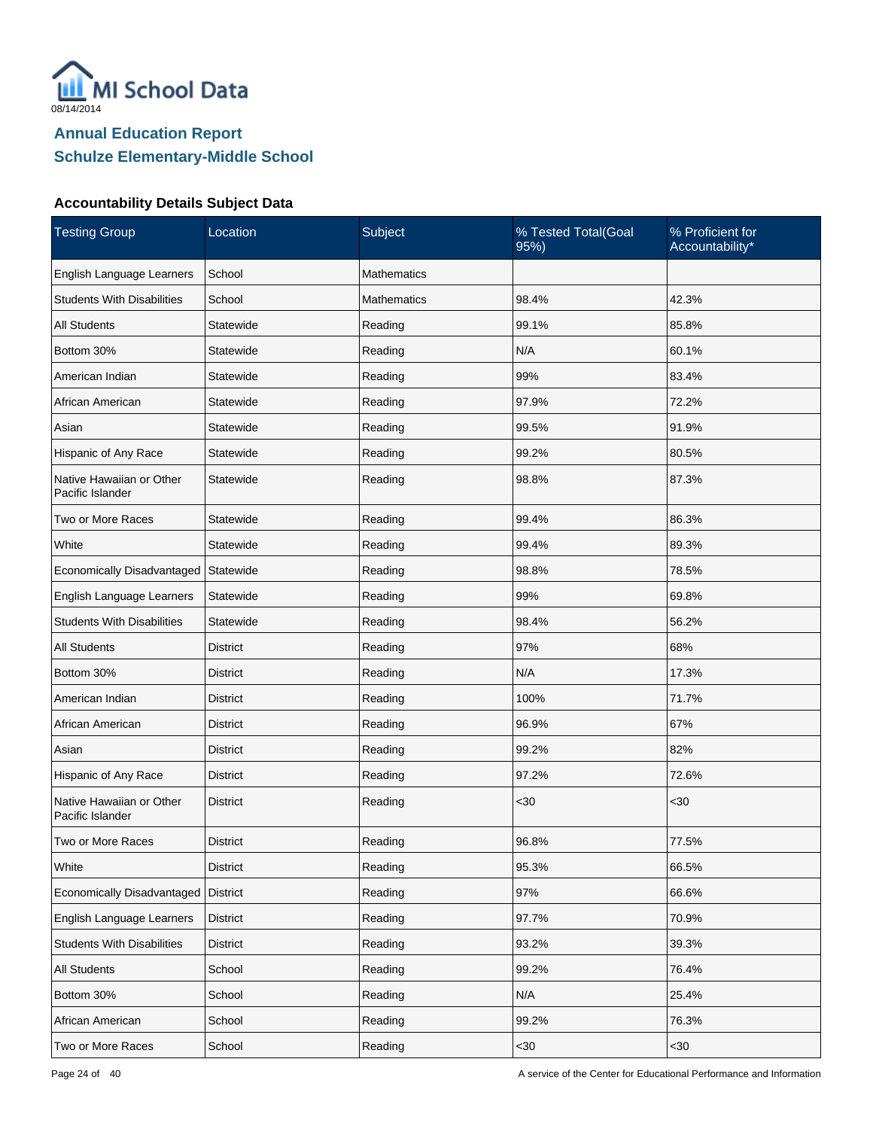

| <b>Testing Group</b>                         | Location        | Subject            | % Tested Total(Goal<br>95%) | % Proficient for<br>Accountability* |
|----------------------------------------------|-----------------|--------------------|-----------------------------|-------------------------------------|
| English Language Learners                    | School          | <b>Mathematics</b> |                             |                                     |
| <b>Students With Disabilities</b>            | School          | <b>Mathematics</b> | 98.4%                       | 42.3%                               |
| <b>All Students</b>                          | Statewide       | Reading            | 99.1%                       | 85.8%                               |
| Bottom 30%                                   | Statewide       | Reading            | N/A                         | 60.1%                               |
| American Indian                              | Statewide       | Reading            | 99%                         | 83.4%                               |
| African American                             | Statewide       | Reading            | 97.9%                       | 72.2%                               |
| Asian                                        | Statewide       | Reading            | 99.5%                       | 91.9%                               |
| Hispanic of Any Race                         | Statewide       | Reading            | 99.2%                       | 80.5%                               |
| Native Hawaiian or Other<br>Pacific Islander | Statewide       | Reading            | 98.8%                       | 87.3%                               |
| Two or More Races                            | Statewide       | Reading            | 99.4%                       | 86.3%                               |
| White                                        | Statewide       | Reading            | 99.4%                       | 89.3%                               |
| Economically Disadvantaged                   | Statewide       | Reading            | 98.8%                       | 78.5%                               |
| English Language Learners                    | Statewide       | Reading            | 99%                         | 69.8%                               |
| <b>Students With Disabilities</b>            | Statewide       | Reading            | 98.4%                       | 56.2%                               |
| <b>All Students</b>                          | District        | Reading            | 97%                         | 68%                                 |
| Bottom 30%                                   | District        | Reading            | N/A                         | 17.3%                               |
| American Indian                              | District        | Reading            | 100%                        | 71.7%                               |
| African American                             | District        | Reading            | 96.9%                       | 67%                                 |
| Asian                                        | District        | Reading            | 99.2%                       | 82%                                 |
| Hispanic of Any Race                         | <b>District</b> | Reading            | 97.2%                       | 72.6%                               |
| Native Hawaiian or Other<br>Pacific Islander | <b>District</b> | Reading            | $30$                        | $30$                                |
| Two or More Races                            | District        | Reading            | 96.8%                       | 77.5%                               |
| White                                        | <b>District</b> | Reading            | 95.3%                       | 66.5%                               |
| Economically Disadvantaged                   | <b>District</b> | Reading            | 97%                         | 66.6%                               |
| English Language Learners                    | <b>District</b> | Reading            | 97.7%                       | 70.9%                               |
| <b>Students With Disabilities</b>            | <b>District</b> | Reading            | 93.2%                       | 39.3%                               |
| All Students                                 | School          | Reading            | 99.2%                       | 76.4%                               |
| Bottom 30%                                   | School          | Reading            | N/A                         | 25.4%                               |
| African American                             | School          | Reading            | 99.2%                       | 76.3%                               |
| Two or More Races                            | School          | Reading            | <30                         | <30                                 |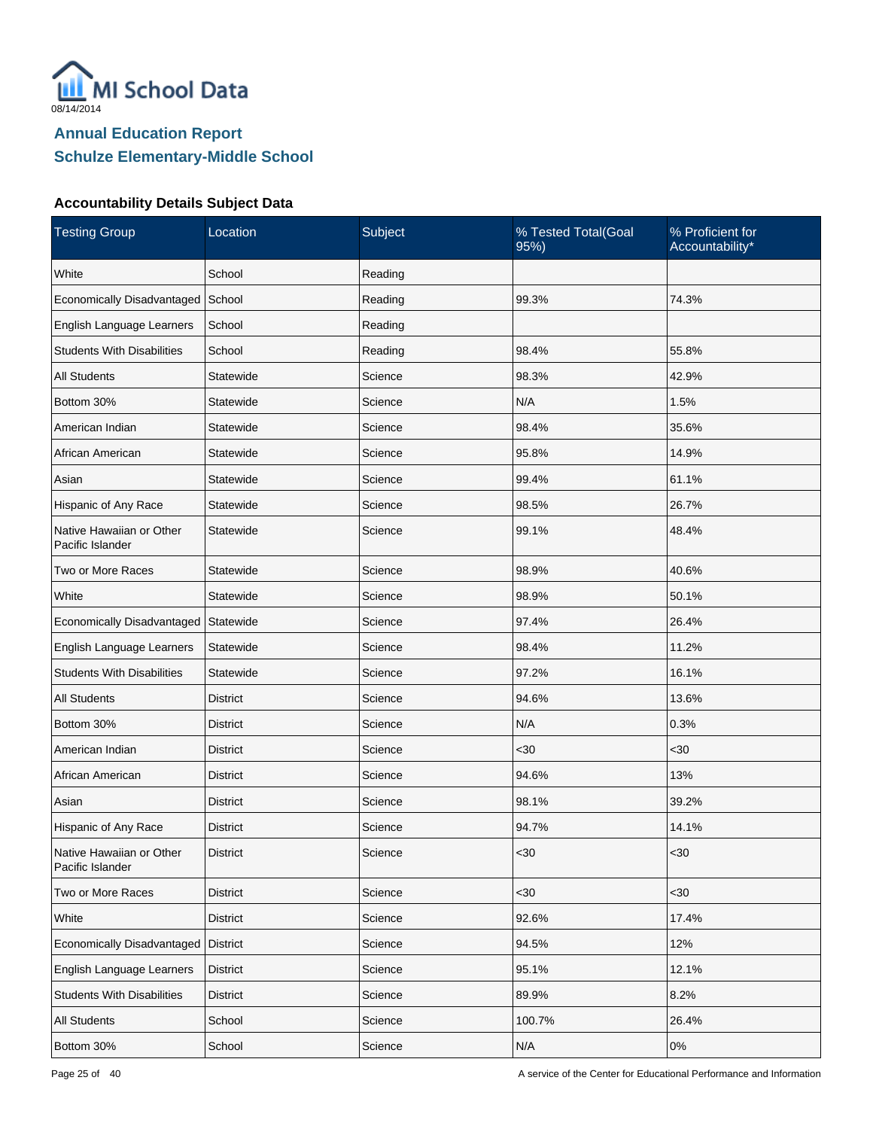

| <b>Testing Group</b>                         | Location        | Subject | % Tested Total(Goal<br>95%) | % Proficient for<br>Accountability* |
|----------------------------------------------|-----------------|---------|-----------------------------|-------------------------------------|
| White                                        | School          | Reading |                             |                                     |
| Economically Disadvantaged School            |                 | Reading | 99.3%                       | 74.3%                               |
| English Language Learners                    | School          | Reading |                             |                                     |
| <b>Students With Disabilities</b>            | School          | Reading | 98.4%                       | 55.8%                               |
| <b>All Students</b>                          | Statewide       | Science | 98.3%                       | 42.9%                               |
| Bottom 30%                                   | Statewide       | Science | N/A                         | 1.5%                                |
| American Indian                              | Statewide       | Science | 98.4%                       | 35.6%                               |
| African American                             | Statewide       | Science | 95.8%                       | 14.9%                               |
| Asian                                        | Statewide       | Science | 99.4%                       | 61.1%                               |
| Hispanic of Any Race                         | Statewide       | Science | 98.5%                       | 26.7%                               |
| Native Hawaiian or Other<br>Pacific Islander | Statewide       | Science | 99.1%                       | 48.4%                               |
| Two or More Races                            | Statewide       | Science | 98.9%                       | 40.6%                               |
| White                                        | Statewide       | Science | 98.9%                       | 50.1%                               |
| Economically Disadvantaged                   | Statewide       | Science | 97.4%                       | 26.4%                               |
| English Language Learners                    | Statewide       | Science | 98.4%                       | 11.2%                               |
| <b>Students With Disabilities</b>            | Statewide       | Science | 97.2%                       | 16.1%                               |
| <b>All Students</b>                          | <b>District</b> | Science | 94.6%                       | 13.6%                               |
| Bottom 30%                                   | District        | Science | N/A                         | 0.3%                                |
| American Indian                              | <b>District</b> | Science | $30$                        | $30$                                |
| African American                             | District        | Science | 94.6%                       | 13%                                 |
| Asian                                        | <b>District</b> | Science | 98.1%                       | 39.2%                               |
| Hispanic of Any Race                         | District        | Science | 94.7%                       | 14.1%                               |
| Native Hawaiian or Other<br>Pacific Islander | District        | Science | $30$                        | $<30$                               |
| Two or More Races                            | <b>District</b> | Science | <30                         | <30                                 |
| White                                        | <b>District</b> | Science | 92.6%                       | 17.4%                               |
| Economically Disadvantaged                   | District        | Science | 94.5%                       | 12%                                 |
| English Language Learners                    | <b>District</b> | Science | 95.1%                       | 12.1%                               |
| <b>Students With Disabilities</b>            | <b>District</b> | Science | 89.9%                       | 8.2%                                |
| <b>All Students</b>                          | School          | Science | 100.7%                      | 26.4%                               |
| Bottom 30%                                   | School          | Science | N/A                         | $0\%$                               |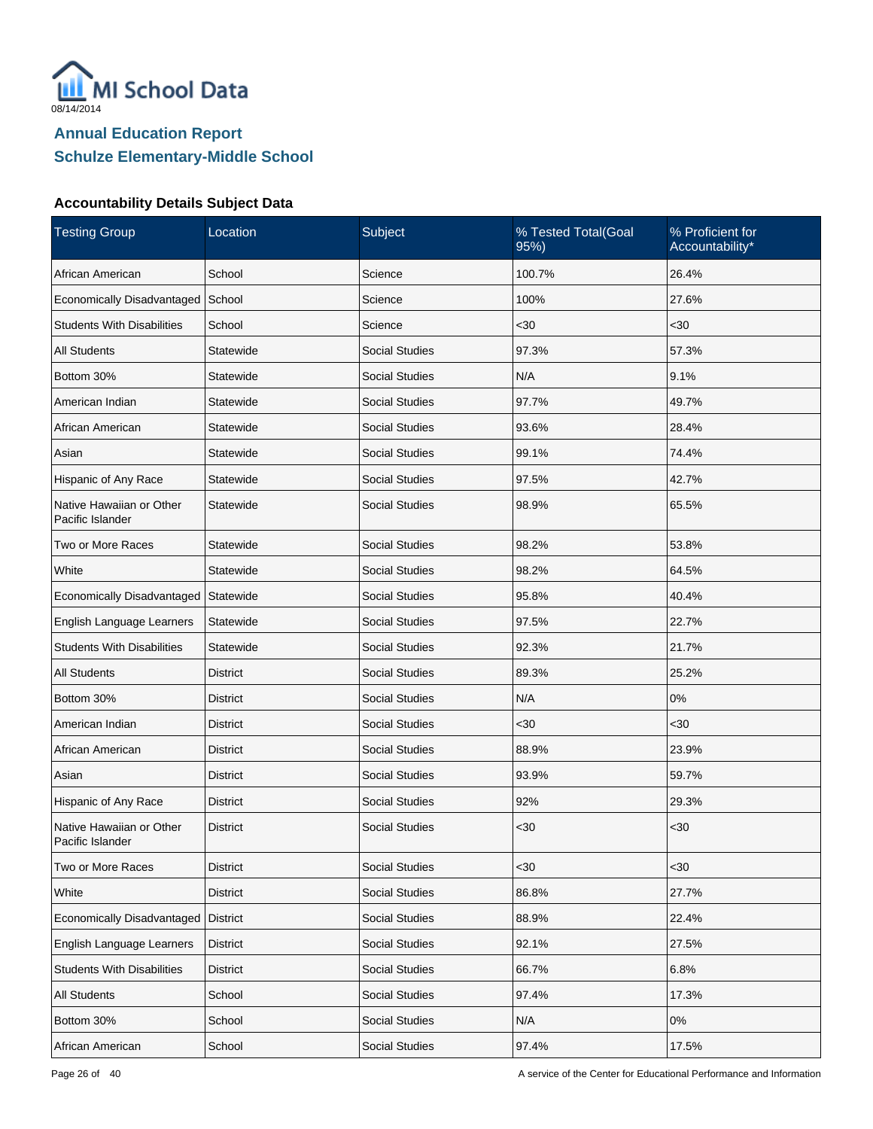

| <b>Testing Group</b>                         | Location        | Subject               | % Tested Total(Goal<br>95% | % Proficient for<br>Accountability* |
|----------------------------------------------|-----------------|-----------------------|----------------------------|-------------------------------------|
| African American                             | School          | Science               | 100.7%                     | 26.4%                               |
| Economically Disadvantaged                   | School          | Science               | 100%                       | 27.6%                               |
| <b>Students With Disabilities</b>            | School          | Science               | $30$                       | $30$                                |
| <b>All Students</b>                          | Statewide       | <b>Social Studies</b> | 97.3%                      | 57.3%                               |
| Bottom 30%                                   | Statewide       | <b>Social Studies</b> | N/A                        | 9.1%                                |
| American Indian                              | Statewide       | <b>Social Studies</b> | 97.7%                      | 49.7%                               |
| African American                             | Statewide       | <b>Social Studies</b> | 93.6%                      | 28.4%                               |
| Asian                                        | Statewide       | <b>Social Studies</b> | 99.1%                      | 74.4%                               |
| Hispanic of Any Race                         | Statewide       | <b>Social Studies</b> | 97.5%                      | 42.7%                               |
| Native Hawaiian or Other<br>Pacific Islander | Statewide       | <b>Social Studies</b> | 98.9%                      | 65.5%                               |
| Two or More Races                            | Statewide       | <b>Social Studies</b> | 98.2%                      | 53.8%                               |
| White                                        | Statewide       | <b>Social Studies</b> | 98.2%                      | 64.5%                               |
| Economically Disadvantaged                   | Statewide       | <b>Social Studies</b> | 95.8%                      | 40.4%                               |
| English Language Learners                    | Statewide       | <b>Social Studies</b> | 97.5%                      | 22.7%                               |
| <b>Students With Disabilities</b>            | Statewide       | <b>Social Studies</b> | 92.3%                      | 21.7%                               |
| All Students                                 | <b>District</b> | <b>Social Studies</b> | 89.3%                      | 25.2%                               |
| Bottom 30%                                   | <b>District</b> | <b>Social Studies</b> | N/A                        | 0%                                  |
| American Indian                              | <b>District</b> | <b>Social Studies</b> | $30$                       | <30                                 |
| African American                             | <b>District</b> | <b>Social Studies</b> | 88.9%                      | 23.9%                               |
| Asian                                        | <b>District</b> | <b>Social Studies</b> | 93.9%                      | 59.7%                               |
| Hispanic of Any Race                         | <b>District</b> | <b>Social Studies</b> | 92%                        | 29.3%                               |
| Native Hawaiian or Other<br>Pacific Islander | <b>District</b> | <b>Social Studies</b> | $30$                       | $30$                                |
| Two or More Races                            | <b>District</b> | Social Studies        | $30$                       | <30                                 |
| White                                        | <b>District</b> | Social Studies        | 86.8%                      | 27.7%                               |
| Economically Disadvantaged                   | District        | Social Studies        | 88.9%                      | 22.4%                               |
| English Language Learners                    | <b>District</b> | Social Studies        | 92.1%                      | 27.5%                               |
| <b>Students With Disabilities</b>            | District        | Social Studies        | 66.7%                      | 6.8%                                |
| <b>All Students</b>                          | School          | <b>Social Studies</b> | 97.4%                      | 17.3%                               |
| Bottom 30%                                   | School          | Social Studies        | N/A                        | $0\%$                               |
| African American                             | School          | Social Studies        | 97.4%                      | 17.5%                               |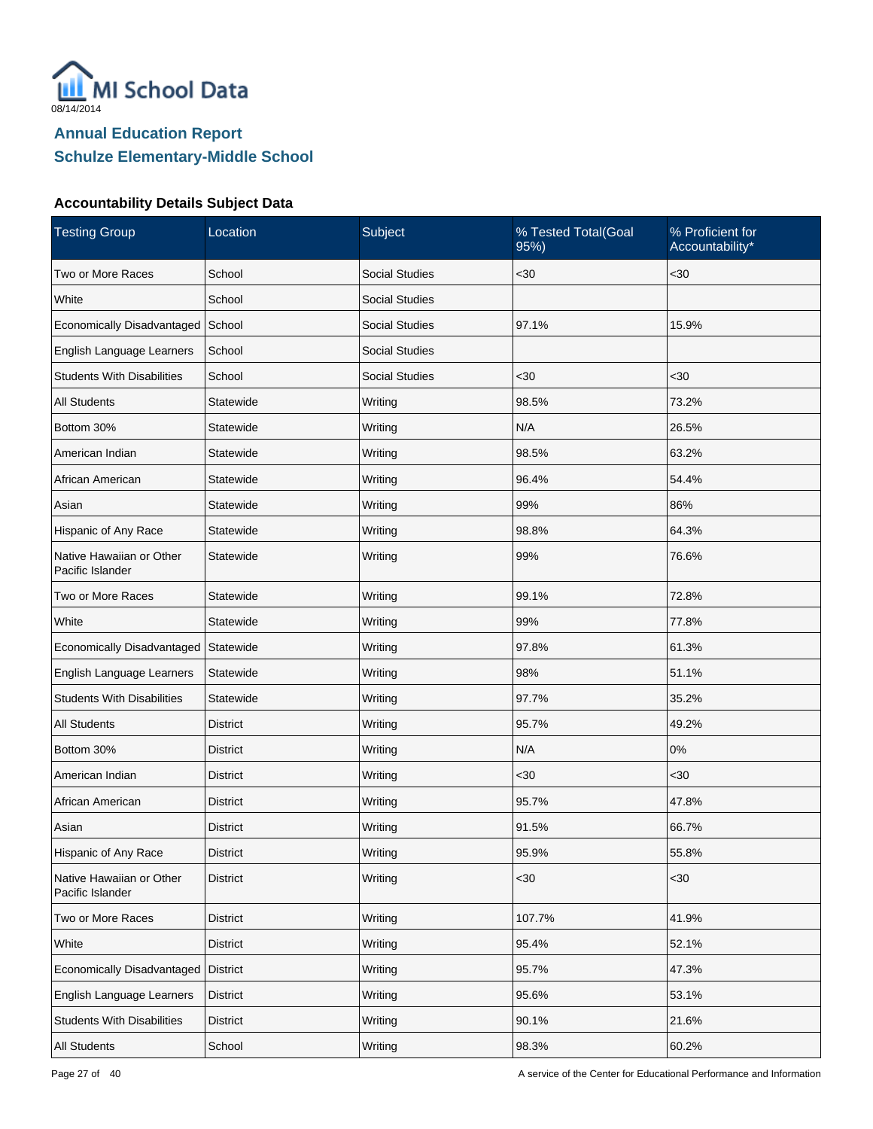

| <b>Testing Group</b>                         | Location        | Subject               | % Tested Total(Goal<br>95%) | % Proficient for<br>Accountability* |
|----------------------------------------------|-----------------|-----------------------|-----------------------------|-------------------------------------|
| Two or More Races                            | School          | <b>Social Studies</b> | $30$                        | $30$                                |
| White                                        | School          | <b>Social Studies</b> |                             |                                     |
| Economically Disadvantaged                   | School          | <b>Social Studies</b> | 97.1%                       | 15.9%                               |
| English Language Learners                    | School          | <b>Social Studies</b> |                             |                                     |
| <b>Students With Disabilities</b>            | School          | <b>Social Studies</b> | $30$                        | <30                                 |
| <b>All Students</b>                          | Statewide       | Writing               | 98.5%                       | 73.2%                               |
| Bottom 30%                                   | Statewide       | Writing               | N/A                         | 26.5%                               |
| American Indian                              | Statewide       | Writing               | 98.5%                       | 63.2%                               |
| African American                             | Statewide       | Writing               | 96.4%                       | 54.4%                               |
| Asian                                        | Statewide       | Writing               | 99%                         | 86%                                 |
| Hispanic of Any Race                         | Statewide       | Writing               | 98.8%                       | 64.3%                               |
| Native Hawaiian or Other<br>Pacific Islander | Statewide       | Writing               | 99%                         | 76.6%                               |
| Two or More Races                            | Statewide       | Writing               | 99.1%                       | 72.8%                               |
| White                                        | Statewide       | Writing               | 99%                         | 77.8%                               |
| Economically Disadvantaged                   | Statewide       | Writing               | 97.8%                       | 61.3%                               |
| English Language Learners                    | Statewide       | Writing               | 98%                         | 51.1%                               |
| <b>Students With Disabilities</b>            | Statewide       | Writing               | 97.7%                       | 35.2%                               |
| <b>All Students</b>                          | <b>District</b> | Writing               | 95.7%                       | 49.2%                               |
| Bottom 30%                                   | <b>District</b> | Writing               | N/A                         | 0%                                  |
| American Indian                              | District        | Writing               | $30$                        | <30                                 |
| African American                             | <b>District</b> | Writing               | 95.7%                       | 47.8%                               |
| Asian                                        | <b>District</b> | Writing               | 91.5%                       | 66.7%                               |
| Hispanic of Any Race                         | <b>District</b> | Writing               | 95.9%                       | 55.8%                               |
| Native Hawaiian or Other<br>Pacific Islander | <b>District</b> | Writing               | <30                         | <30                                 |
| Two or More Races                            | <b>District</b> | Writing               | 107.7%                      | 41.9%                               |
| White                                        | <b>District</b> | Writing               | 95.4%                       | 52.1%                               |
| Economically Disadvantaged                   | District        | Writing               | 95.7%                       | 47.3%                               |
| English Language Learners                    | District        | Writing               | 95.6%                       | 53.1%                               |
| <b>Students With Disabilities</b>            | <b>District</b> | Writing               | 90.1%                       | 21.6%                               |
| All Students                                 | School          | Writing               | 98.3%                       | 60.2%                               |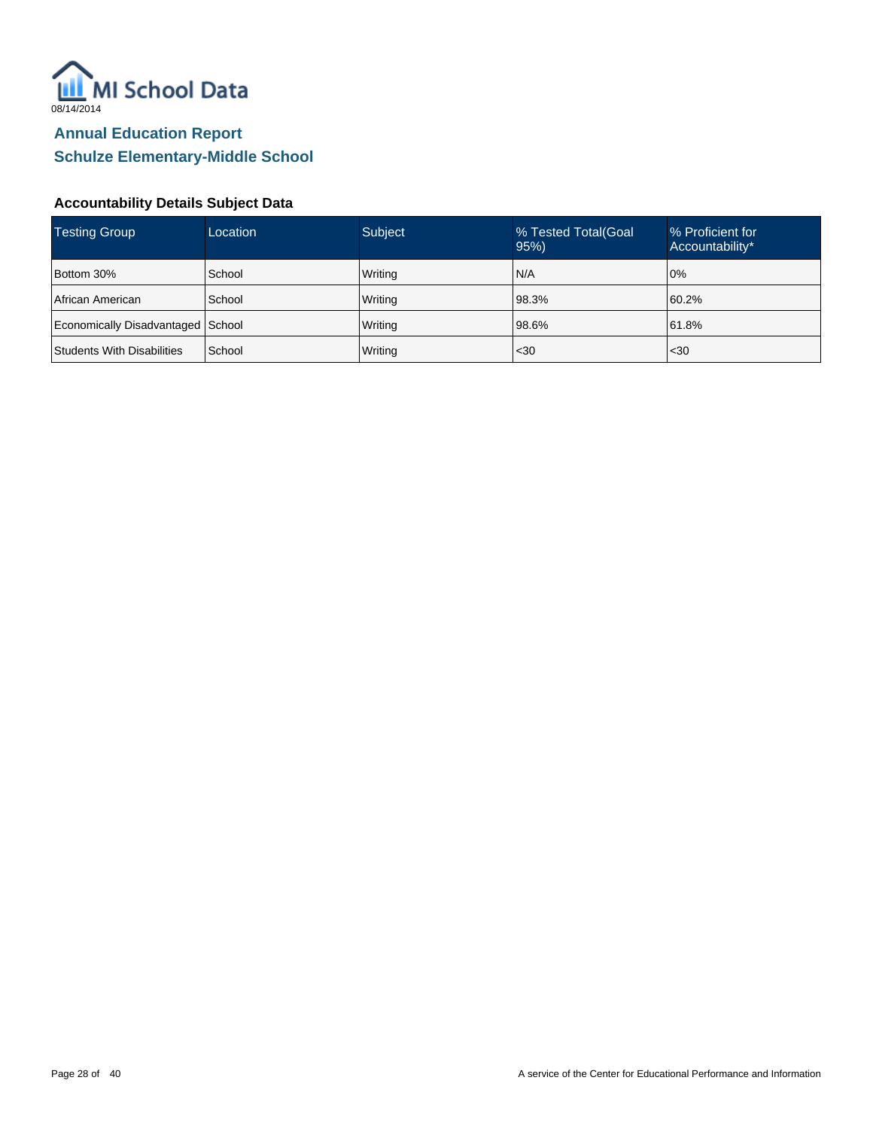

| Testing Group                     | Location | <b>Subject</b> | % Tested Total (Goal<br>95% | % Proficient for<br>Accountability* |
|-----------------------------------|----------|----------------|-----------------------------|-------------------------------------|
| Bottom 30%                        | School   | Writing        | N/A                         | 0%                                  |
| <b>African American</b>           | School   | Writing        | 98.3%                       | 60.2%                               |
| Economically Disadvantaged School |          | Writing        | 98.6%                       | 61.8%                               |
| Students With Disabilities        | School   | Writing        | $30$                        | $30$                                |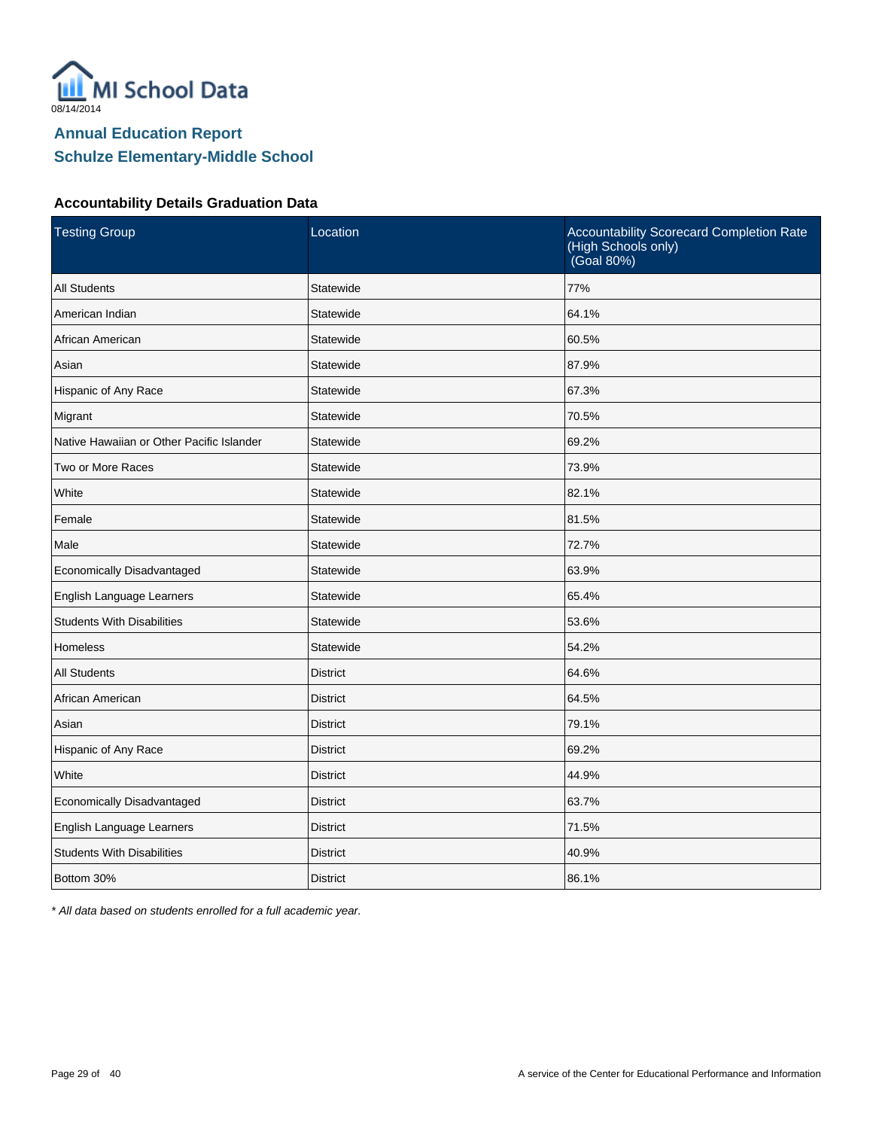

#### **Accountability Details Graduation Data**

| <b>Testing Group</b>                      | Location        | Accountability Scorecard Completion Rate<br>(High Schools only)<br>(Goal 80%) |
|-------------------------------------------|-----------------|-------------------------------------------------------------------------------|
| <b>All Students</b>                       | Statewide       | 77%                                                                           |
| American Indian                           | Statewide       | 64.1%                                                                         |
| African American                          | Statewide       | 60.5%                                                                         |
| Asian                                     | Statewide       | 87.9%                                                                         |
| Hispanic of Any Race                      | Statewide       | 67.3%                                                                         |
| Migrant                                   | Statewide       | 70.5%                                                                         |
| Native Hawaiian or Other Pacific Islander | Statewide       | 69.2%                                                                         |
| Two or More Races                         | Statewide       | 73.9%                                                                         |
| White                                     | Statewide       | 82.1%                                                                         |
| Female                                    | Statewide       | 81.5%                                                                         |
| Male                                      | Statewide       | 72.7%                                                                         |
| Economically Disadvantaged                | Statewide       | 63.9%                                                                         |
| English Language Learners                 | Statewide       | 65.4%                                                                         |
| <b>Students With Disabilities</b>         | Statewide       | 53.6%                                                                         |
| <b>Homeless</b>                           | Statewide       | 54.2%                                                                         |
| <b>All Students</b>                       | <b>District</b> | 64.6%                                                                         |
| African American                          | <b>District</b> | 64.5%                                                                         |
| Asian                                     | <b>District</b> | 79.1%                                                                         |
| Hispanic of Any Race                      | <b>District</b> | 69.2%                                                                         |
| White                                     | <b>District</b> | 44.9%                                                                         |
| Economically Disadvantaged                | <b>District</b> | 63.7%                                                                         |
| English Language Learners                 | <b>District</b> | 71.5%                                                                         |
| <b>Students With Disabilities</b>         | <b>District</b> | 40.9%                                                                         |
| Bottom 30%                                | <b>District</b> | 86.1%                                                                         |

\* All data based on students enrolled for a full academic year.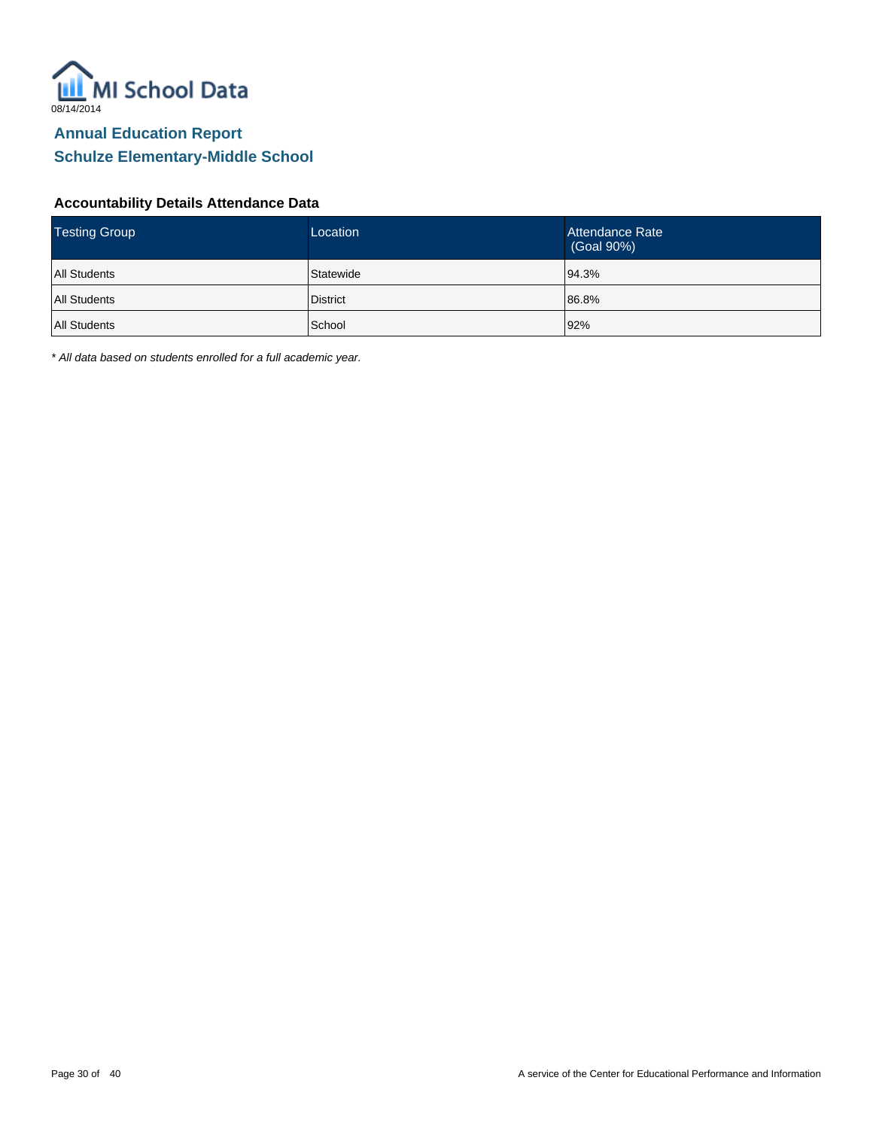

#### **Accountability Details Attendance Data**

| <b>Testing Group</b> | Location        | Attendance Rate<br>(Goal 90%) |
|----------------------|-----------------|-------------------------------|
| <b>All Students</b>  | Statewide       | 94.3%                         |
| <b>All Students</b>  | <b>District</b> | 86.8%                         |
| All Students         | School          | 92%                           |

\* All data based on students enrolled for a full academic year.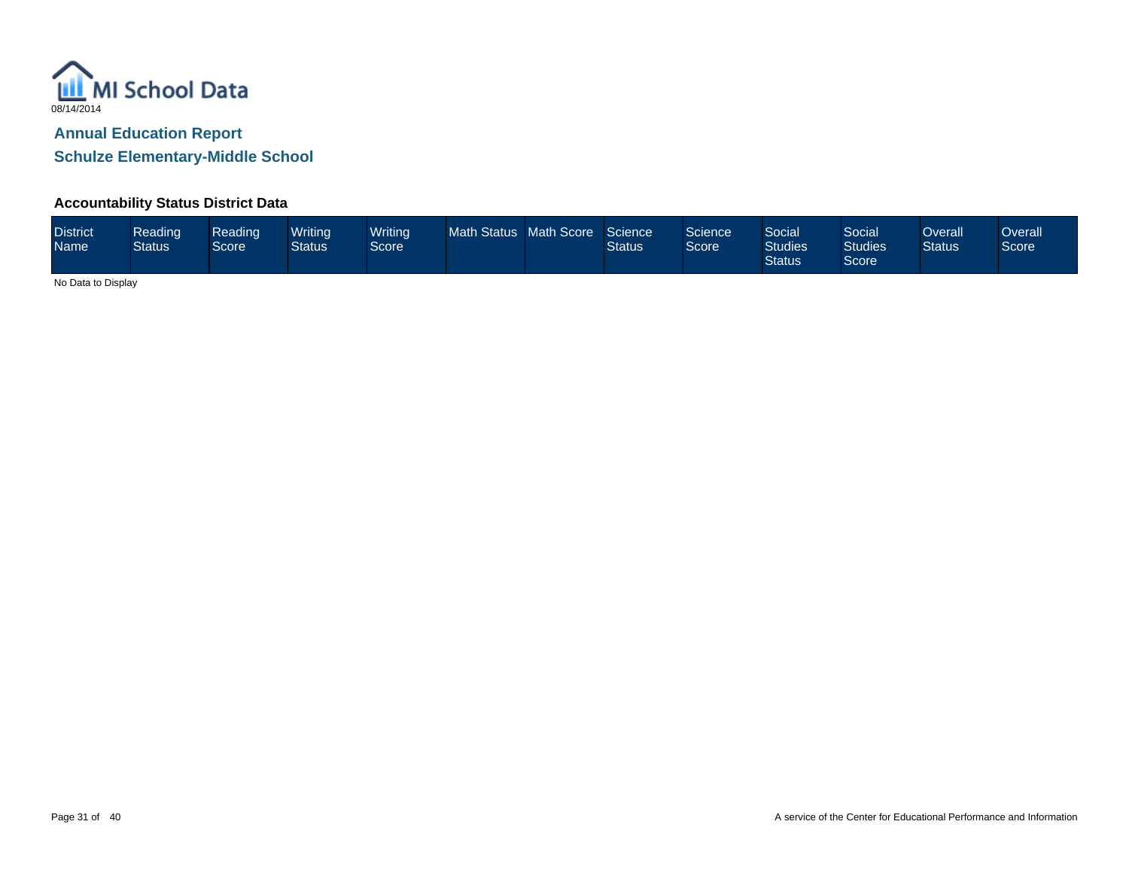

### **Accountability Status District Data**

| <b>District</b><br><b>Name</b> | Reading<br><b>Status</b> | Reading<br>Score | <b>Writina</b><br>Status | <b>Writing</b><br>Score <sup>1</sup> | Math Status Math Score |  | Science<br><b>Status</b> | Science<br>Score | Social<br><b>Studies</b><br><b>Status</b> | Social<br><b>Studies</b><br>Score | Overall<br><b>Status</b> | <b>Overall</b><br>Score |
|--------------------------------|--------------------------|------------------|--------------------------|--------------------------------------|------------------------|--|--------------------------|------------------|-------------------------------------------|-----------------------------------|--------------------------|-------------------------|
|--------------------------------|--------------------------|------------------|--------------------------|--------------------------------------|------------------------|--|--------------------------|------------------|-------------------------------------------|-----------------------------------|--------------------------|-------------------------|

No Data to Display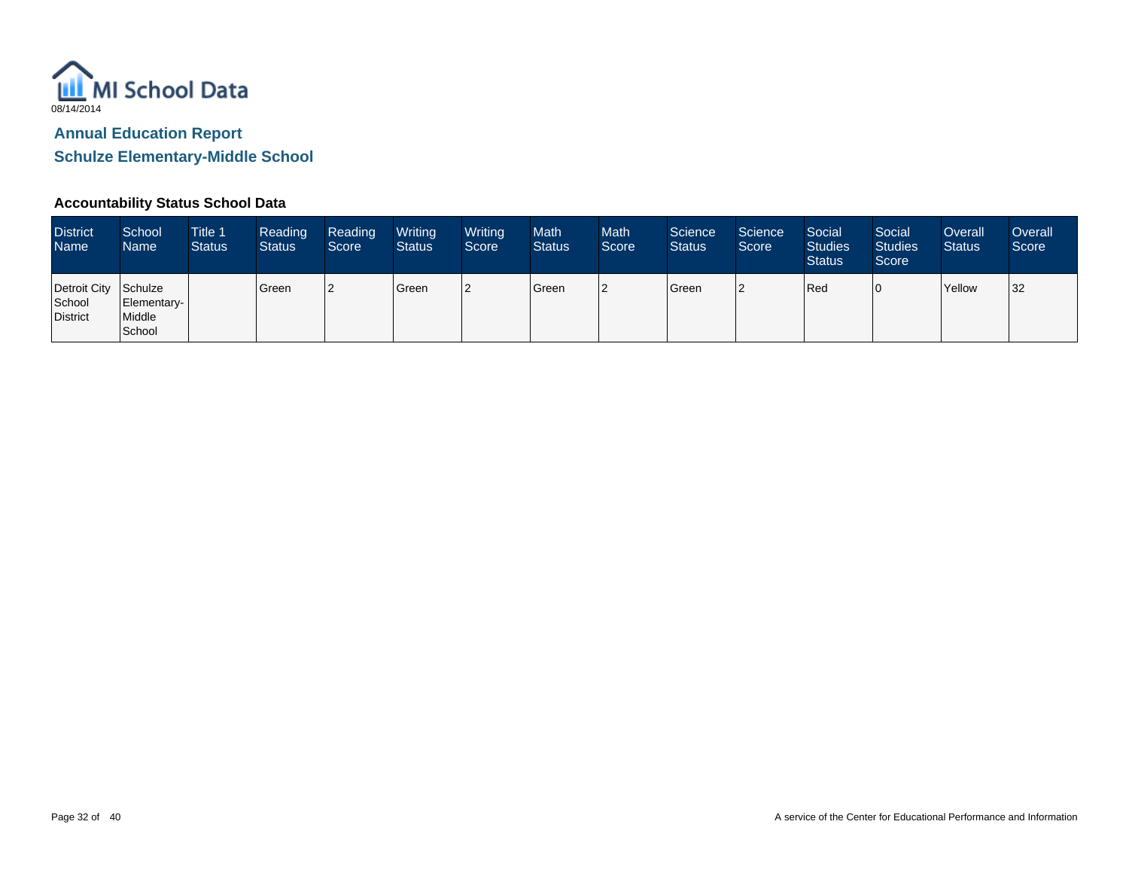

### **Accountability Status School Data**

| <b>District</b><br>Name                    | School<br>Name                  | <b>Title 1</b><br><b>Status</b> | Reading<br><b>Status</b> | Reading<br>Score | Writing<br><b>Status</b> | Writing<br>Score | Math<br><b>Status</b> | <b>Math</b><br>Score | Science<br><b>Status</b> | Science<br>Score | Social<br><b>Studies</b><br><b>Status</b> | Social<br><b>Studies</b><br>Score <sup>1</sup> | Overall<br><b>Status</b> | Overall<br>Score |
|--------------------------------------------|---------------------------------|---------------------------------|--------------------------|------------------|--------------------------|------------------|-----------------------|----------------------|--------------------------|------------------|-------------------------------------------|------------------------------------------------|--------------------------|------------------|
| Detroit City Schulze<br>School<br>District | Elementary-<br>Middle<br>School |                                 | Green                    |                  | Green                    |                  | Green                 | 12                   | Green                    |                  | Red                                       |                                                | Yellow                   | 32               |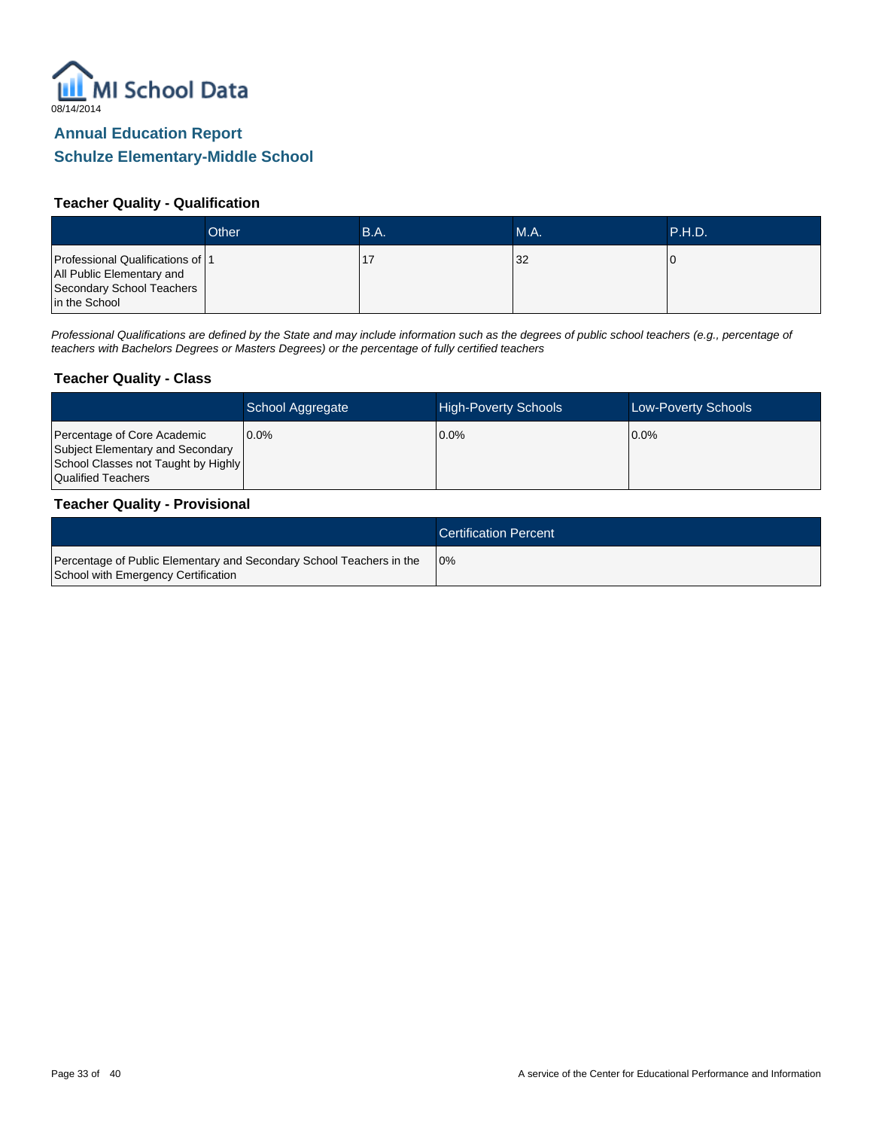

#### **Teacher Quality - Qualification**

|                                                                                                             | Other | B.A. | MA. | .P.H.D.' |
|-------------------------------------------------------------------------------------------------------------|-------|------|-----|----------|
| Professional Qualifications of 1<br>All Public Elementary and<br>Secondary School Teachers<br>in the School |       |      | 32  |          |

Professional Qualifications are defined by the State and may include information such as the degrees of public school teachers (e.g., percentage of teachers with Bachelors Degrees or Masters Degrees) or the percentage of fully certified teachers

#### **Teacher Quality - Class**

|                                                                                                                              | School Aggregate | <b>High-Poverty Schools</b> | <b>Low-Poverty Schools</b> |
|------------------------------------------------------------------------------------------------------------------------------|------------------|-----------------------------|----------------------------|
| Percentage of Core Academic<br>Subject Elementary and Secondary<br>School Classes not Taught by Highly<br>Qualified Teachers | $0.0\%$          | $0.0\%$                     | $10.0\%$                   |

#### **Teacher Quality - Provisional**

|                                                                                                             | <b>Certification Percent</b> |
|-------------------------------------------------------------------------------------------------------------|------------------------------|
| Percentage of Public Elementary and Secondary School Teachers in the<br>School with Emergency Certification | 10%                          |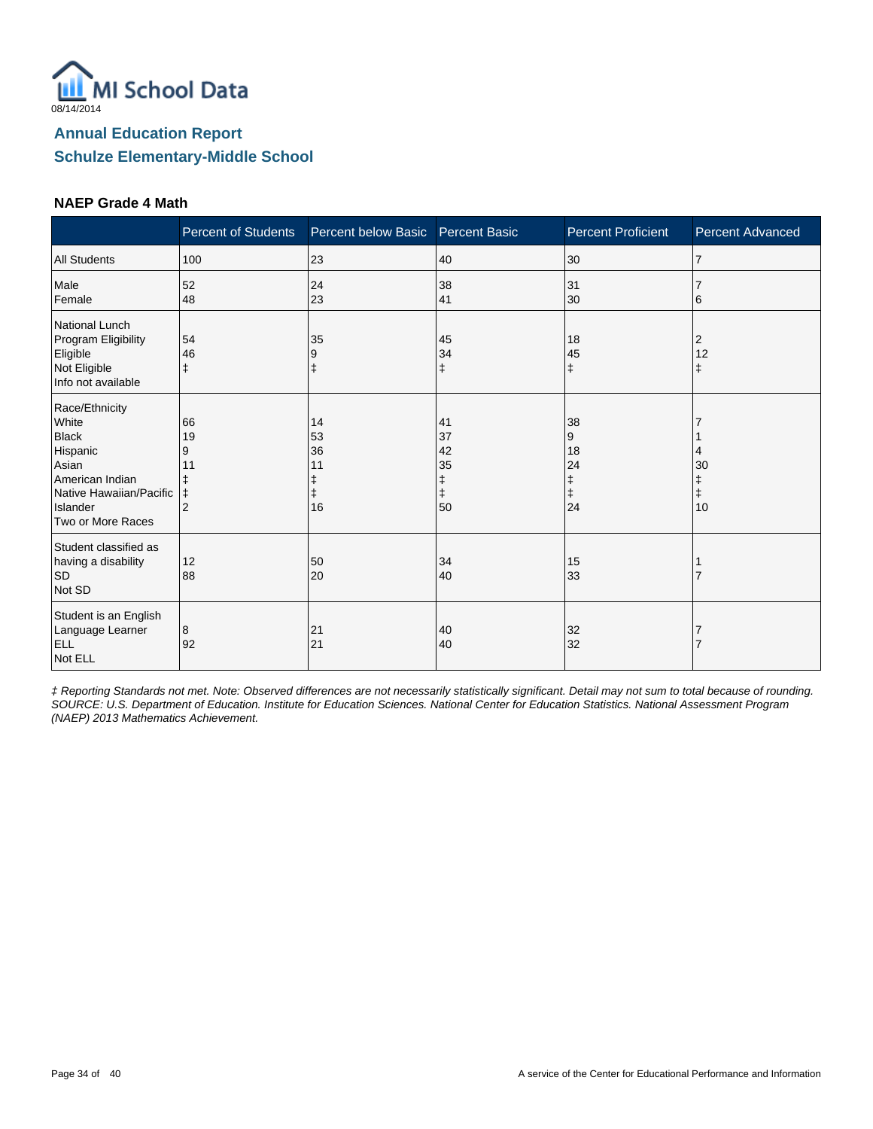

#### **NAEP Grade 4 Math**

|                                                                                                                                             | <b>Percent of Students</b>                 | Percent below Basic Percent Basic |                                 | <b>Percent Proficient</b>           | <b>Percent Advanced</b>     |
|---------------------------------------------------------------------------------------------------------------------------------------------|--------------------------------------------|-----------------------------------|---------------------------------|-------------------------------------|-----------------------------|
| <b>All Students</b>                                                                                                                         | 100                                        | 23                                | 40                              | 30                                  | 17                          |
| Male<br>Female                                                                                                                              | 52<br>48                                   | 24<br>23                          | 38<br>41                        | 31<br>30                            | 6                           |
| National Lunch<br>Program Eligibility<br>Eligible<br>Not Eligible<br>Info not available                                                     | 54<br>46<br>ŧ                              | 35<br>9                           | 45<br>34<br>$\ddagger$          | 18<br>45<br>ŧ                       | $\overline{c}$<br>12<br>ŧ   |
| Race/Ethnicity<br>White<br><b>Black</b><br>Hispanic<br>Asian<br>American Indian<br>Native Hawaiian/Pacific<br>Islander<br>Two or More Races | 66<br>19<br>9<br>11<br>ŧ<br>$\overline{2}$ | 14<br>53<br>36<br>11<br>16        | 41<br>37<br>42<br>35<br>ŧ<br>50 | 38<br>9<br>18<br>24<br>ŧ<br>ŧ<br>24 | 4<br>30<br>$\ddagger$<br>10 |
| Student classified as<br>having a disability<br><b>SD</b><br>Not SD                                                                         | 12<br>88                                   | 50<br>20                          | 34<br>40                        | 15<br>33                            |                             |
| Student is an English<br>Language Learner<br><b>ELL</b><br>Not ELL                                                                          | 8<br>92                                    | 21<br>21                          | 40<br>40                        | 32<br>32                            |                             |

‡ Reporting Standards not met. Note: Observed differences are not necessarily statistically significant. Detail may not sum to total because of rounding. SOURCE: U.S. Department of Education. Institute for Education Sciences. National Center for Education Statistics. National Assessment Program (NAEP) 2013 Mathematics Achievement.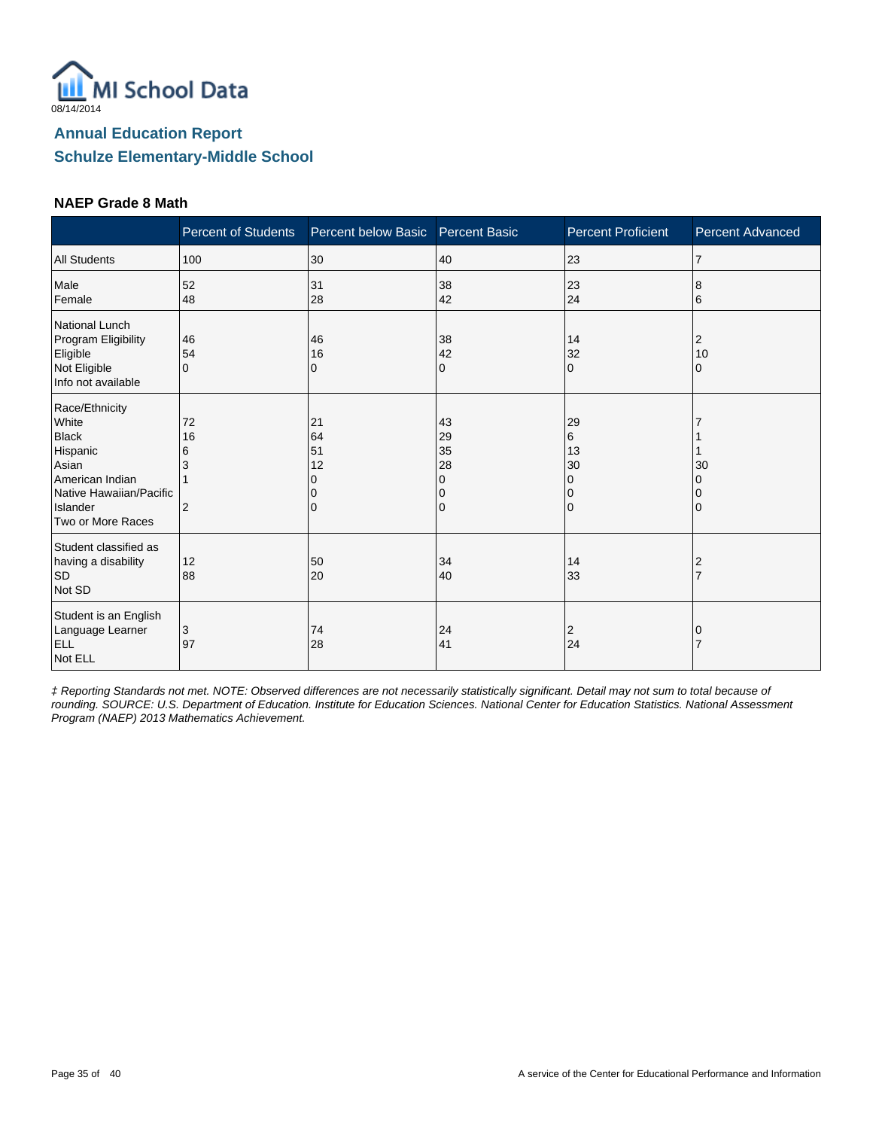

#### **NAEP Grade 8 Math**

|                                                                                                                                             | <b>Percent of Students</b>           | Percent below Basic       | <b>Percent Basic</b>                | <b>Percent Proficient</b>                 | <b>Percent Advanced</b> |
|---------------------------------------------------------------------------------------------------------------------------------------------|--------------------------------------|---------------------------|-------------------------------------|-------------------------------------------|-------------------------|
| <b>All Students</b>                                                                                                                         | 100                                  | 30                        | 40                                  | 23                                        | $\overline{7}$          |
| Male<br>Female                                                                                                                              | 52<br>48                             | 31<br>28                  | 38<br>42                            | 23<br>24                                  | 8<br>6                  |
| National Lunch<br>Program Eligibility<br>Eligible<br>Not Eligible<br>Info not available                                                     | 46<br>54<br>$\Omega$                 | 46<br>16<br>0             | 38<br>42<br>0                       | 14<br>32<br>$\Omega$                      | 2<br>10<br>0            |
| Race/Ethnicity<br>White<br><b>Black</b><br>Hispanic<br>Asian<br>American Indian<br>Native Hawaiian/Pacific<br>Islander<br>Two or More Races | 72<br>16<br>6<br>3<br>$\overline{2}$ | 21<br>64<br>51<br>12<br>0 | 43<br>29<br>35<br>28<br>0<br>0<br>0 | 29<br>6<br>13<br>30<br>0<br>0<br>$\Omega$ | 30<br>0                 |
| Student classified as<br>having a disability<br><b>SD</b><br>Not SD                                                                         | 12<br>88                             | 50<br>20                  | 34<br>40                            | 14<br>33                                  | 2                       |
| Student is an English<br>Language Learner<br><b>ELL</b><br>Not ELL                                                                          | 3<br>97                              | 74<br>28                  | 24<br>41                            | 2<br>24                                   |                         |

‡ Reporting Standards not met. NOTE: Observed differences are not necessarily statistically significant. Detail may not sum to total because of rounding. SOURCE: U.S. Department of Education. Institute for Education Sciences. National Center for Education Statistics. National Assessment Program (NAEP) 2013 Mathematics Achievement.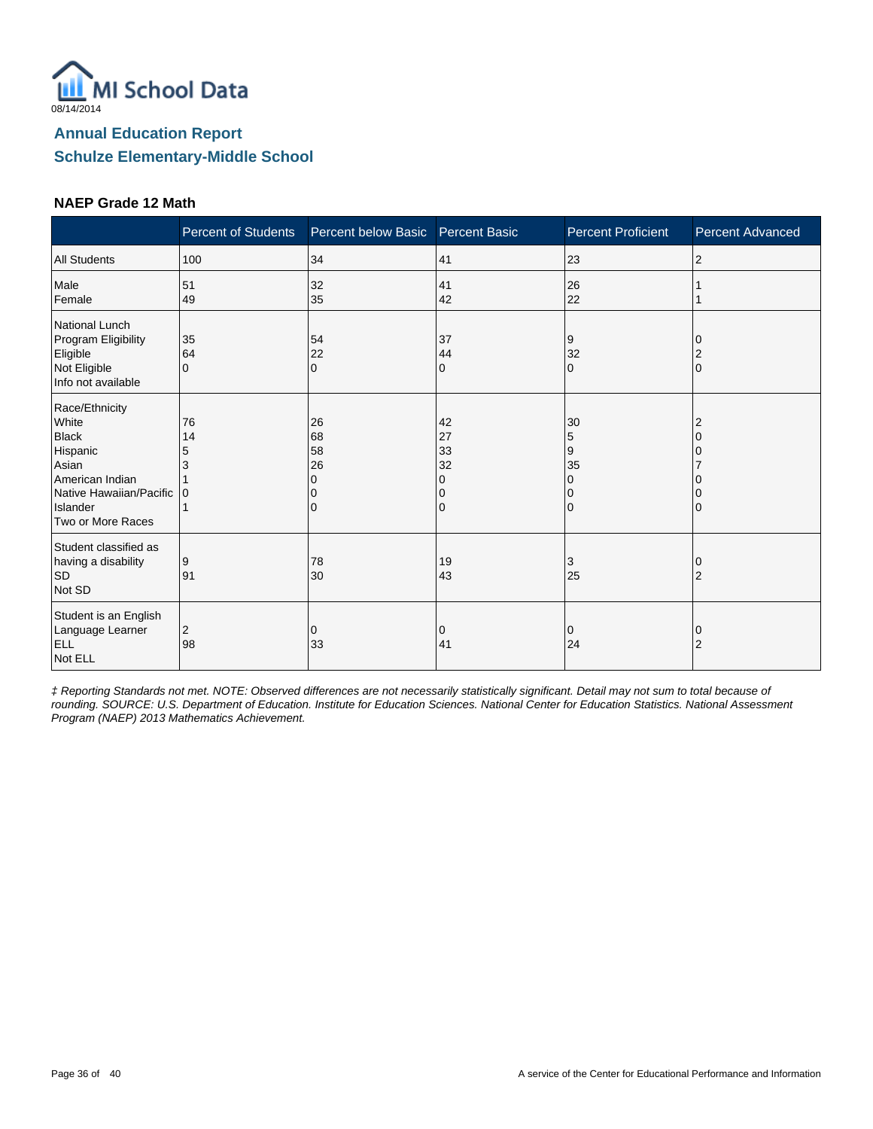

#### **NAEP Grade 12 Math**

|                                                                                                                                             | <b>Percent of Students</b> | Percent below Basic Percent Basic |                                | <b>Percent Proficient</b>    | <b>Percent Advanced</b>    |
|---------------------------------------------------------------------------------------------------------------------------------------------|----------------------------|-----------------------------------|--------------------------------|------------------------------|----------------------------|
| <b>All Students</b>                                                                                                                         | 100                        | 34                                | 41                             | 23                           | $\overline{2}$             |
| Male<br>Female                                                                                                                              | 51<br>49                   | 32<br>35                          | 41<br>42                       | 26<br>22                     |                            |
| National Lunch<br>Program Eligibility<br>Eligible<br>Not Eligible<br>Info not available                                                     | 35<br>64<br>$\Omega$       | 54<br>22<br>$\Omega$              | 37<br>44<br>$\mathbf{0}$       | 9<br>32<br>0                 | $\overline{2}$<br>$\Omega$ |
| Race/Ethnicity<br>White<br><b>Black</b><br>Hispanic<br>Asian<br>American Indian<br>Native Hawaiian/Pacific<br>Islander<br>Two or More Races | 76<br>14<br>5              | 26<br>68<br>58<br>26<br>$\Omega$  | 42<br>27<br>33<br>32<br>O<br>0 | 30<br>5<br>9<br>35<br>0<br>0 | 2<br>0                     |
| Student classified as<br>having a disability<br><b>SD</b><br>Not SD                                                                         | 9<br>91                    | 78<br>30                          | 19<br>43                       | 3<br>25                      | 0<br>$\overline{2}$        |
| Student is an English<br>Language Learner<br><b>ELL</b><br>Not ELL                                                                          | 2<br>98                    | 0<br>33                           | 0<br>41                        | 0<br>24                      | 0<br>2                     |

‡ Reporting Standards not met. NOTE: Observed differences are not necessarily statistically significant. Detail may not sum to total because of rounding. SOURCE: U.S. Department of Education. Institute for Education Sciences. National Center for Education Statistics. National Assessment Program (NAEP) 2013 Mathematics Achievement.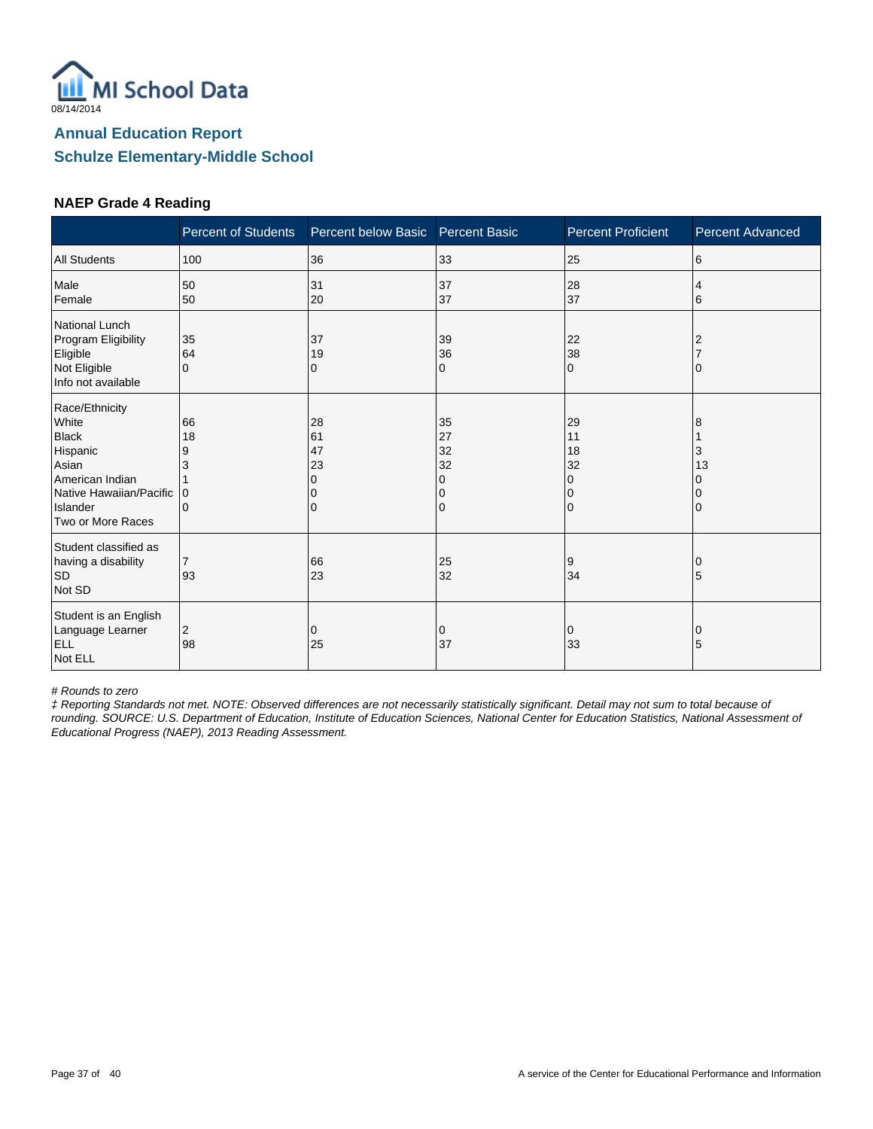

#### **NAEP Grade 4 Reading**

|                                                                                                                                             | <b>Percent of Students</b>   | Percent below Basic       | <b>Percent Basic</b>                | <b>Percent Proficient</b>                | <b>Percent Advanced</b> |
|---------------------------------------------------------------------------------------------------------------------------------------------|------------------------------|---------------------------|-------------------------------------|------------------------------------------|-------------------------|
| <b>All Students</b>                                                                                                                         | 100                          | 36                        | 33                                  | 25                                       | 6                       |
| Male<br>Female                                                                                                                              | 50<br>50                     | 31<br>20                  | 37<br>37                            | 28<br>37                                 | 4<br>6                  |
| National Lunch<br>Program Eligibility<br>Eligible<br>Not Eligible<br>Info not available                                                     | 35<br>64<br>$\Omega$         | 37<br>19<br>0             | 39<br>36<br>0                       | 22<br>38<br>$\Omega$                     |                         |
| Race/Ethnicity<br>White<br><b>Black</b><br>Hispanic<br>Asian<br>American Indian<br>Native Hawaiian/Pacific<br>Islander<br>Two or More Races | 66<br>18<br>9<br>3<br>0<br>0 | 28<br>61<br>47<br>23<br>0 | 35<br>27<br>32<br>32<br>0<br>0<br>0 | 29<br>11<br>18<br>32<br>0<br>$\mathbf 0$ | 8<br>3<br>13            |
| Student classified as<br>having a disability<br><b>SD</b><br>Not SD                                                                         | $\overline{7}$<br>93         | 66<br>23                  | 25<br>32                            | 9<br>34                                  | 5                       |
| Student is an English<br>Language Learner<br>ELL<br>Not ELL                                                                                 | 2<br>98                      | 0<br>25                   | 0<br>37                             | 0<br>33                                  | 0<br>5                  |

# Rounds to zero

‡ Reporting Standards not met. NOTE: Observed differences are not necessarily statistically significant. Detail may not sum to total because of rounding. SOURCE: U.S. Department of Education, Institute of Education Sciences, National Center for Education Statistics, National Assessment of Educational Progress (NAEP), 2013 Reading Assessment.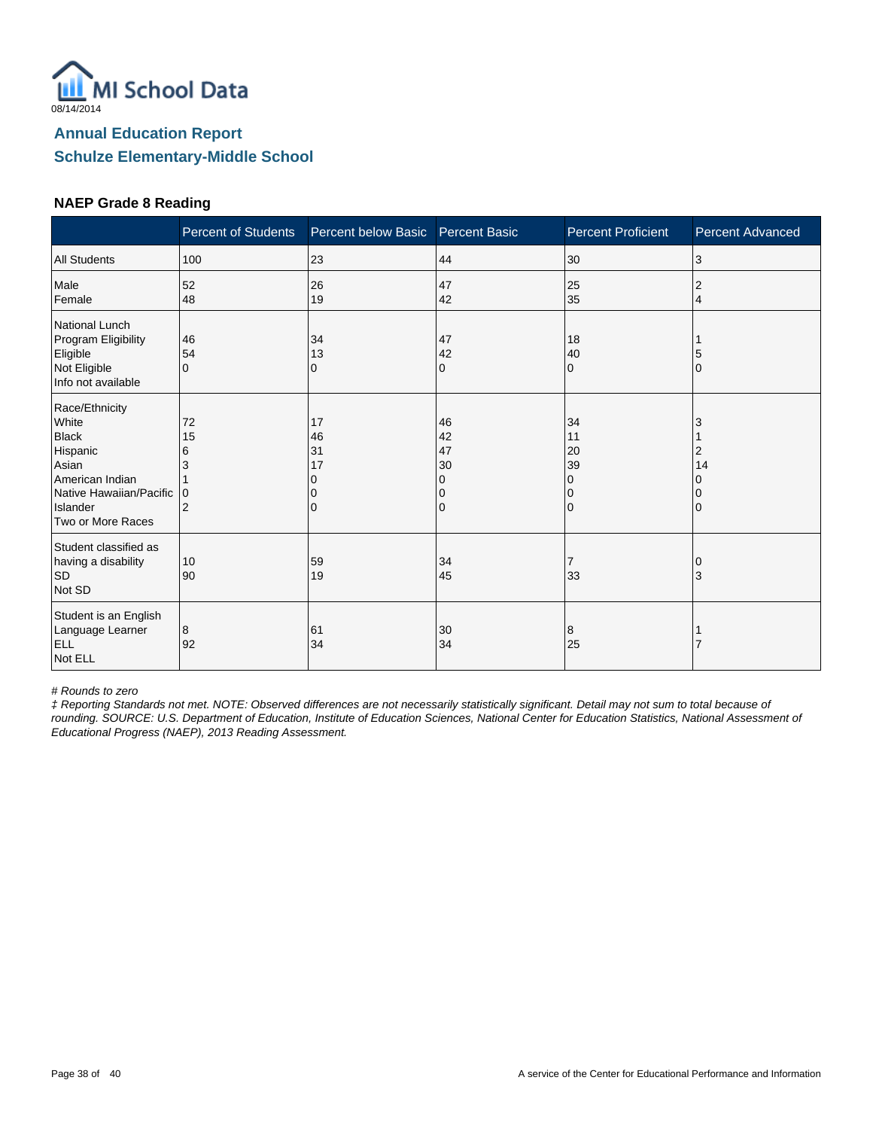

#### **NAEP Grade 8 Reading**

|                                                                                                                                             | <b>Percent of Students</b>                | Percent below Basic       | <b>Percent Basic</b>                | <b>Percent Proficient</b>                  | <b>Percent Advanced</b> |
|---------------------------------------------------------------------------------------------------------------------------------------------|-------------------------------------------|---------------------------|-------------------------------------|--------------------------------------------|-------------------------|
| <b>All Students</b>                                                                                                                         | 100                                       | 23                        | 44                                  | 30                                         | 3                       |
| Male<br>Female                                                                                                                              | 52<br>48                                  | 26<br>19                  | 47<br>42                            | 25<br>35                                   | $\overline{2}$<br>4     |
| National Lunch<br>Program Eligibility<br>Eligible<br>Not Eligible<br>Info not available                                                     | 46<br>54<br>$\Omega$                      | 34<br>13<br>0             | 47<br>42<br>0                       | 18<br>40<br>$\Omega$                       | O                       |
| Race/Ethnicity<br>White<br><b>Black</b><br>Hispanic<br>Asian<br>American Indian<br>Native Hawaiian/Pacific<br>Islander<br>Two or More Races | 72<br>15<br>6<br>3<br>0<br>$\overline{2}$ | 17<br>46<br>31<br>17<br>0 | 46<br>42<br>47<br>30<br>0<br>0<br>0 | 34<br>11<br>20<br>39<br>0<br>0<br>$\Omega$ | 2<br>14                 |
| Student classified as<br>having a disability<br><b>SD</b><br>Not SD                                                                         | 10<br>90                                  | 59<br>19                  | 34<br>45                            | 7<br>33                                    | 3                       |
| Student is an English<br>Language Learner<br><b>ELL</b><br>Not ELL                                                                          | 8<br>92                                   | 61<br>34                  | 30<br>34                            | 8<br>25                                    |                         |

# Rounds to zero

‡ Reporting Standards not met. NOTE: Observed differences are not necessarily statistically significant. Detail may not sum to total because of rounding. SOURCE: U.S. Department of Education, Institute of Education Sciences, National Center for Education Statistics, National Assessment of Educational Progress (NAEP), 2013 Reading Assessment.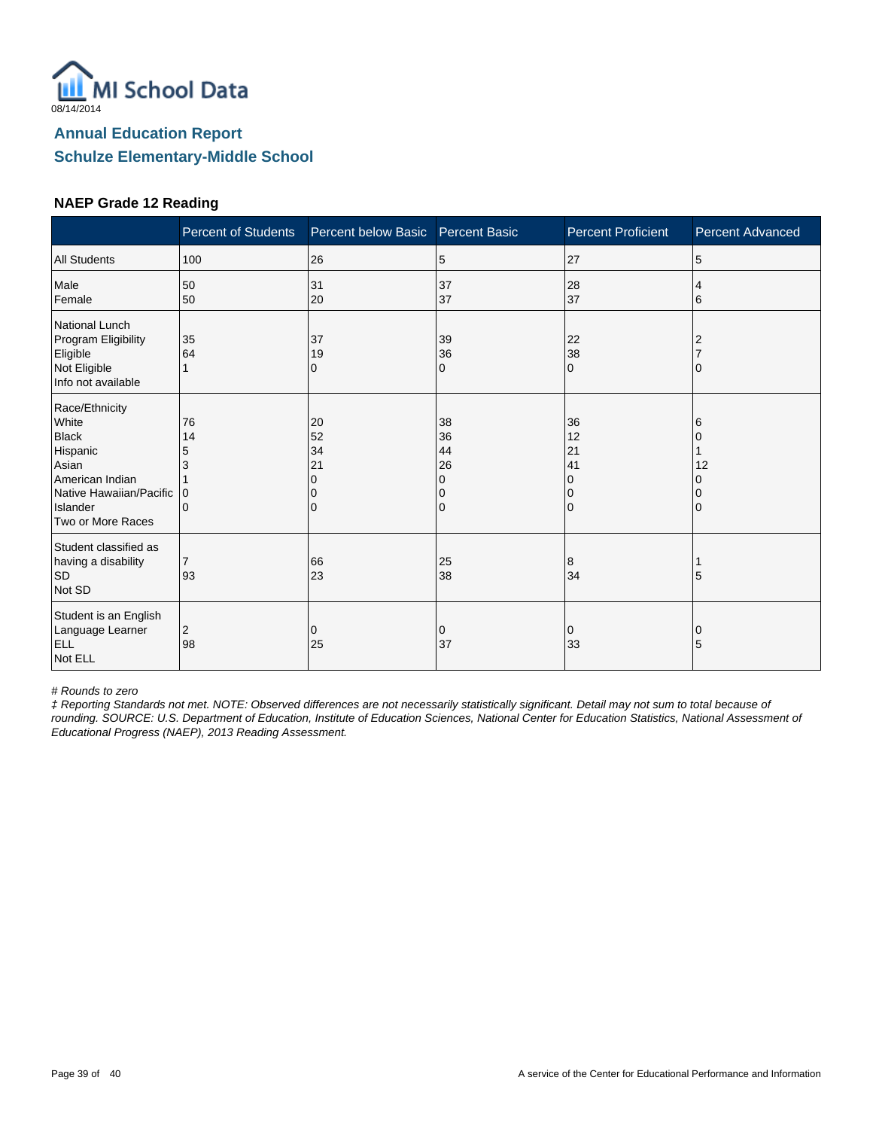

#### **NAEP Grade 12 Reading**

|                                                                                                                                             | <b>Percent of Students</b>   | Percent below Basic       | <b>Percent Basic</b>                | <b>Percent Proficient</b>                  | <b>Percent Advanced</b> |
|---------------------------------------------------------------------------------------------------------------------------------------------|------------------------------|---------------------------|-------------------------------------|--------------------------------------------|-------------------------|
| <b>All Students</b>                                                                                                                         | 100                          | 26                        | 5                                   | 27                                         | 5                       |
| Male<br>Female                                                                                                                              | 50<br>50                     | 31<br>20                  | 37<br>37                            | 28<br>37                                   | 4<br>6                  |
| National Lunch<br>Program Eligibility<br>Eligible<br>Not Eligible<br>Info not available                                                     | 35<br>64                     | 37<br>19<br>0             | 39<br>36<br>0                       | 22<br>38<br>$\Omega$                       |                         |
| Race/Ethnicity<br>White<br><b>Black</b><br>Hispanic<br>Asian<br>American Indian<br>Native Hawaiian/Pacific<br>Islander<br>Two or More Races | 76<br>14<br>5<br>3<br>0<br>0 | 20<br>52<br>34<br>21<br>0 | 38<br>36<br>44<br>26<br>0<br>0<br>0 | 36<br>12<br>21<br>41<br>$\Omega$<br>0<br>0 | 6<br>12                 |
| Student classified as<br>having a disability<br><b>SD</b><br>Not SD                                                                         | $\overline{7}$<br>93         | 66<br>23                  | 25<br>38                            | 8<br>34                                    | 5                       |
| Student is an English<br>Language Learner<br>ELL<br>Not ELL                                                                                 | 2<br>98                      | 0<br>25                   | 0<br>37                             | 0<br>33                                    | 0<br>5                  |

# Rounds to zero

‡ Reporting Standards not met. NOTE: Observed differences are not necessarily statistically significant. Detail may not sum to total because of rounding. SOURCE: U.S. Department of Education, Institute of Education Sciences, National Center for Education Statistics, National Assessment of Educational Progress (NAEP), 2013 Reading Assessment.